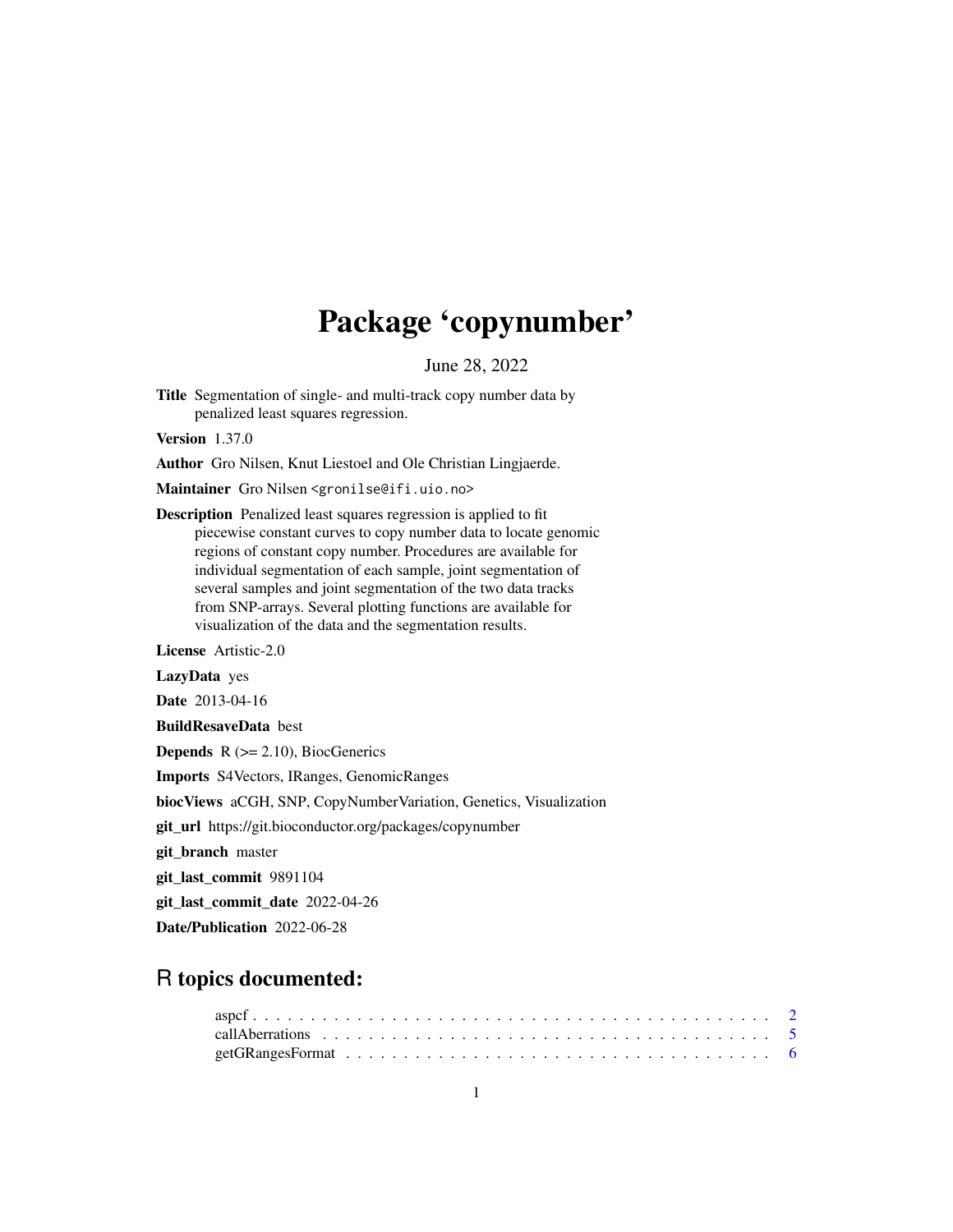# Package 'copynumber'

June 28, 2022

<span id="page-0-0"></span>Title Segmentation of single- and multi-track copy number data by penalized least squares regression.

Version 1.37.0

Author Gro Nilsen, Knut Liestoel and Ole Christian Lingjaerde.

Maintainer Gro Nilsen <gronilse@ifi.uio.no>

Description Penalized least squares regression is applied to fit piecewise constant curves to copy number data to locate genomic regions of constant copy number. Procedures are available for individual segmentation of each sample, joint segmentation of several samples and joint segmentation of the two data tracks from SNP-arrays. Several plotting functions are available for visualization of the data and the segmentation results.

License Artistic-2.0

LazyData yes

Date 2013-04-16

BuildResaveData best

**Depends**  $R$  ( $>= 2.10$ ), BiocGenerics

Imports S4Vectors, IRanges, GenomicRanges

biocViews aCGH, SNP, CopyNumberVariation, Genetics, Visualization

git\_url https://git.bioconductor.org/packages/copynumber

git\_branch master

git\_last\_commit 9891104

git\_last\_commit\_date 2022-04-26

Date/Publication 2022-06-28

# R topics documented: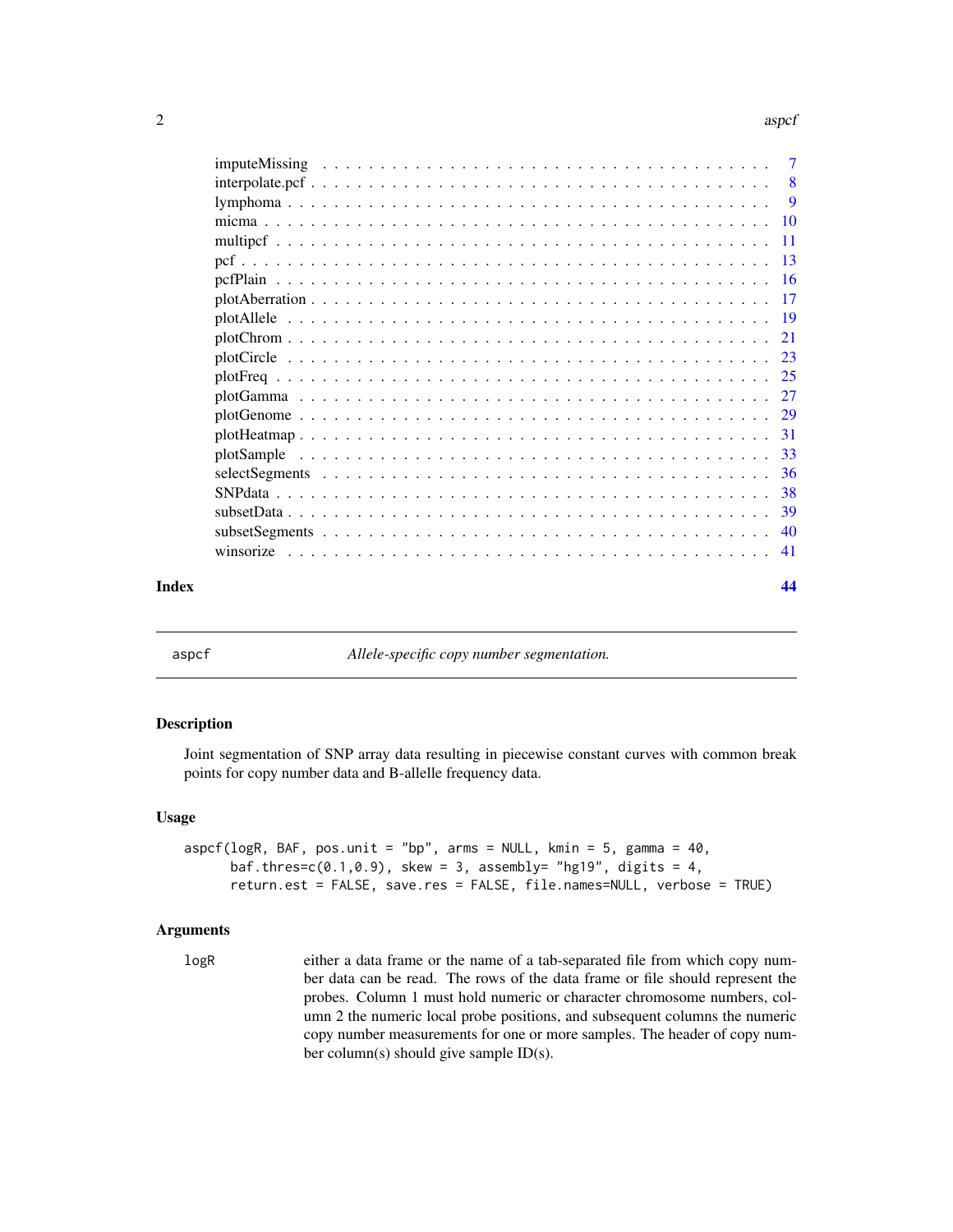#### <span id="page-1-0"></span>2 aspc for the contract of the contract of the contract of the contract of the contract of the contract of the contract of the contract of the contract of the contract of the contract of the contract of the contract of the

| pcfPlain | $\overline{7}$ |
|----------|----------------|
|          | $-8$           |
|          | -9             |
|          |                |
|          |                |
|          |                |
|          |                |
|          |                |
|          |                |
|          |                |
|          |                |
|          |                |
|          |                |
|          |                |
|          |                |
|          |                |
|          |                |
|          |                |
|          | 39             |
|          | 40             |
|          | -41            |
| Index    | 44             |

<span id="page-1-1"></span>

aspcf *Allele-specific copy number segmentation.*

# Description

Joint segmentation of SNP array data resulting in piecewise constant curves with common break points for copy number data and B-allelle frequency data.

#### Usage

```
aspcf(logR, BAF, pos.unit = "bp", arms = NULL, kmin = 5, gamma = 40,baf.thres=c(0.1, 0.9), skew = 3, assembly= "hg19", digits = 4,
     return.est = FALSE, save.res = FALSE, file.names=NULL, verbose = TRUE)
```
#### Arguments

logR either a data frame or the name of a tab-separated file from which copy number data can be read. The rows of the data frame or file should represent the probes. Column 1 must hold numeric or character chromosome numbers, column 2 the numeric local probe positions, and subsequent columns the numeric copy number measurements for one or more samples. The header of copy number column(s) should give sample ID(s).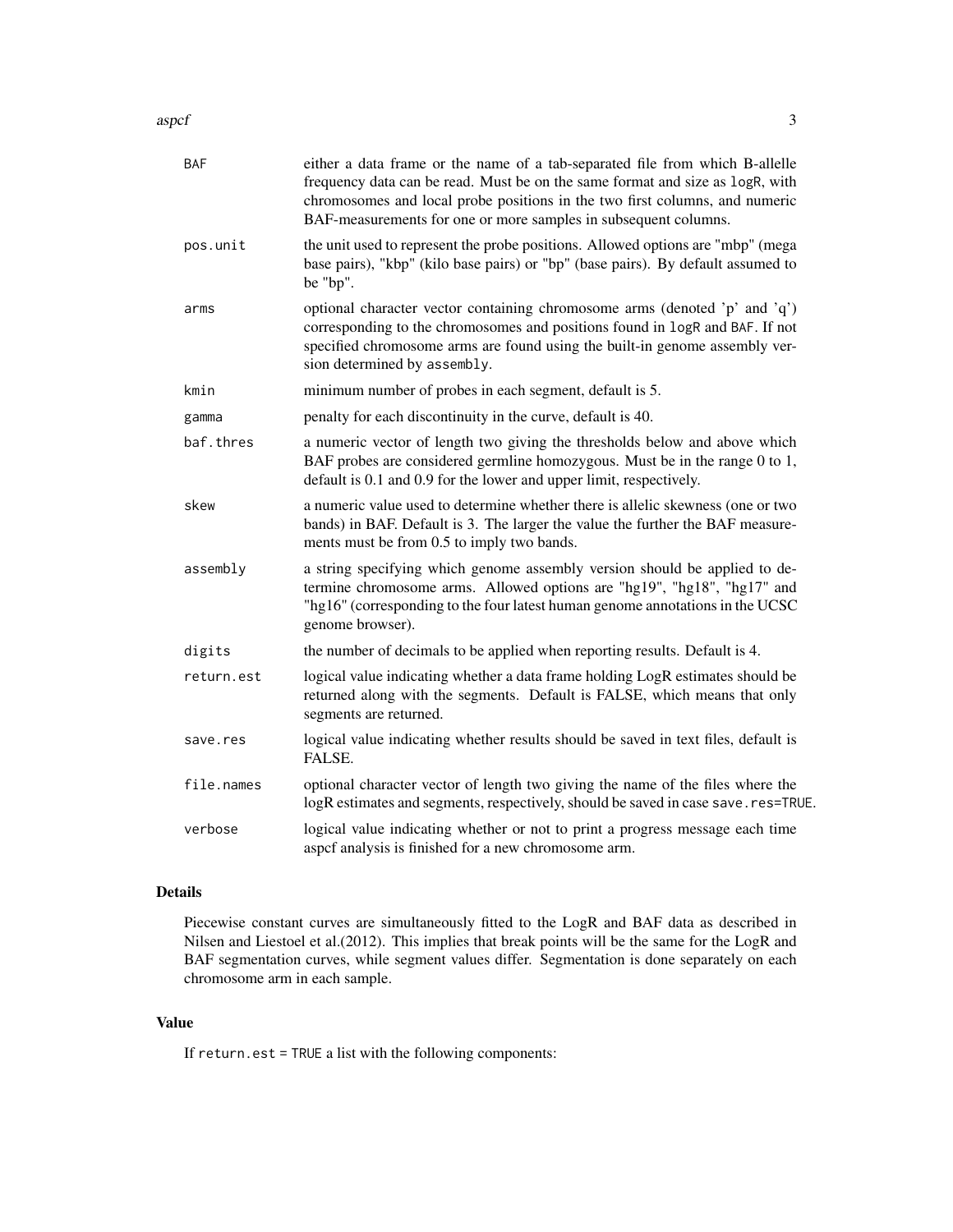aspcf 3

| <b>BAF</b> | either a data frame or the name of a tab-separated file from which B-allelle<br>frequency data can be read. Must be on the same format and size as logR, with<br>chromosomes and local probe positions in the two first columns, and numeric<br>BAF-measurements for one or more samples in subsequent columns. |
|------------|-----------------------------------------------------------------------------------------------------------------------------------------------------------------------------------------------------------------------------------------------------------------------------------------------------------------|
| pos.unit   | the unit used to represent the probe positions. Allowed options are "mbp" (mega<br>base pairs), "kbp" (kilo base pairs) or "bp" (base pairs). By default assumed to<br>be "bp".                                                                                                                                 |
| arms       | optional character vector containing chromosome arms (denoted 'p' and 'q')<br>corresponding to the chromosomes and positions found in logR and BAF. If not<br>specified chromosome arms are found using the built-in genome assembly ver-<br>sion determined by assembly.                                       |
| kmin       | minimum number of probes in each segment, default is 5.                                                                                                                                                                                                                                                         |
| gamma      | penalty for each discontinuity in the curve, default is 40.                                                                                                                                                                                                                                                     |
| baf.thres  | a numeric vector of length two giving the thresholds below and above which<br>BAF probes are considered germline homozygous. Must be in the range 0 to 1,<br>default is 0.1 and 0.9 for the lower and upper limit, respectively.                                                                                |
| skew       | a numeric value used to determine whether there is allelic skewness (one or two<br>bands) in BAF. Default is 3. The larger the value the further the BAF measure-<br>ments must be from 0.5 to imply two bands.                                                                                                 |
| assembly   | a string specifying which genome assembly version should be applied to de-<br>termine chromosome arms. Allowed options are "hg19", "hg18", "hg17" and<br>"hg16" (corresponding to the four latest human genome annotations in the UCSC<br>genome browser).                                                      |
| digits     | the number of decimals to be applied when reporting results. Default is 4.                                                                                                                                                                                                                                      |
| return.est | logical value indicating whether a data frame holding LogR estimates should be<br>returned along with the segments. Default is FALSE, which means that only<br>segments are returned.                                                                                                                           |
| save.res   | logical value indicating whether results should be saved in text files, default is<br>FALSE.                                                                                                                                                                                                                    |
| file.names | optional character vector of length two giving the name of the files where the<br>logR estimates and segments, respectively, should be saved in case save.res=TRUE.                                                                                                                                             |
| verbose    | logical value indicating whether or not to print a progress message each time<br>aspcf analysis is finished for a new chromosome arm.                                                                                                                                                                           |

# Details

Piecewise constant curves are simultaneously fitted to the LogR and BAF data as described in Nilsen and Liestoel et al.(2012). This implies that break points will be the same for the LogR and BAF segmentation curves, while segment values differ. Segmentation is done separately on each chromosome arm in each sample.

# Value

If return.est = TRUE a list with the following components: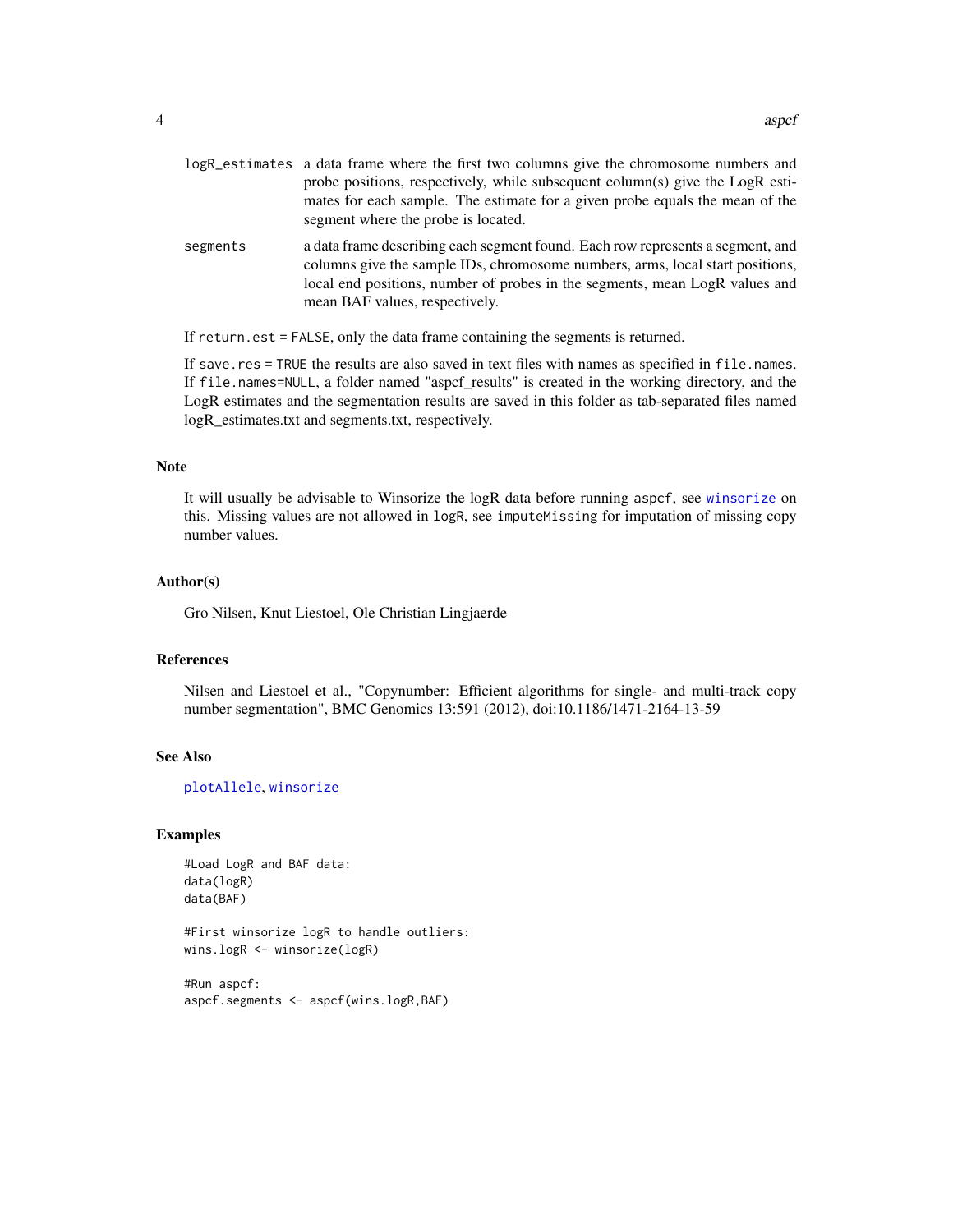<span id="page-3-0"></span>

| logR_estimates a data frame where the first two columns give the chromosome numbers and |
|-----------------------------------------------------------------------------------------|
| probe positions, respectively, while subsequent column(s) give the LogR esti-           |
| mates for each sample. The estimate for a given probe equals the mean of the            |
| segment where the probe is located.                                                     |
|                                                                                         |

segments a data frame describing each segment found. Each row represents a segment, and columns give the sample IDs, chromosome numbers, arms, local start positions, local end positions, number of probes in the segments, mean LogR values and mean BAF values, respectively.

If return.est = FALSE, only the data frame containing the segments is returned.

If save.res = TRUE the results are also saved in text files with names as specified in file.names. If file.names=NULL, a folder named "aspcf\_results" is created in the working directory, and the LogR estimates and the segmentation results are saved in this folder as tab-separated files named logR\_estimates.txt and segments.txt, respectively.

#### Note

It will usually be advisable to Winsorize the logR data before running aspcf, see [winsorize](#page-40-1) on this. Missing values are not allowed in logR, see imputeMissing for imputation of missing copy number values.

#### Author(s)

Gro Nilsen, Knut Liestoel, Ole Christian Lingjaerde

#### References

Nilsen and Liestoel et al., "Copynumber: Efficient algorithms for single- and multi-track copy number segmentation", BMC Genomics 13:591 (2012), doi:10.1186/1471-2164-13-59

#### See Also

[plotAllele](#page-18-1), [winsorize](#page-40-1)

#### Examples

```
#Load LogR and BAF data:
data(logR)
data(BAF)
```
#First winsorize logR to handle outliers: wins.logR <- winsorize(logR)

#Run aspcf: aspcf.segments <- aspcf(wins.logR,BAF)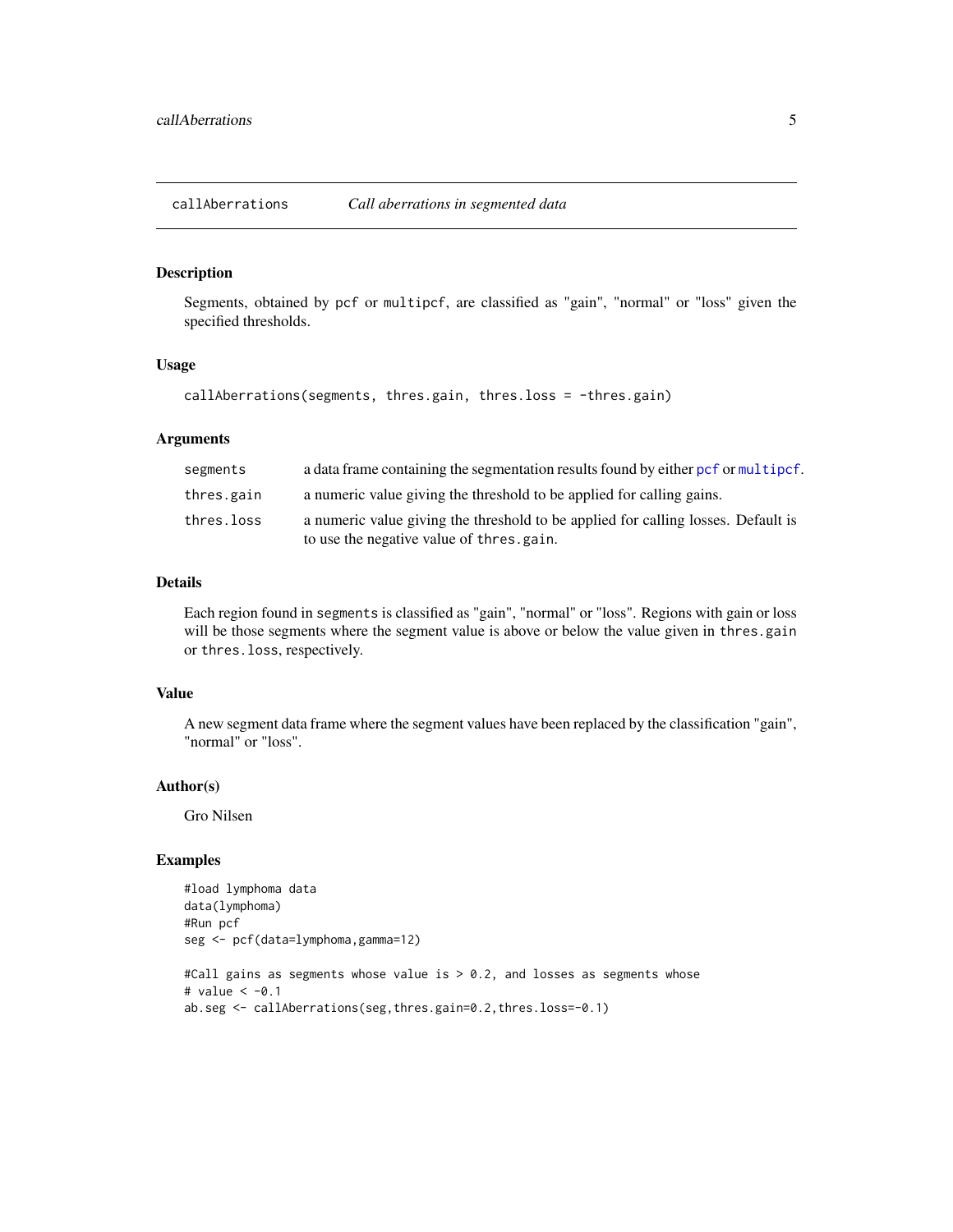<span id="page-4-0"></span>callAberrations *Call aberrations in segmented data*

# Description

Segments, obtained by pcf or multipcf, are classified as "gain", "normal" or "loss" given the specified thresholds.

#### Usage

```
callAberrations(segments, thres.gain, thres.loss = -thres.gain)
```
#### Arguments

| segments   | a data frame containing the segmentation results found by either pcf or multipcf. |
|------------|-----------------------------------------------------------------------------------|
| thres.gain | a numeric value giving the threshold to be applied for calling gains.             |
| thres.loss | a numeric value giving the threshold to be applied for calling losses. Default is |
|            | to use the negative value of thres.gain.                                          |

#### Details

Each region found in segments is classified as "gain", "normal" or "loss". Regions with gain or loss will be those segments where the segment value is above or below the value given in thres.gain or thres.loss, respectively.

# Value

A new segment data frame where the segment values have been replaced by the classification "gain", "normal" or "loss".

# Author(s)

Gro Nilsen

```
#load lymphoma data
data(lymphoma)
#Run pcf
seg <- pcf(data=lymphoma,gamma=12)
#Call gains as segments whose value is > 0.2, and losses as segments whose
# value < -0.1ab.seg <- callAberrations(seg,thres.gain=0.2,thres.loss=-0.1)
```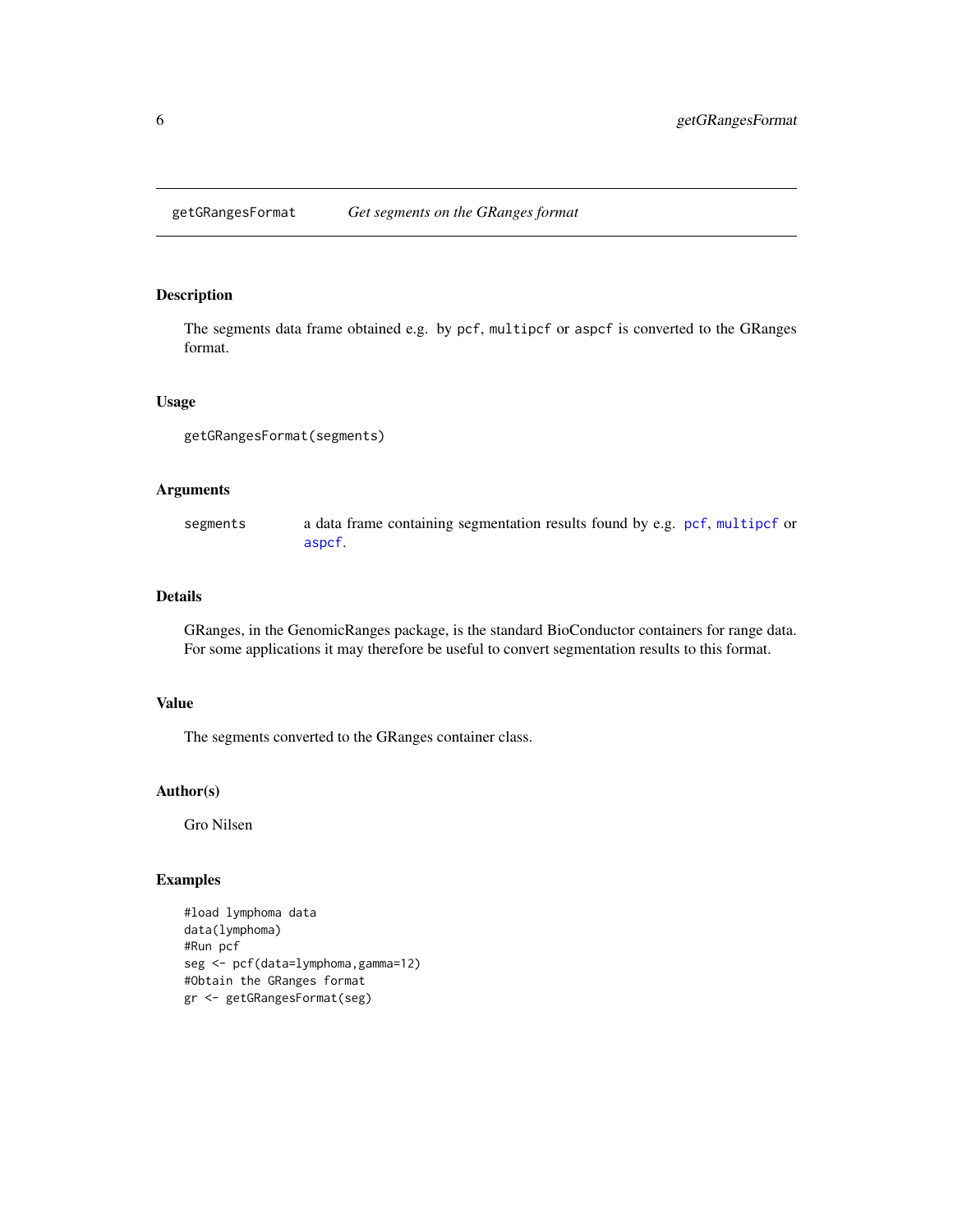<span id="page-5-0"></span>getGRangesFormat *Get segments on the GRanges format*

#### Description

The segments data frame obtained e.g. by pcf, multipcf or aspcf is converted to the GRanges format.

## Usage

```
getGRangesFormat(segments)
```
# Arguments

segments a data frame containing segmentation results found by e.g. [pcf](#page-12-1), [multipcf](#page-10-1) or [aspcf](#page-1-1).

#### Details

GRanges, in the GenomicRanges package, is the standard BioConductor containers for range data. For some applications it may therefore be useful to convert segmentation results to this format.

#### Value

The segments converted to the GRanges container class.

#### Author(s)

Gro Nilsen

```
#load lymphoma data
data(lymphoma)
#Run pcf
seg <- pcf(data=lymphoma,gamma=12)
#Obtain the GRanges format
gr <- getGRangesFormat(seg)
```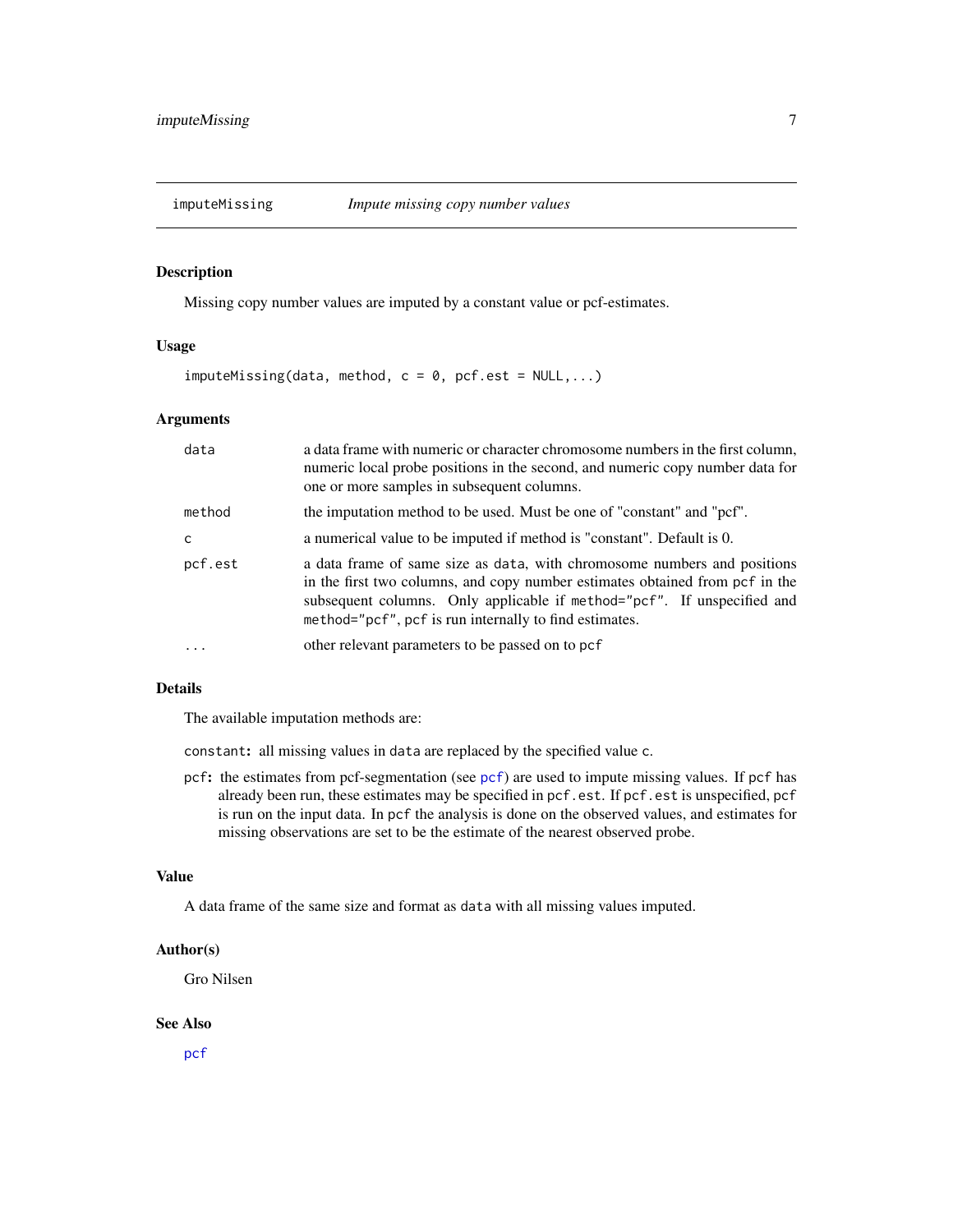<span id="page-6-1"></span><span id="page-6-0"></span>

Missing copy number values are imputed by a constant value or pcf-estimates.

# Usage

 $imput$ eMissing(data, method,  $c = 0$ , pcf.est = NULL,...)

# Arguments

| data     | a data frame with numeric or character chromosome numbers in the first column,<br>numeric local probe positions in the second, and numeric copy number data for<br>one or more samples in subsequent columns.                                                                                 |
|----------|-----------------------------------------------------------------------------------------------------------------------------------------------------------------------------------------------------------------------------------------------------------------------------------------------|
| method   | the imputation method to be used. Must be one of "constant" and "pcf".                                                                                                                                                                                                                        |
| C        | a numerical value to be imputed if method is "constant". Default is 0.                                                                                                                                                                                                                        |
| pcf.est  | a data frame of same size as data, with chromosome numbers and positions<br>in the first two columns, and copy number estimates obtained from pcf in the<br>subsequent columns. Only applicable if method="pcf". If unspecified and<br>method="pcf", pcf is run internally to find estimates. |
| $\ddots$ | other relevant parameters to be passed on to pcf                                                                                                                                                                                                                                              |

### Details

The available imputation methods are:

constant: all missing values in data are replaced by the specified value c.

pcf: the estimates from pcf-segmentation (see [pcf](#page-12-1)) are used to impute missing values. If pcf has already been run, these estimates may be specified in pcf.est. If pcf.est is unspecified, pcf is run on the input data. In pcf the analysis is done on the observed values, and estimates for missing observations are set to be the estimate of the nearest observed probe.

# Value

A data frame of the same size and format as data with all missing values imputed.

# Author(s)

Gro Nilsen

#### See Also

[pcf](#page-12-1)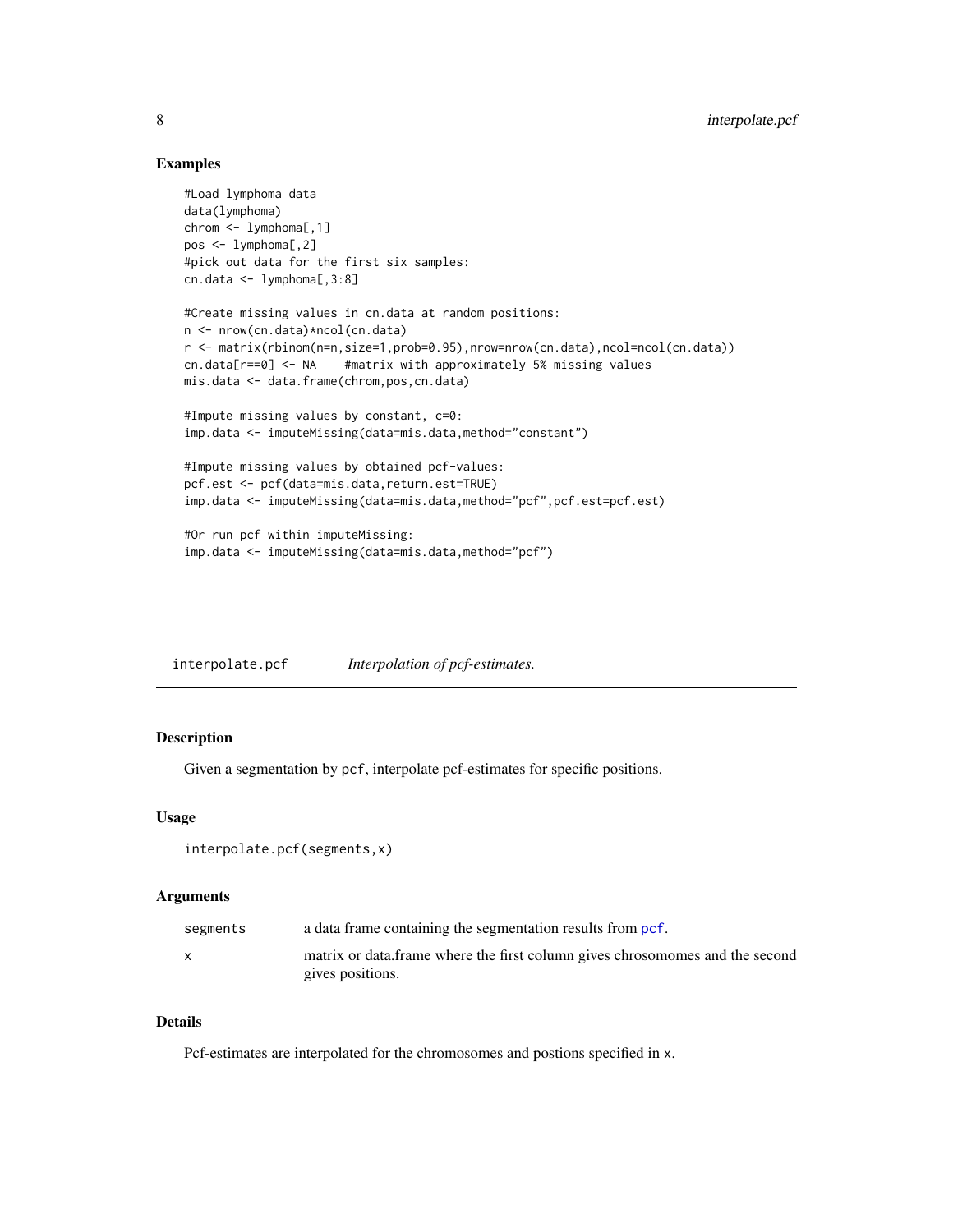# Examples

```
#Load lymphoma data
data(lymphoma)
chrom <- lymphoma[,1]
pos <- lymphoma[,2]
#pick out data for the first six samples:
cn.data <- lymphoma[,3:8]
#Create missing values in cn.data at random positions:
n <- nrow(cn.data)*ncol(cn.data)
r <- matrix(rbinom(n=n,size=1,prob=0.95),nrow=nrow(cn.data),ncol=ncol(cn.data))
cn.data[r==0] <- NA #matrix with approximately 5% missing values
mis.data <- data.frame(chrom,pos,cn.data)
#Impute missing values by constant, c=0:
imp.data <- imputeMissing(data=mis.data,method="constant")
#Impute missing values by obtained pcf-values:
pcf.est <- pcf(data=mis.data,return.est=TRUE)
imp.data <- imputeMissing(data=mis.data,method="pcf",pcf.est=pcf.est)
#Or run pcf within imputeMissing:
imp.data <- imputeMissing(data=mis.data,method="pcf")
```
interpolate.pcf *Interpolation of pcf-estimates.*

# Description

Given a segmentation by pcf, interpolate pcf-estimates for specific positions.

#### Usage

```
interpolate.pcf(segments,x)
```
# Arguments

| segments | a data frame containing the segmentation results from pcf.                    |
|----------|-------------------------------------------------------------------------------|
|          | matrix or data. frame where the first column gives chrosomomes and the second |
|          | gives positions.                                                              |

#### Details

Pcf-estimates are interpolated for the chromosomes and postions specified in x.

<span id="page-7-0"></span>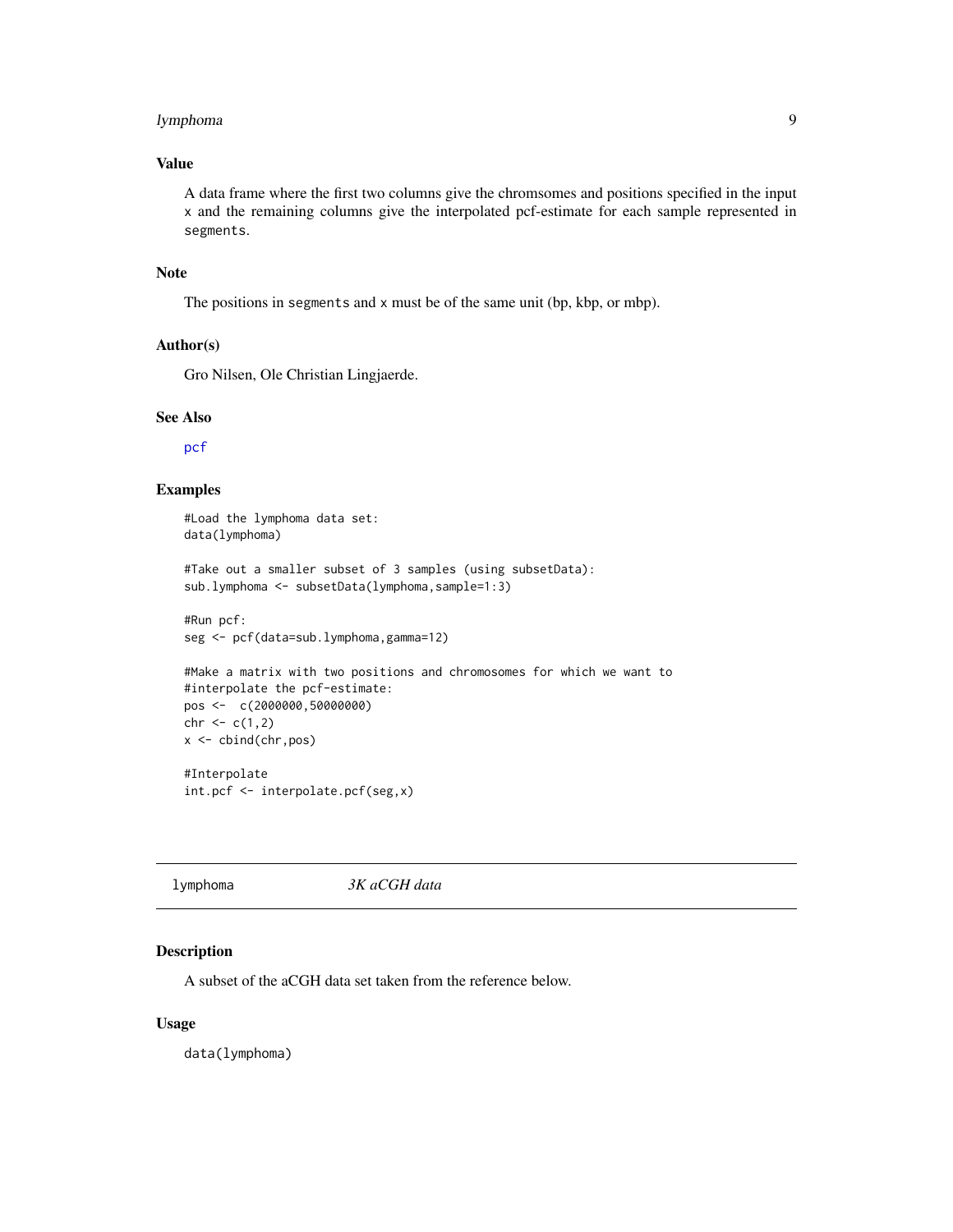# <span id="page-8-0"></span>lymphoma 9

# Value

A data frame where the first two columns give the chromsomes and positions specified in the input x and the remaining columns give the interpolated pcf-estimate for each sample represented in segments.

# Note

The positions in segments and x must be of the same unit (bp, kbp, or mbp).

#### Author(s)

Gro Nilsen, Ole Christian Lingjaerde.

int.pcf <- interpolate.pcf(seg,x)

#### See Also

[pcf](#page-12-1)

# Examples

```
#Load the lymphoma data set:
data(lymphoma)
#Take out a smaller subset of 3 samples (using subsetData):
sub.lymphoma <- subsetData(lymphoma,sample=1:3)
#Run pcf:
seg <- pcf(data=sub.lymphoma,gamma=12)
#Make a matrix with two positions and chromosomes for which we want to
#interpolate the pcf-estimate:
pos <- c(2000000,50000000)
chr < c(1,2)x <- cbind(chr,pos)
#Interpolate
```

|--|

#### Description

A subset of the aCGH data set taken from the reference below.

#### Usage

data(lymphoma)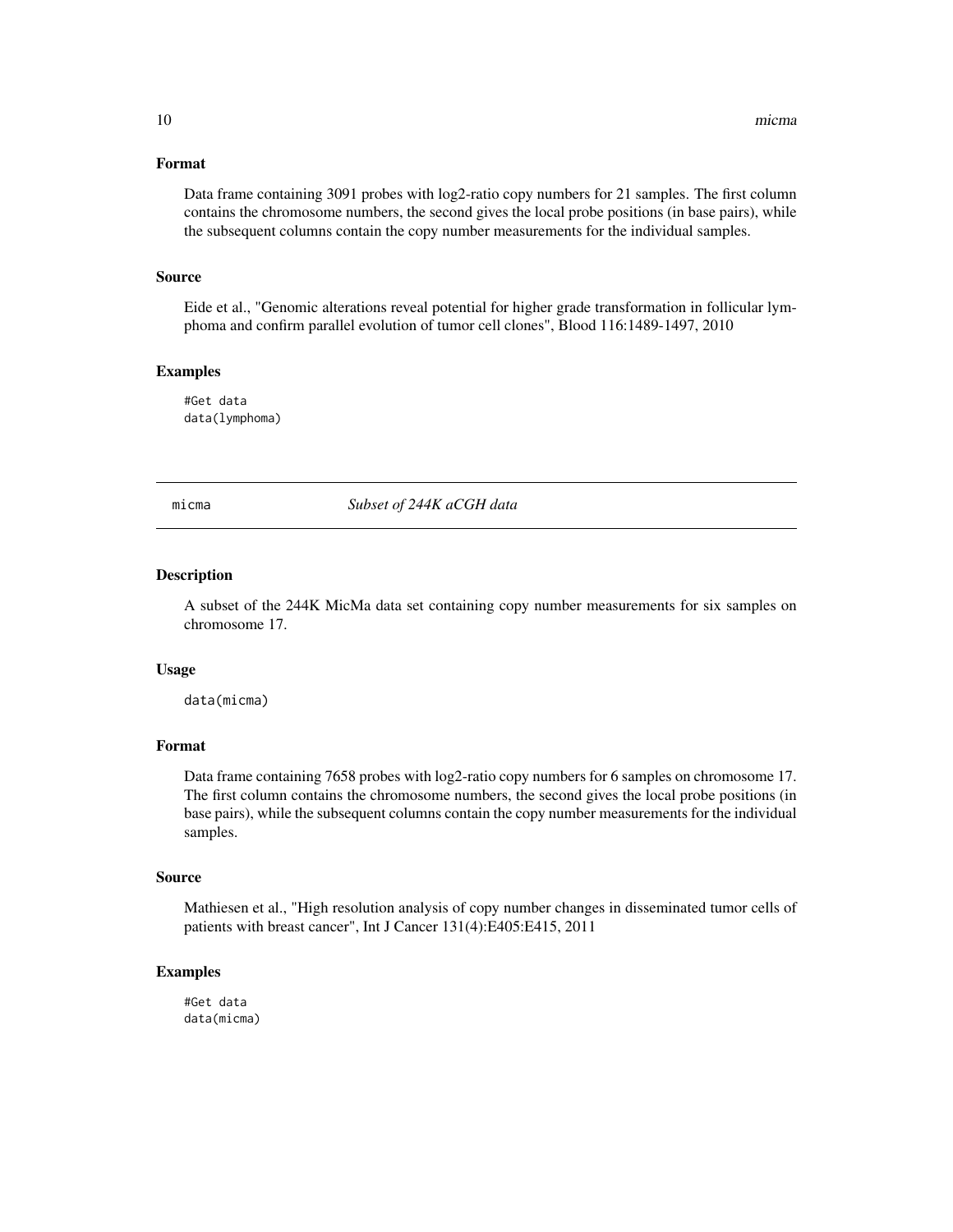# <span id="page-9-0"></span>Format

Data frame containing 3091 probes with log2-ratio copy numbers for 21 samples. The first column contains the chromosome numbers, the second gives the local probe positions (in base pairs), while the subsequent columns contain the copy number measurements for the individual samples.

# Source

Eide et al., "Genomic alterations reveal potential for higher grade transformation in follicular lymphoma and confirm parallel evolution of tumor cell clones", Blood 116:1489-1497, 2010

#### Examples

#Get data data(lymphoma)

micma *Subset of 244K aCGH data*

#### Description

A subset of the 244K MicMa data set containing copy number measurements for six samples on chromosome 17.

#### Usage

data(micma)

#### Format

Data frame containing 7658 probes with log2-ratio copy numbers for 6 samples on chromosome 17. The first column contains the chromosome numbers, the second gives the local probe positions (in base pairs), while the subsequent columns contain the copy number measurements for the individual samples.

#### Source

Mathiesen et al., "High resolution analysis of copy number changes in disseminated tumor cells of patients with breast cancer", Int J Cancer 131(4):E405:E415, 2011

# Examples

#Get data data(micma)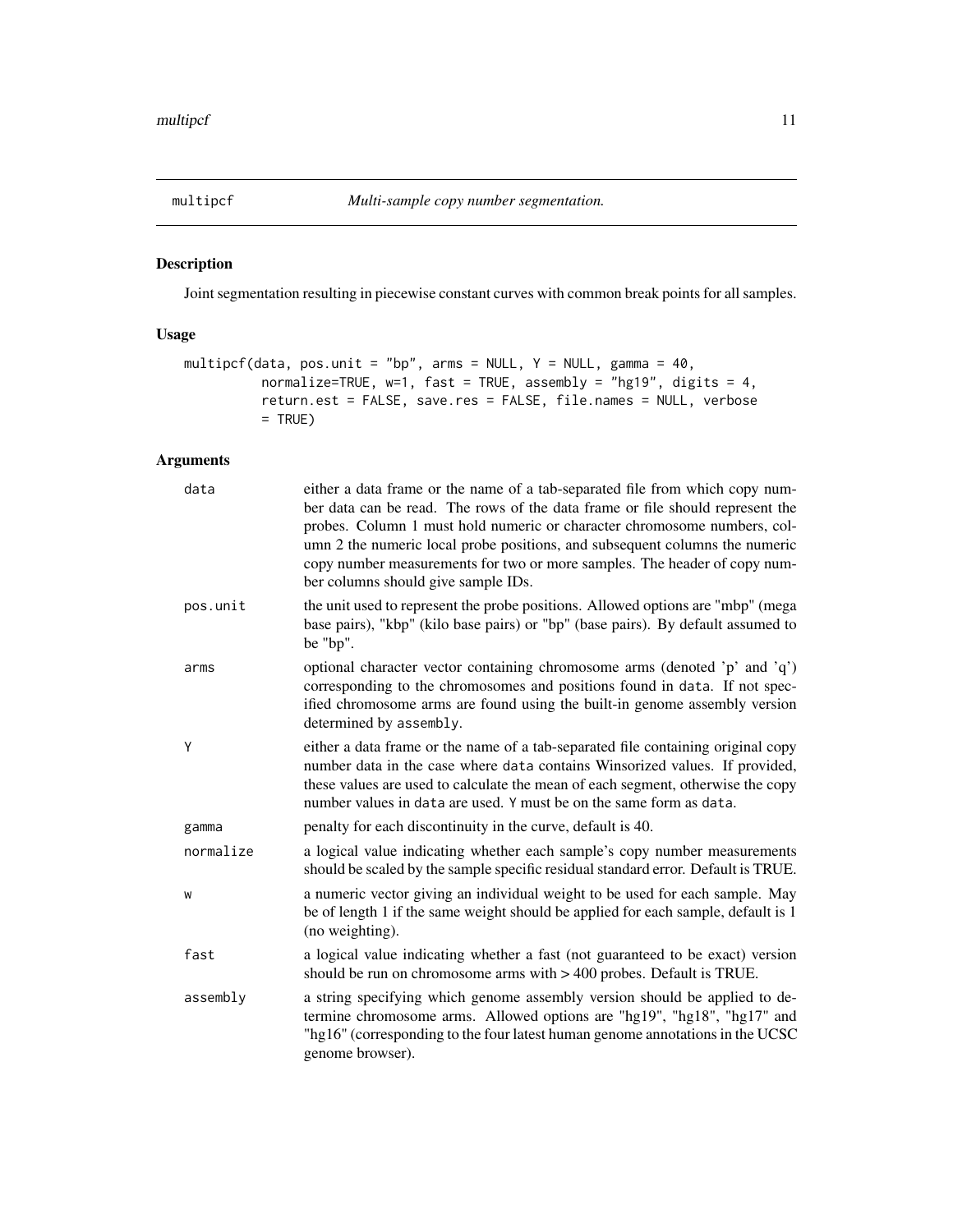<span id="page-10-1"></span><span id="page-10-0"></span>

Joint segmentation resulting in piecewise constant curves with common break points for all samples.

# Usage

```
multipcf(data, pos.unit = "bp", arms = NULL, Y = NULL, gamma = 40,
          normalize=TRUE, w=1, fast = TRUE, assembly = "hg19", digits = 4,
          return.est = FALSE, save.res = FALSE, file.names = NULL, verbose
          = TRUE)
```

| data      | either a data frame or the name of a tab-separated file from which copy num-<br>ber data can be read. The rows of the data frame or file should represent the<br>probes. Column 1 must hold numeric or character chromosome numbers, col-<br>umn 2 the numeric local probe positions, and subsequent columns the numeric<br>copy number measurements for two or more samples. The header of copy num-<br>ber columns should give sample IDs. |
|-----------|----------------------------------------------------------------------------------------------------------------------------------------------------------------------------------------------------------------------------------------------------------------------------------------------------------------------------------------------------------------------------------------------------------------------------------------------|
| pos.unit  | the unit used to represent the probe positions. Allowed options are "mbp" (mega<br>base pairs), "kbp" (kilo base pairs) or "bp" (base pairs). By default assumed to<br>be "bp".                                                                                                                                                                                                                                                              |
| arms      | optional character vector containing chromosome arms (denoted 'p' and 'q')<br>corresponding to the chromosomes and positions found in data. If not spec-<br>ified chromosome arms are found using the built-in genome assembly version<br>determined by assembly.                                                                                                                                                                            |
| Y         | either a data frame or the name of a tab-separated file containing original copy<br>number data in the case where data contains Winsorized values. If provided,<br>these values are used to calculate the mean of each segment, otherwise the copy<br>number values in data are used. Y must be on the same form as data.                                                                                                                    |
| gamma     | penalty for each discontinuity in the curve, default is 40.                                                                                                                                                                                                                                                                                                                                                                                  |
| normalize | a logical value indicating whether each sample's copy number measurements<br>should be scaled by the sample specific residual standard error. Default is TRUE.                                                                                                                                                                                                                                                                               |
| W         | a numeric vector giving an individual weight to be used for each sample. May<br>be of length 1 if the same weight should be applied for each sample, default is 1<br>(no weighting).                                                                                                                                                                                                                                                         |
| fast      | a logical value indicating whether a fast (not guaranteed to be exact) version<br>should be run on chromosome arms with $> 400$ probes. Default is TRUE.                                                                                                                                                                                                                                                                                     |
| assembly  | a string specifying which genome assembly version should be applied to de-<br>termine chromosome arms. Allowed options are "hg19", "hg18", "hg17" and<br>"hg16" (corresponding to the four latest human genome annotations in the UCSC<br>genome browser).                                                                                                                                                                                   |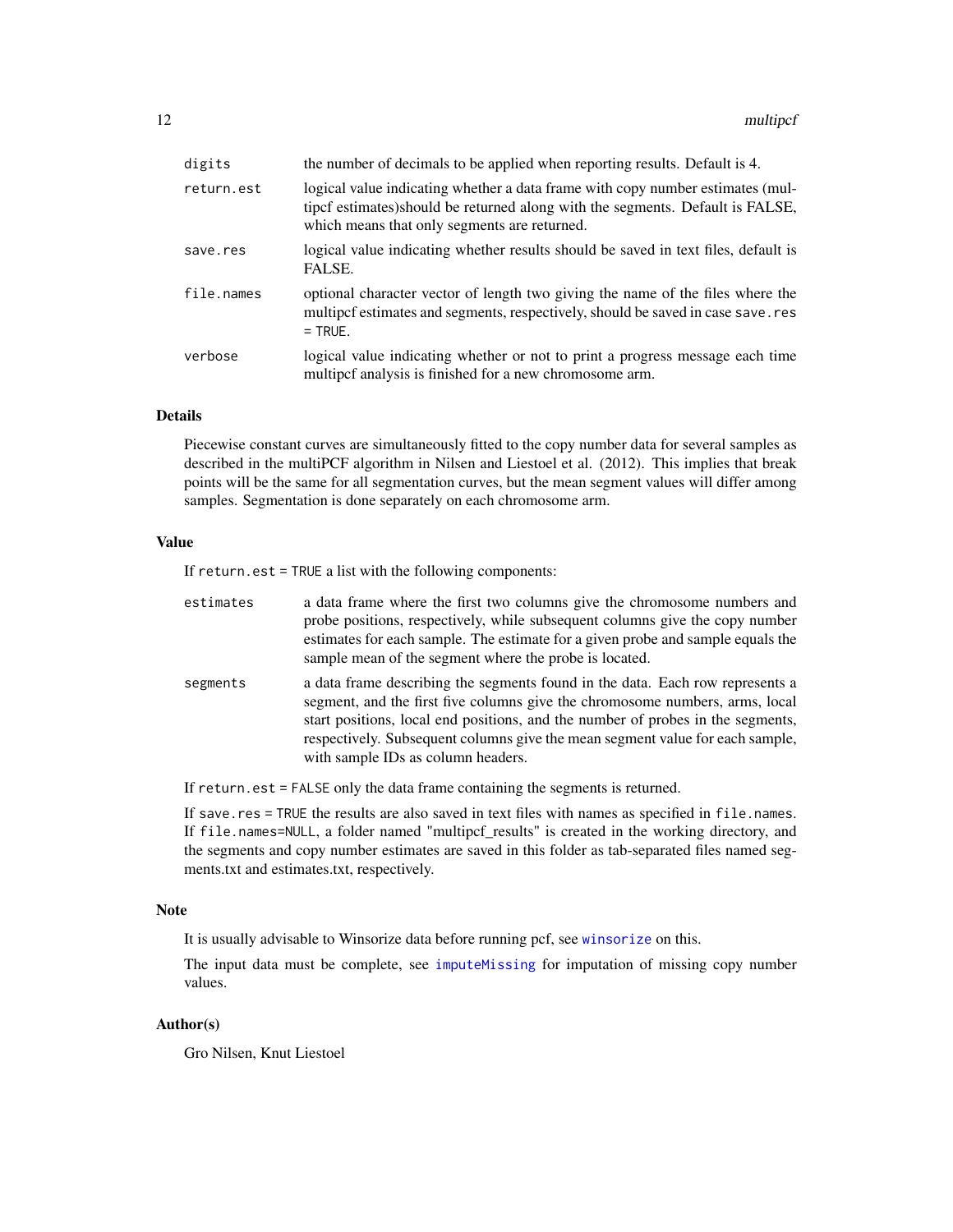<span id="page-11-0"></span>

| digits     | the number of decimals to be applied when reporting results. Default is 4.                                                                                                                                       |
|------------|------------------------------------------------------------------------------------------------------------------------------------------------------------------------------------------------------------------|
| return.est | logical value indicating whether a data frame with copy number estimates (mul-<br>tipcf estimates) should be returned along with the segments. Default is FALSE,<br>which means that only segments are returned. |
| save.res   | logical value indicating whether results should be saved in text files, default is<br>FALSE.                                                                                                                     |
| file.names | optional character vector of length two giving the name of the files where the<br>multipcf estimates and segments, respectively, should be saved in case save.res<br>$=$ TRUE.                                   |
| verbose    | logical value indicating whether or not to print a progress message each time<br>multipef analysis is finished for a new chromosome arm.                                                                         |

# Details

Piecewise constant curves are simultaneously fitted to the copy number data for several samples as described in the multiPCF algorithm in Nilsen and Liestoel et al. (2012). This implies that break points will be the same for all segmentation curves, but the mean segment values will differ among samples. Segmentation is done separately on each chromosome arm.

# Value

If return.est = TRUE a list with the following components:

| estimates | a data frame where the first two columns give the chromosome numbers and<br>probe positions, respectively, while subsequent columns give the copy number<br>estimates for each sample. The estimate for a given probe and sample equals the<br>sample mean of the segment where the probe is located.                                                                   |
|-----------|-------------------------------------------------------------------------------------------------------------------------------------------------------------------------------------------------------------------------------------------------------------------------------------------------------------------------------------------------------------------------|
| segments  | a data frame describing the segments found in the data. Each row represents a<br>segment, and the first five columns give the chromosome numbers, arms, local<br>start positions, local end positions, and the number of probes in the segments,<br>respectively. Subsequent columns give the mean segment value for each sample,<br>with sample IDs as column headers. |

If return.est = FALSE only the data frame containing the segments is returned.

If save.res = TRUE the results are also saved in text files with names as specified in file.names. If file.names=NULL, a folder named "multipcf\_results" is created in the working directory, and the segments and copy number estimates are saved in this folder as tab-separated files named segments.txt and estimates.txt, respectively.

#### Note

It is usually advisable to Winsorize data before running pcf, see [winsorize](#page-40-1) on this.

The input data must be complete, see [imputeMissing](#page-6-1) for imputation of missing copy number values.

# Author(s)

Gro Nilsen, Knut Liestoel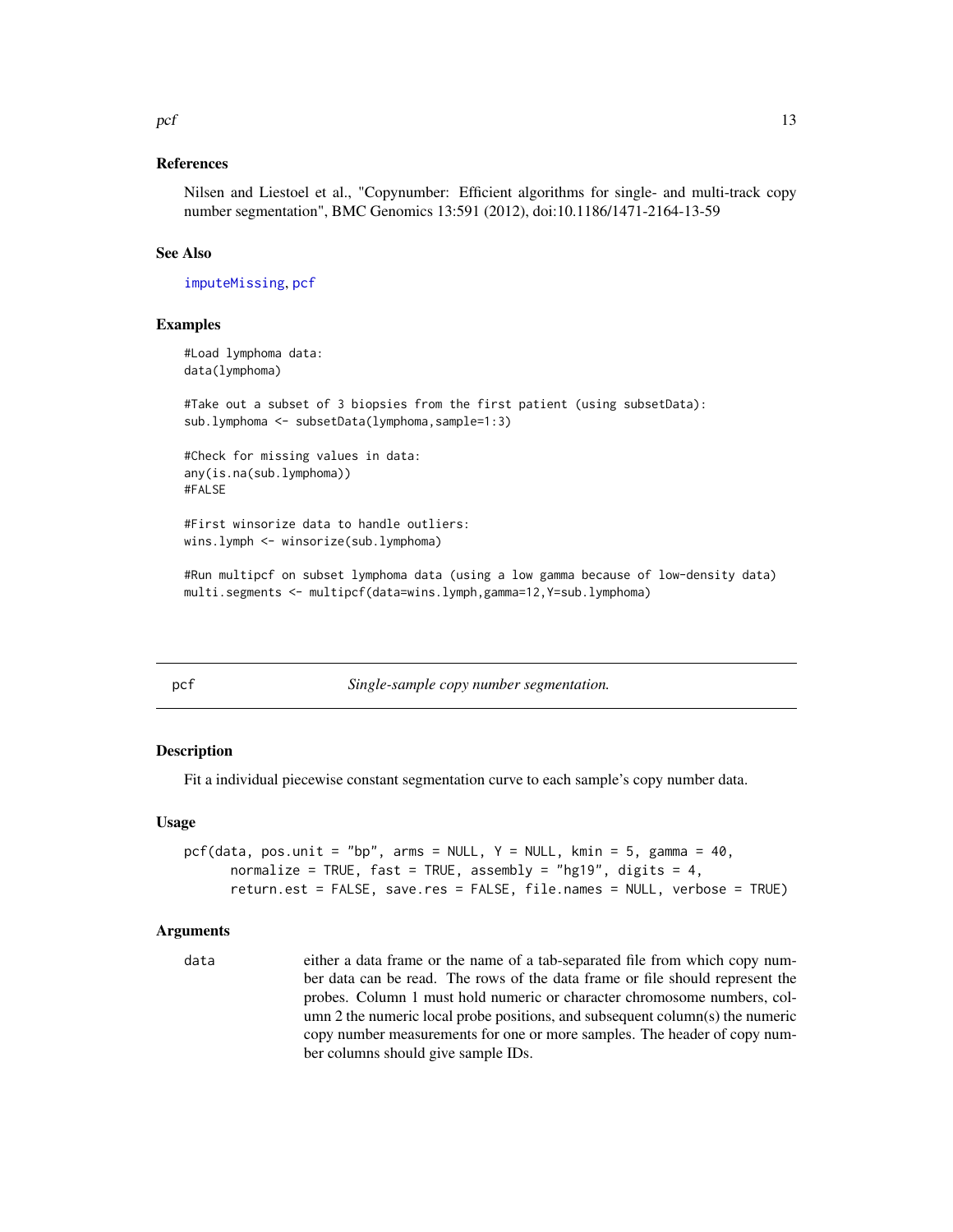#### <span id="page-12-0"></span> $pcf$  13

# References

Nilsen and Liestoel et al., "Copynumber: Efficient algorithms for single- and multi-track copy number segmentation", BMC Genomics 13:591 (2012), doi:10.1186/1471-2164-13-59

#### See Also

[imputeMissing](#page-6-1), [pcf](#page-12-1)

# Examples

```
#Load lymphoma data:
data(lymphoma)
```
#Take out a subset of 3 biopsies from the first patient (using subsetData): sub.lymphoma <- subsetData(lymphoma,sample=1:3)

```
#Check for missing values in data:
any(is.na(sub.lymphoma))
#FALSE
```
#First winsorize data to handle outliers: wins.lymph <- winsorize(sub.lymphoma)

#Run multipcf on subset lymphoma data (using a low gamma because of low-density data) multi.segments <- multipcf(data=wins.lymph,gamma=12,Y=sub.lymphoma)

<span id="page-12-1"></span>

|              | ٠<br>×       | × |
|--------------|--------------|---|
| ۰,<br>$\sim$ | ×<br>٠<br>__ |   |
|              |              |   |

 $Single-sample copy number segmentation.$ 

#### **Description**

Fit a individual piecewise constant segmentation curve to each sample's copy number data.

#### Usage

```
pcf(data, pos.unit = "bp", arms = NULL, Y = NULL, kmin = 5, gamma = 40,
     normalize = TRUE, fast = TRUE, assembly = "hg19", digits = 4,
     return.est = FALSE, save.res = FALSE, file.names = NULL, verbose = TRUE)
```
#### Arguments

data either a data frame or the name of a tab-separated file from which copy number data can be read. The rows of the data frame or file should represent the probes. Column 1 must hold numeric or character chromosome numbers, column 2 the numeric local probe positions, and subsequent column(s) the numeric copy number measurements for one or more samples. The header of copy number columns should give sample IDs.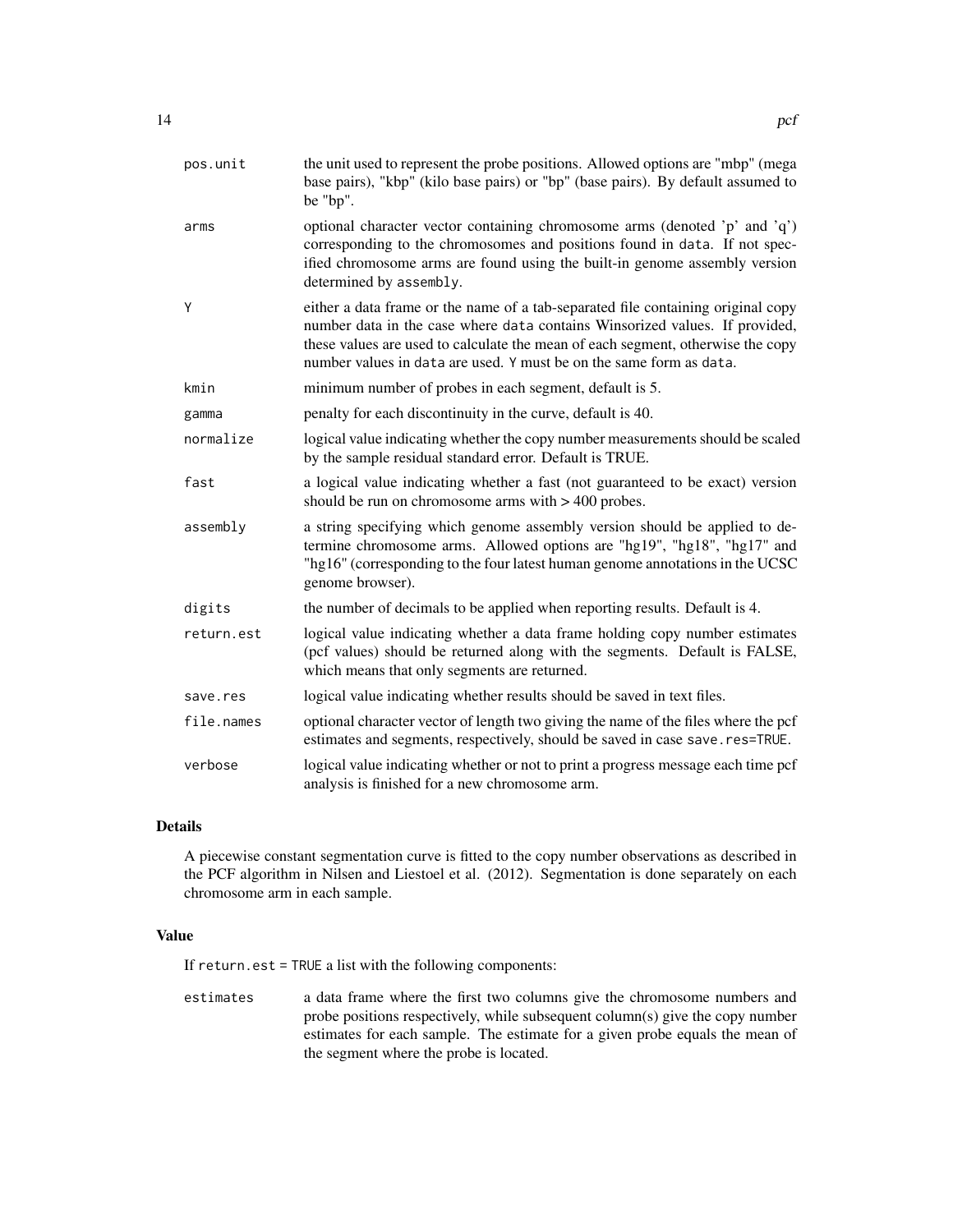| pos.unit   | the unit used to represent the probe positions. Allowed options are "mbp" (mega<br>base pairs), "kbp" (kilo base pairs) or "bp" (base pairs). By default assumed to<br>be "bp".                                                                                                                                           |
|------------|---------------------------------------------------------------------------------------------------------------------------------------------------------------------------------------------------------------------------------------------------------------------------------------------------------------------------|
| arms       | optional character vector containing chromosome arms (denoted 'p' and 'q')<br>corresponding to the chromosomes and positions found in data. If not spec-<br>ified chromosome arms are found using the built-in genome assembly version<br>determined by assembly.                                                         |
| Y          | either a data frame or the name of a tab-separated file containing original copy<br>number data in the case where data contains Winsorized values. If provided,<br>these values are used to calculate the mean of each segment, otherwise the copy<br>number values in data are used. Y must be on the same form as data. |
| kmin       | minimum number of probes in each segment, default is 5.                                                                                                                                                                                                                                                                   |
| gamma      | penalty for each discontinuity in the curve, default is 40.                                                                                                                                                                                                                                                               |
| normalize  | logical value indicating whether the copy number measurements should be scaled<br>by the sample residual standard error. Default is TRUE.                                                                                                                                                                                 |
| fast       | a logical value indicating whether a fast (not guaranteed to be exact) version<br>should be run on chromosome arms with > 400 probes.                                                                                                                                                                                     |
| assembly   | a string specifying which genome assembly version should be applied to de-<br>termine chromosome arms. Allowed options are "hg19", "hg18", "hg17" and<br>"hg16" (corresponding to the four latest human genome annotations in the UCSC<br>genome browser).                                                                |
| digits     | the number of decimals to be applied when reporting results. Default is 4.                                                                                                                                                                                                                                                |
| return.est | logical value indicating whether a data frame holding copy number estimates<br>(pcf values) should be returned along with the segments. Default is FALSE,<br>which means that only segments are returned.                                                                                                                 |
| save.res   | logical value indicating whether results should be saved in text files.                                                                                                                                                                                                                                                   |
| file.names | optional character vector of length two giving the name of the files where the pcf<br>estimates and segments, respectively, should be saved in case save.res=TRUE.                                                                                                                                                        |
| verbose    | logical value indicating whether or not to print a progress message each time pcf<br>analysis is finished for a new chromosome arm.                                                                                                                                                                                       |

# Details

A piecewise constant segmentation curve is fitted to the copy number observations as described in the PCF algorithm in Nilsen and Liestoel et al. (2012). Segmentation is done separately on each chromosome arm in each sample.

#### Value

If return.est = TRUE a list with the following components:

estimates a data frame where the first two columns give the chromosome numbers and probe positions respectively, while subsequent column(s) give the copy number estimates for each sample. The estimate for a given probe equals the mean of the segment where the probe is located.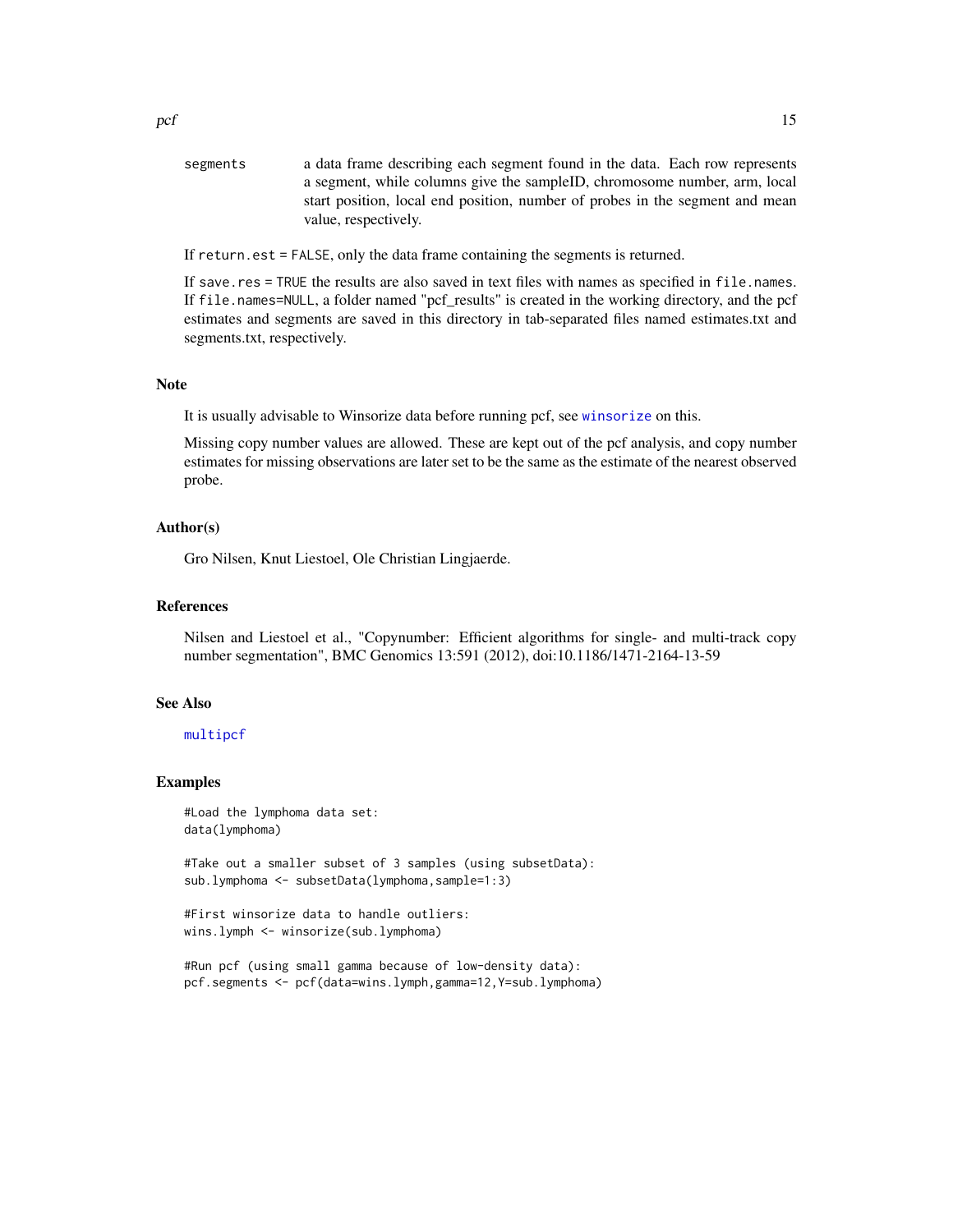<span id="page-14-0"></span>segments a data frame describing each segment found in the data. Each row represents a segment, while columns give the sampleID, chromosome number, arm, local start position, local end position, number of probes in the segment and mean value, respectively.

If return.est = FALSE, only the data frame containing the segments is returned.

If save.res = TRUE the results are also saved in text files with names as specified in file.names. If file.names=NULL, a folder named "pcf\_results" is created in the working directory, and the pcf estimates and segments are saved in this directory in tab-separated files named estimates.txt and segments.txt, respectively.

# Note

It is usually advisable to Winsorize data before running pcf, see [winsorize](#page-40-1) on this.

Missing copy number values are allowed. These are kept out of the pcf analysis, and copy number estimates for missing observations are later set to be the same as the estimate of the nearest observed probe.

#### Author(s)

Gro Nilsen, Knut Liestoel, Ole Christian Lingjaerde.

# References

Nilsen and Liestoel et al., "Copynumber: Efficient algorithms for single- and multi-track copy number segmentation", BMC Genomics 13:591 (2012), doi:10.1186/1471-2164-13-59

# See Also

#### [multipcf](#page-10-1)

#### Examples

```
#Load the lymphoma data set:
data(lymphoma)
```
#Take out a smaller subset of 3 samples (using subsetData): sub.lymphoma <- subsetData(lymphoma,sample=1:3)

```
#First winsorize data to handle outliers:
wins.lymph <- winsorize(sub.lymphoma)
```

```
#Run pcf (using small gamma because of low-density data):
pcf.segments <- pcf(data=wins.lymph,gamma=12,Y=sub.lymphoma)
```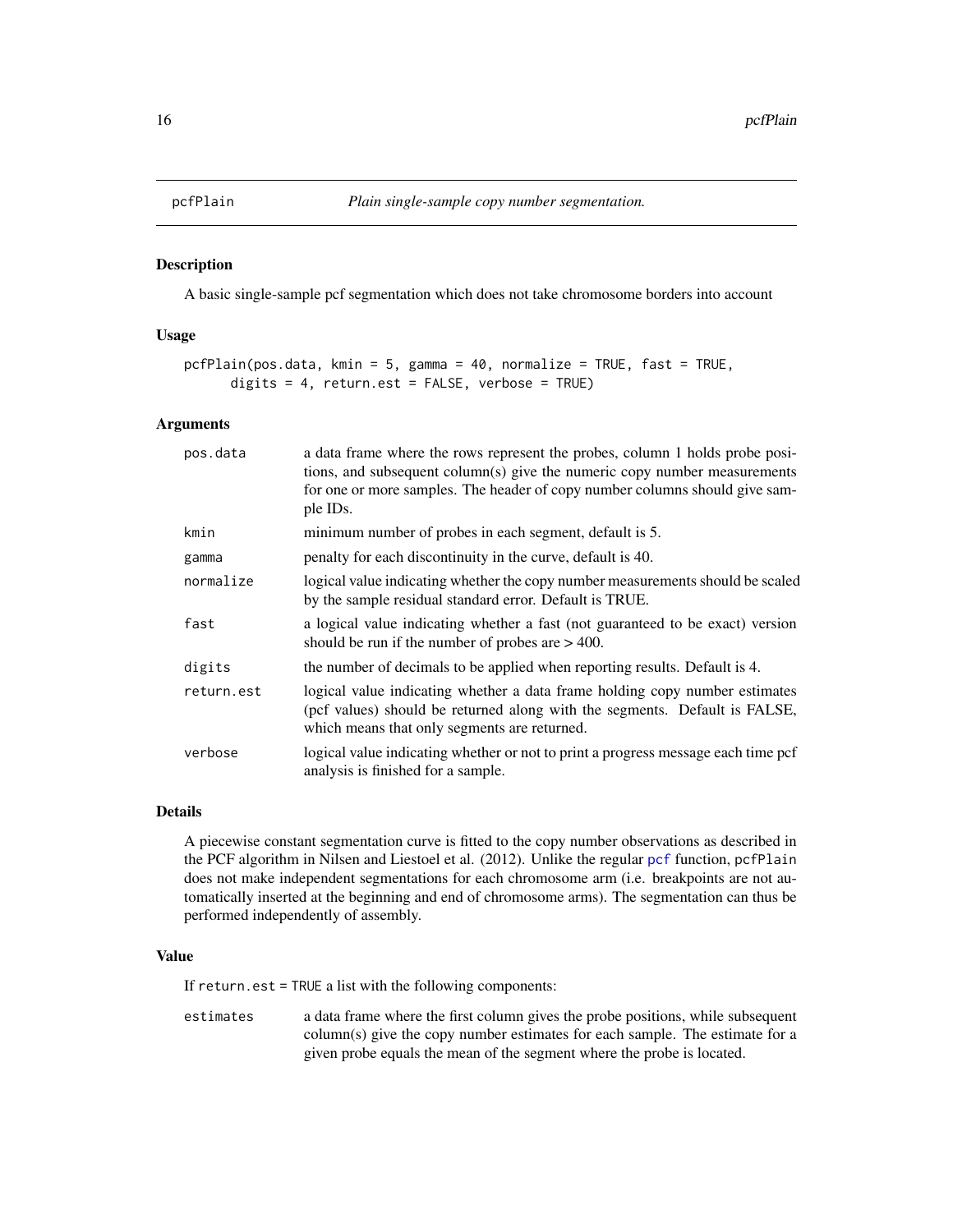<span id="page-15-0"></span>

A basic single-sample pcf segmentation which does not take chromosome borders into account

#### Usage

```
pcfPlain(pos.data, kmin = 5, gamma = 40, normalize = TRUE, fast = TRUE,
     digits = 4, return.est = FALSE, verbose = TRUE)
```
#### Arguments

| pos.data   | a data frame where the rows represent the probes, column 1 holds probe posi-<br>tions, and subsequent column(s) give the numeric copy number measurements<br>for one or more samples. The header of copy number columns should give sam-<br>ple IDs. |
|------------|------------------------------------------------------------------------------------------------------------------------------------------------------------------------------------------------------------------------------------------------------|
| kmin       | minimum number of probes in each segment, default is 5.                                                                                                                                                                                              |
| gamma      | penalty for each discontinuity in the curve, default is 40.                                                                                                                                                                                          |
| normalize  | logical value indicating whether the copy number measurements should be scaled<br>by the sample residual standard error. Default is TRUE.                                                                                                            |
| fast       | a logical value indicating whether a fast (not guaranteed to be exact) version<br>should be run if the number of probes are $> 400$ .                                                                                                                |
| digits     | the number of decimals to be applied when reporting results. Default is 4.                                                                                                                                                                           |
| return.est | logical value indicating whether a data frame holding copy number estimates<br>(pcf values) should be returned along with the segments. Default is FALSE,<br>which means that only segments are returned.                                            |
| verbose    | logical value indicating whether or not to print a progress message each time pcf<br>analysis is finished for a sample.                                                                                                                              |

#### Details

A piecewise constant segmentation curve is fitted to the copy number observations as described in the PCF algorithm in Nilsen and Liestoel et al. (2012). Unlike the regular [pcf](#page-12-1) function, pcfPlain does not make independent segmentations for each chromosome arm (i.e. breakpoints are not automatically inserted at the beginning and end of chromosome arms). The segmentation can thus be performed independently of assembly.

#### Value

If return.est = TRUE a list with the following components:

estimates a data frame where the first column gives the probe positions, while subsequent column(s) give the copy number estimates for each sample. The estimate for a given probe equals the mean of the segment where the probe is located.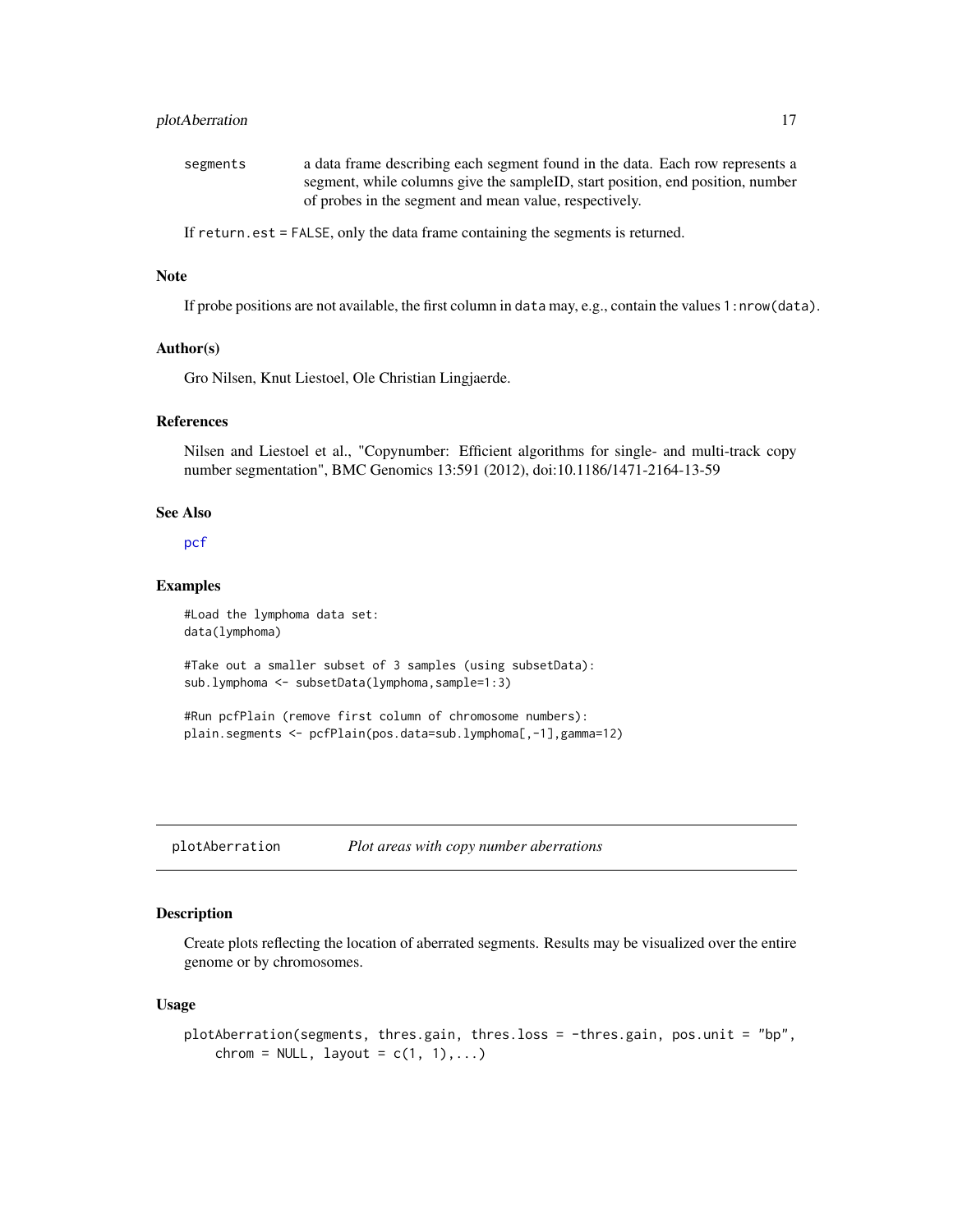# <span id="page-16-0"></span>plotAberration 17

| segments | a data frame describing each segment found in the data. Each row represents a  |
|----------|--------------------------------------------------------------------------------|
|          | segment, while columns give the sampleID, start position, end position, number |
|          | of probes in the segment and mean value, respectively.                         |

If return.est = FALSE, only the data frame containing the segments is returned.

### Note

If probe positions are not available, the first column in data may, e.g., contain the values 1:nrow(data).

#### Author(s)

Gro Nilsen, Knut Liestoel, Ole Christian Lingjaerde.

#### References

Nilsen and Liestoel et al., "Copynumber: Efficient algorithms for single- and multi-track copy number segmentation", BMC Genomics 13:591 (2012), doi:10.1186/1471-2164-13-59

#### See Also

[pcf](#page-12-1)

#### Examples

#Load the lymphoma data set: data(lymphoma)

#Take out a smaller subset of 3 samples (using subsetData): sub.lymphoma <- subsetData(lymphoma,sample=1:3)

#Run pcfPlain (remove first column of chromosome numbers): plain.segments <- pcfPlain(pos.data=sub.lymphoma[,-1],gamma=12)

plotAberration *Plot areas with copy number aberrations*

# Description

Create plots reflecting the location of aberrated segments. Results may be visualized over the entire genome or by chromosomes.

#### Usage

```
plotAberration(segments, thres.gain, thres.loss = -thres.gain, pos.unit = "bp",
    chrom = NULL, layout = c(1, 1), \ldots)
```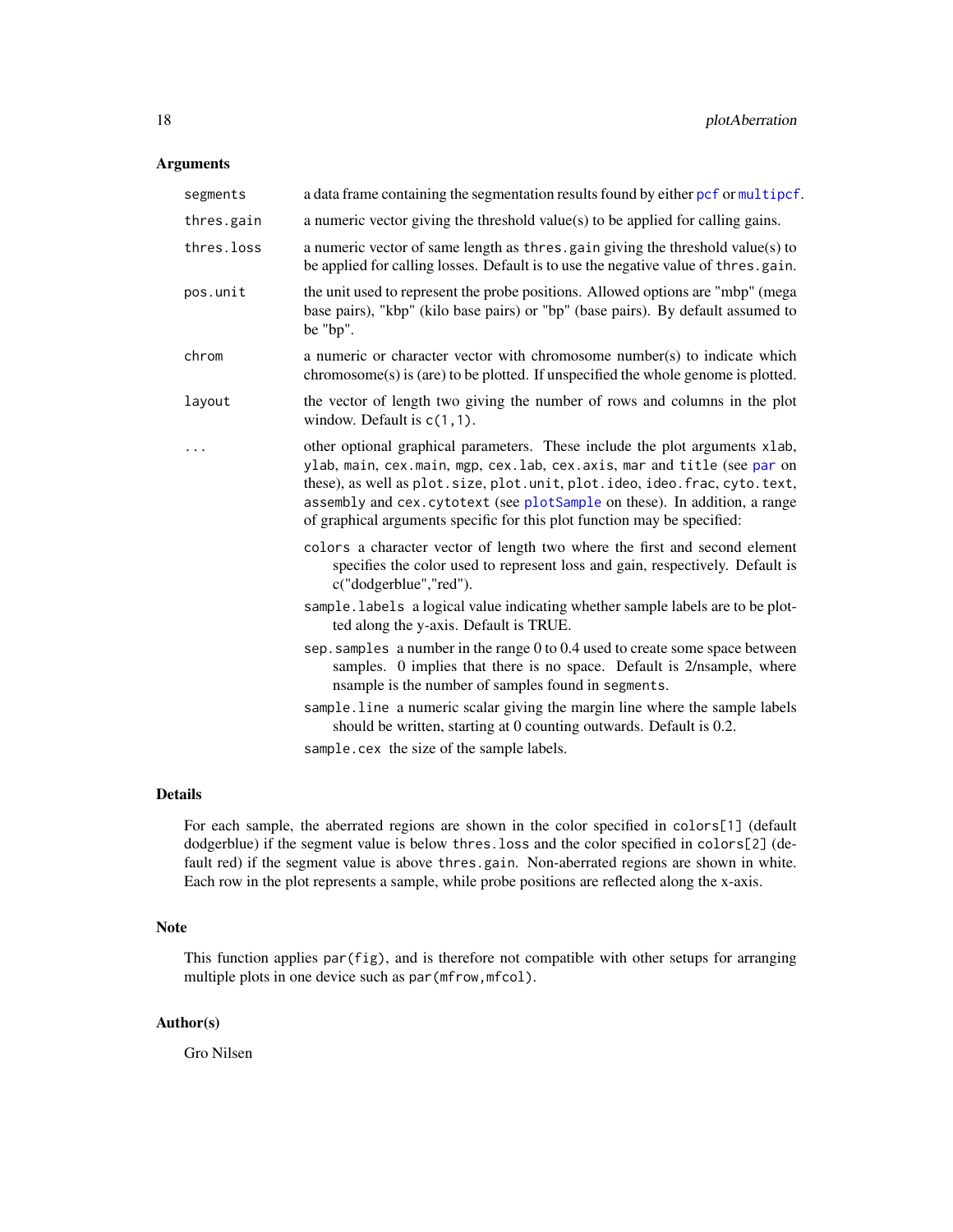# <span id="page-17-0"></span>Arguments

| segments   | a data frame containing the segmentation results found by either pcf or multipcf.                                                                                                                                                                                                                                                                                                                  |
|------------|----------------------------------------------------------------------------------------------------------------------------------------------------------------------------------------------------------------------------------------------------------------------------------------------------------------------------------------------------------------------------------------------------|
| thres.gain | a numeric vector giving the threshold value(s) to be applied for calling gains.                                                                                                                                                                                                                                                                                                                    |
| thres.loss | a numeric vector of same length as thres. gain giving the threshold value(s) to<br>be applied for calling losses. Default is to use the negative value of thres.gain.                                                                                                                                                                                                                              |
| pos.unit   | the unit used to represent the probe positions. Allowed options are "mbp" (mega<br>base pairs), "kbp" (kilo base pairs) or "bp" (base pairs). By default assumed to<br>be "bp".                                                                                                                                                                                                                    |
| chrom      | a numeric or character vector with chromosome number(s) to indicate which<br>$chromosome(s)$ is (are) to be plotted. If unspecified the whole genome is plotted.                                                                                                                                                                                                                                   |
| layout     | the vector of length two giving the number of rows and columns in the plot<br>window. Default is $c(1,1)$ .                                                                                                                                                                                                                                                                                        |
|            | other optional graphical parameters. These include the plot arguments xlab,<br>ylab, main, cex.main, mgp, cex.lab, cex.axis, mar and title (see par on<br>these), as well as plot. size, plot. unit, plot. ideo, ideo. frac, cyto. text,<br>assembly and cex. cytotext (see plotSample on these). In addition, a range<br>of graphical arguments specific for this plot function may be specified: |
|            | colors a character vector of length two where the first and second element<br>specifies the color used to represent loss and gain, respectively. Default is<br>c("dodgerblue","red").                                                                                                                                                                                                              |
|            | sample. labels a logical value indicating whether sample labels are to be plot-<br>ted along the y-axis. Default is TRUE.                                                                                                                                                                                                                                                                          |
|            | sep. samples a number in the range 0 to 0.4 used to create some space between<br>samples. 0 implies that there is no space. Default is 2/nsample, where<br>nsample is the number of samples found in segments.                                                                                                                                                                                     |
|            | sample. line a numeric scalar giving the margin line where the sample labels<br>should be written, starting at 0 counting outwards. Default is 0.2.                                                                                                                                                                                                                                                |
|            | sample.cex the size of the sample labels.                                                                                                                                                                                                                                                                                                                                                          |

# Details

For each sample, the aberrated regions are shown in the color specified in colors[1] (default dodgerblue) if the segment value is below thres.loss and the color specified in colors[2] (default red) if the segment value is above thres.gain. Non-aberrated regions are shown in white. Each row in the plot represents a sample, while probe positions are reflected along the x-axis.

# Note

This function applies par(fig), and is therefore not compatible with other setups for arranging multiple plots in one device such as par (mfrow, mfcol).

# Author(s)

Gro Nilsen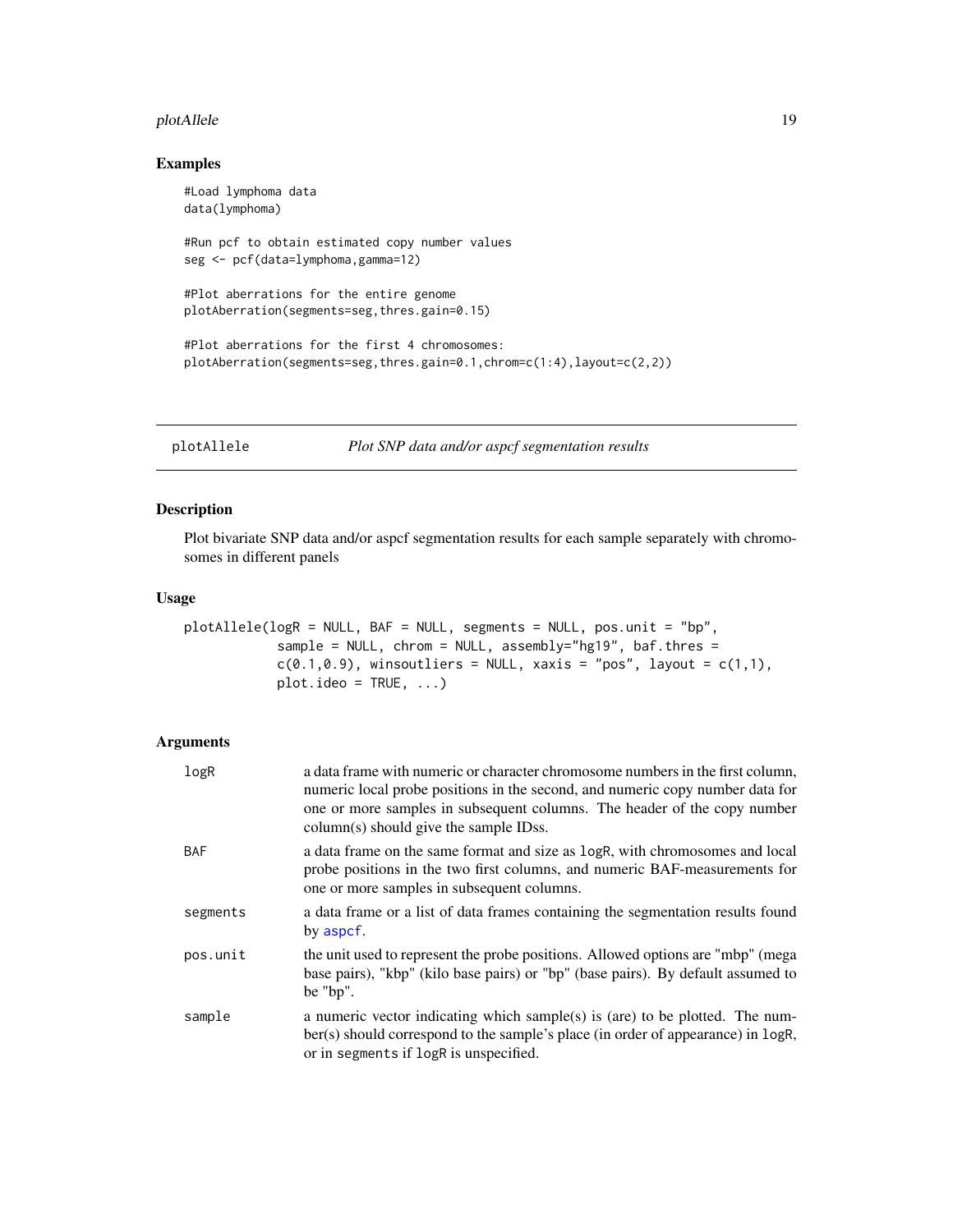#### <span id="page-18-0"></span>plotAllele the contract of the contract of the contract of the contract of the contract of the contract of the contract of the contract of the contract of the contract of the contract of the contract of the contract of the

# Examples

```
#Load lymphoma data
data(lymphoma)
#Run pcf to obtain estimated copy number values
seg <- pcf(data=lymphoma,gamma=12)
#Plot aberrations for the entire genome
plotAberration(segments=seg,thres.gain=0.15)
#Plot aberrations for the first 4 chromosomes:
plotAberration(segments=seg,thres.gain=0.1,chrom=c(1:4),layout=c(2,2))
```

```
plotAllele Plot SNP data and/or aspcf segmentation results
```
# Description

Plot bivariate SNP data and/or aspcf segmentation results for each sample separately with chromosomes in different panels

# Usage

```
plotAllele(logR = NULL, BAF = NULL, segments = NULL, pos.unit = "bp",
            sample = NULL, chrom = NULL, assembly="hg19", baf.thres =
            c(0.1, 0.9), winsoutliers = NULL, xaxis = "pos", layout = c(1,1),
            plotλideo = TRUE, ...)
```

| logR       | a data frame with numeric or character chromosome numbers in the first column,<br>numeric local probe positions in the second, and numeric copy number data for<br>one or more samples in subsequent columns. The header of the copy number<br>column(s) should give the sample IDss. |
|------------|---------------------------------------------------------------------------------------------------------------------------------------------------------------------------------------------------------------------------------------------------------------------------------------|
| <b>BAF</b> | a data frame on the same format and size as logR, with chromosomes and local<br>probe positions in the two first columns, and numeric BAF-measurements for<br>one or more samples in subsequent columns.                                                                              |
| segments   | a data frame or a list of data frames containing the segmentation results found<br>by aspcf.                                                                                                                                                                                          |
| pos.unit   | the unit used to represent the probe positions. Allowed options are "mbp" (mega<br>base pairs), "kbp" (kilo base pairs) or "bp" (base pairs). By default assumed to<br>be "bp".                                                                                                       |
| sample     | a numeric vector indicating which sample(s) is (are) to be plotted. The num-<br>ber(s) should correspond to the sample's place (in order of appearance) in logR,<br>or in segments if logR is unspecified.                                                                            |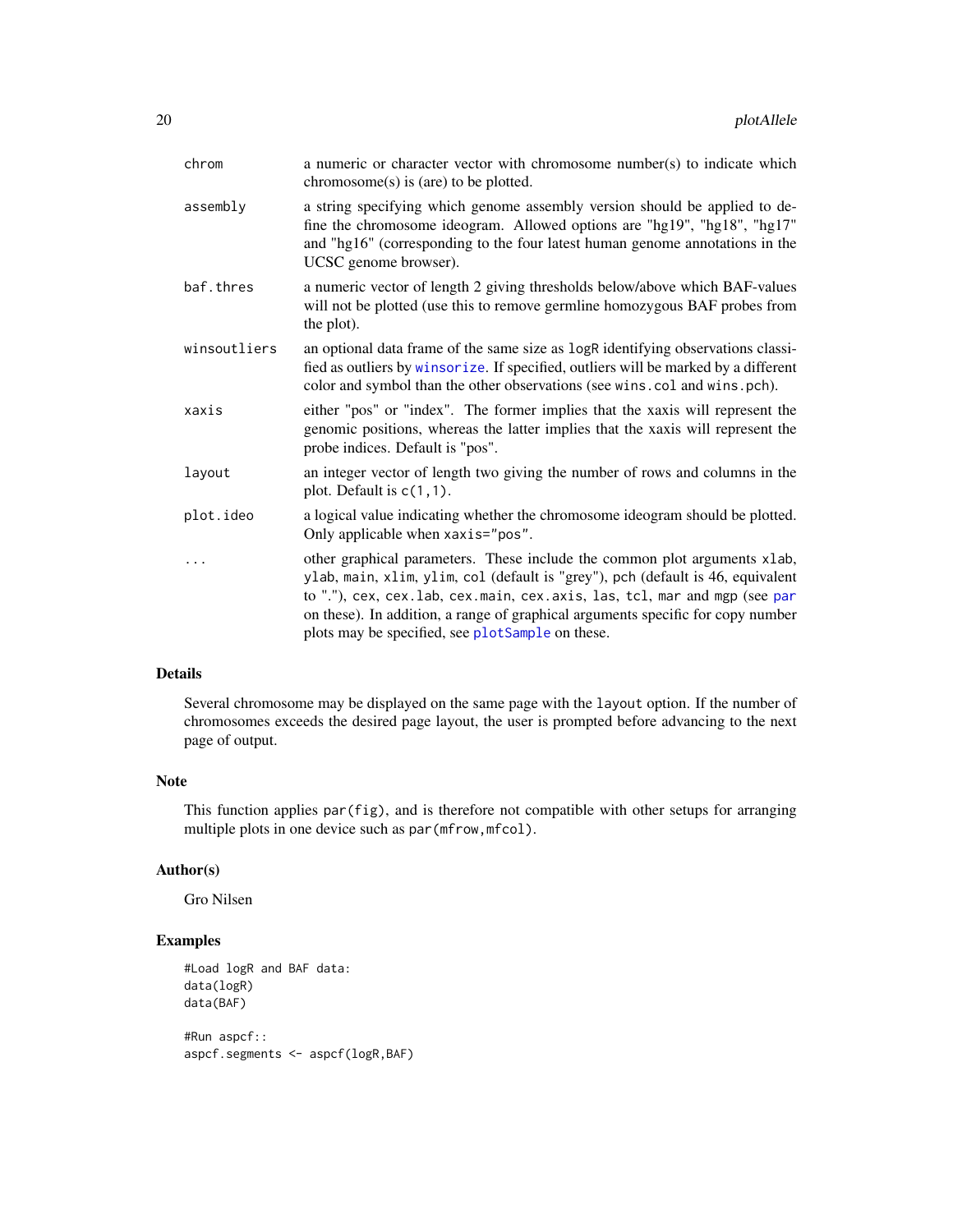<span id="page-19-0"></span>

| chrom        | a numeric or character vector with chromosome number(s) to indicate which<br>$chromosome(s)$ is (are) to be plotted.                                                                                                                                                                                                                                                             |
|--------------|----------------------------------------------------------------------------------------------------------------------------------------------------------------------------------------------------------------------------------------------------------------------------------------------------------------------------------------------------------------------------------|
| assembly     | a string specifying which genome assembly version should be applied to de-<br>fine the chromosome ideogram. Allowed options are "hg19", "hg18", "hg17"<br>and "hg16" (corresponding to the four latest human genome annotations in the<br>UCSC genome browser).                                                                                                                  |
| baf.thres    | a numeric vector of length 2 giving thresholds below/above which BAF-values<br>will not be plotted (use this to remove germline homozygous BAF probes from<br>the plot).                                                                                                                                                                                                         |
| winsoutliers | an optional data frame of the same size as logR identifying observations classi-<br>fied as outliers by winsorize. If specified, outliers will be marked by a different<br>color and symbol than the other observations (see wins.col and wins.pch).                                                                                                                             |
| xaxis        | either "pos" or "index". The former implies that the xaxis will represent the<br>genomic positions, whereas the latter implies that the xaxis will represent the<br>probe indices. Default is "pos".                                                                                                                                                                             |
| layout       | an integer vector of length two giving the number of rows and columns in the<br>plot. Default is $c(1,1)$ .                                                                                                                                                                                                                                                                      |
| plot.ideo    | a logical value indicating whether the chromosome ideogram should be plotted.<br>Only applicable when xaxis="pos".                                                                                                                                                                                                                                                               |
|              | other graphical parameters. These include the common plot arguments xlab,<br>ylab, main, xlim, ylim, col (default is "grey"), pch (default is 46, equivalent<br>to "."), cex, cex.lab, cex.main, cex.axis, las, tcl, mar and mgp (see par<br>on these). In addition, a range of graphical arguments specific for copy number<br>plots may be specified, see plotSample on these. |

# Details

Several chromosome may be displayed on the same page with the layout option. If the number of chromosomes exceeds the desired page layout, the user is prompted before advancing to the next page of output.

#### Note

This function applies par(fig), and is therefore not compatible with other setups for arranging multiple plots in one device such as par (mfrow, mfcol).

# Author(s)

Gro Nilsen

```
#Load logR and BAF data:
data(logR)
data(BAF)
#Run aspcf::
aspcf.segments <- aspcf(logR,BAF)
```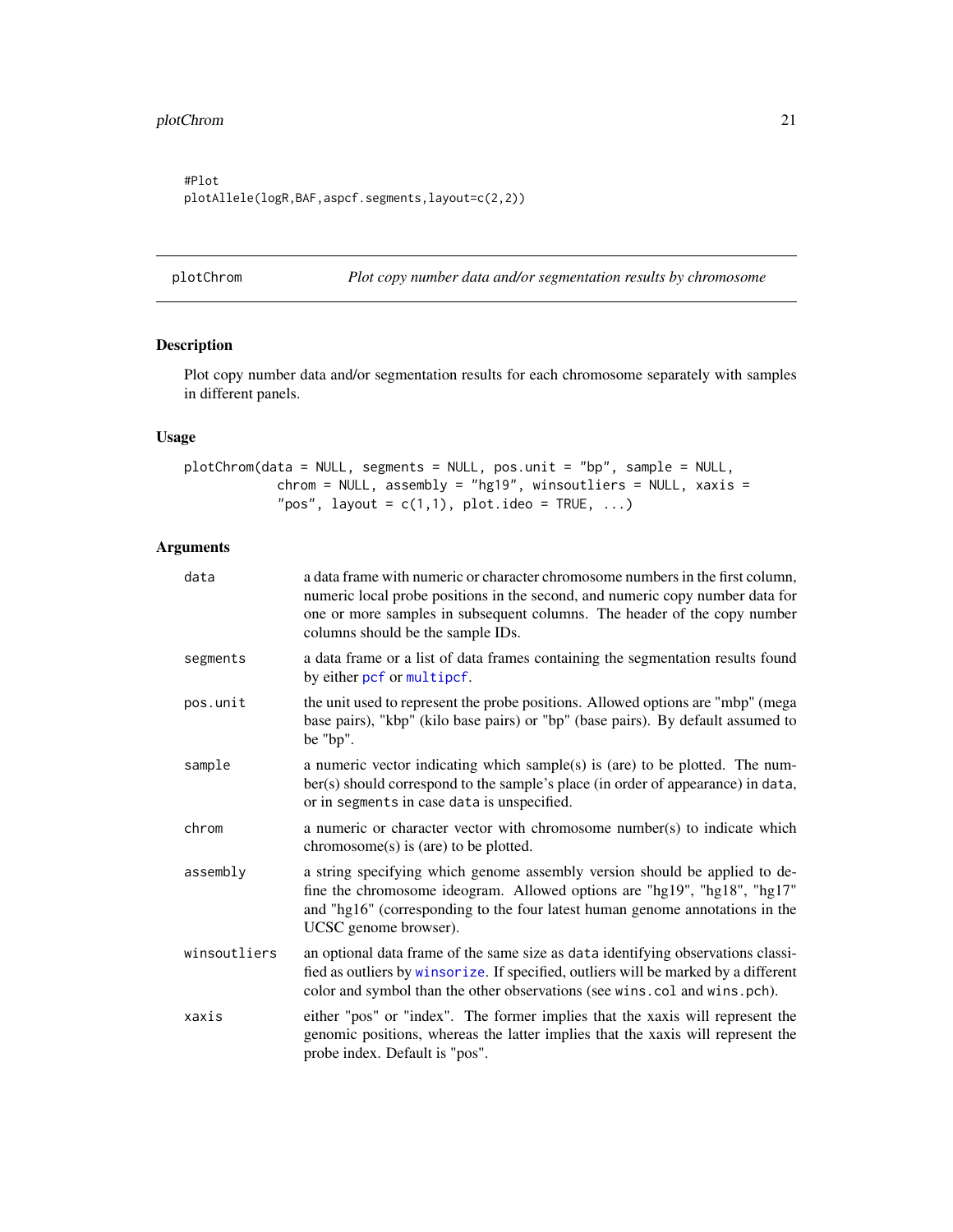<span id="page-20-0"></span>#Plot plotAllele(logR,BAF,aspcf.segments,layout=c(2,2))

<span id="page-20-1"></span>plotChrom *Plot copy number data and/or segmentation results by chromosome*

# Description

Plot copy number data and/or segmentation results for each chromosome separately with samples in different panels.

# Usage

```
plotChrom(data = NULL, segments = NULL, pos.unit = "bp", sample = NULL,
            chrom = NULL, assembly = "hg19", winsoutliers = NULL, xaxis =
            "pos", layout = c(1,1), plot.ideo = TRUE, ...)
```

| data         | a data frame with numeric or character chromosome numbers in the first column,<br>numeric local probe positions in the second, and numeric copy number data for<br>one or more samples in subsequent columns. The header of the copy number<br>columns should be the sample IDs. |
|--------------|----------------------------------------------------------------------------------------------------------------------------------------------------------------------------------------------------------------------------------------------------------------------------------|
| segments     | a data frame or a list of data frames containing the segmentation results found<br>by either pcf or multipcf.                                                                                                                                                                    |
| pos.unit     | the unit used to represent the probe positions. Allowed options are "mbp" (mega<br>base pairs), "kbp" (kilo base pairs) or "bp" (base pairs). By default assumed to<br>be "bp".                                                                                                  |
| sample       | a numeric vector indicating which sample(s) is (are) to be plotted. The num-<br>ber(s) should correspond to the sample's place (in order of appearance) in data,<br>or in segments in case data is unspecified.                                                                  |
| chrom        | a numeric or character vector with chromosome number(s) to indicate which<br>$chromosome(s)$ is (are) to be plotted.                                                                                                                                                             |
| assembly     | a string specifying which genome assembly version should be applied to de-<br>fine the chromosome ideogram. Allowed options are "hg19", "hg18", "hg17"<br>and "hg16" (corresponding to the four latest human genome annotations in the<br>UCSC genome browser).                  |
| winsoutliers | an optional data frame of the same size as data identifying observations classi-<br>fied as outliers by winsorize. If specified, outliers will be marked by a different<br>color and symbol than the other observations (see wins.col and wins.pch).                             |
| xaxis        | either "pos" or "index". The former implies that the xaxis will represent the<br>genomic positions, whereas the latter implies that the xaxis will represent the<br>probe index. Default is "pos".                                                                               |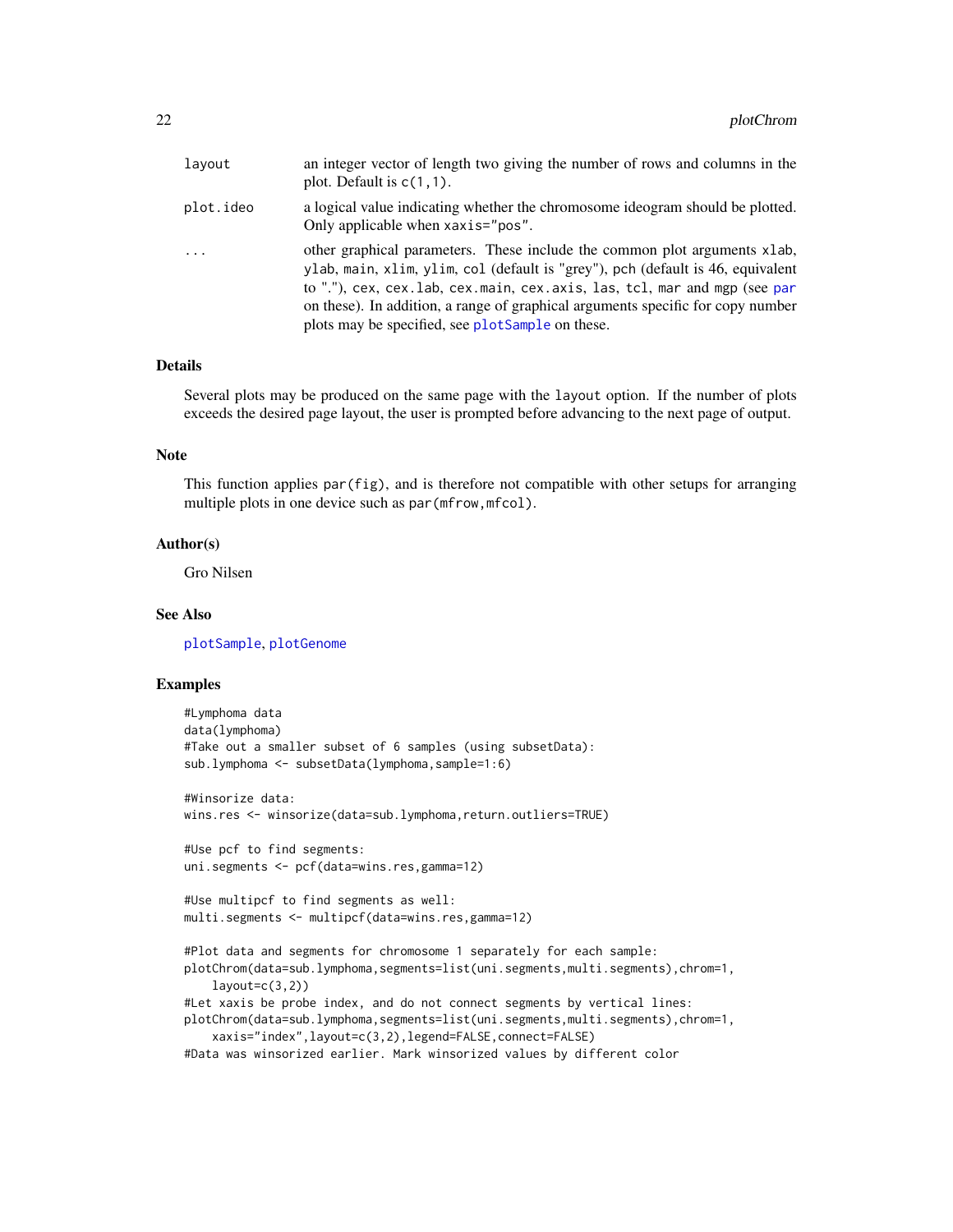<span id="page-21-0"></span>

| layout    | an integer vector of length two giving the number of rows and columns in the<br>plot. Default is $c(1,1)$ .                                                                                                                                                                                                                                                                      |
|-----------|----------------------------------------------------------------------------------------------------------------------------------------------------------------------------------------------------------------------------------------------------------------------------------------------------------------------------------------------------------------------------------|
| plot.ideo | a logical value indicating whether the chromosome ideogram should be plotted.<br>Only applicable when xaxis="pos".                                                                                                                                                                                                                                                               |
| $\cdots$  | other graphical parameters. These include the common plot arguments xlab,<br>ylab, main, xlim, ylim, col (default is "grey"), pch (default is 46, equivalent<br>to "."), cex, cex.lab, cex.main, cex.axis, las, tcl, mar and mgp (see par<br>on these). In addition, a range of graphical arguments specific for copy number<br>plots may be specified, see plotSample on these. |

#### Details

Several plots may be produced on the same page with the layout option. If the number of plots exceeds the desired page layout, the user is prompted before advancing to the next page of output.

# Note

This function applies par(fig), and is therefore not compatible with other setups for arranging multiple plots in one device such as par (mfrow, mfcol).

#### Author(s)

Gro Nilsen

# See Also

[plotSample](#page-32-1), [plotGenome](#page-28-1)

```
#Lymphoma data
data(lymphoma)
#Take out a smaller subset of 6 samples (using subsetData):
sub.lymphoma <- subsetData(lymphoma,sample=1:6)
#Winsorize data:
wins.res <- winsorize(data=sub.lymphoma,return.outliers=TRUE)
#Use pcf to find segments:
uni.segments <- pcf(data=wins.res,gamma=12)
#Use multipcf to find segments as well:
multi.segments <- multipcf(data=wins.res,gamma=12)
#Plot data and segments for chromosome 1 separately for each sample:
plotChrom(data=sub.lymphoma,segments=list(uni.segments,multi.segments),chrom=1,
    layout=c(3,2))#Let xaxis be probe index, and do not connect segments by vertical lines:
plotChrom(data=sub.lymphoma,segments=list(uni.segments,multi.segments),chrom=1,
   xaxis="index",layout=c(3,2),legend=FALSE,connect=FALSE)
#Data was winsorized earlier. Mark winsorized values by different color
```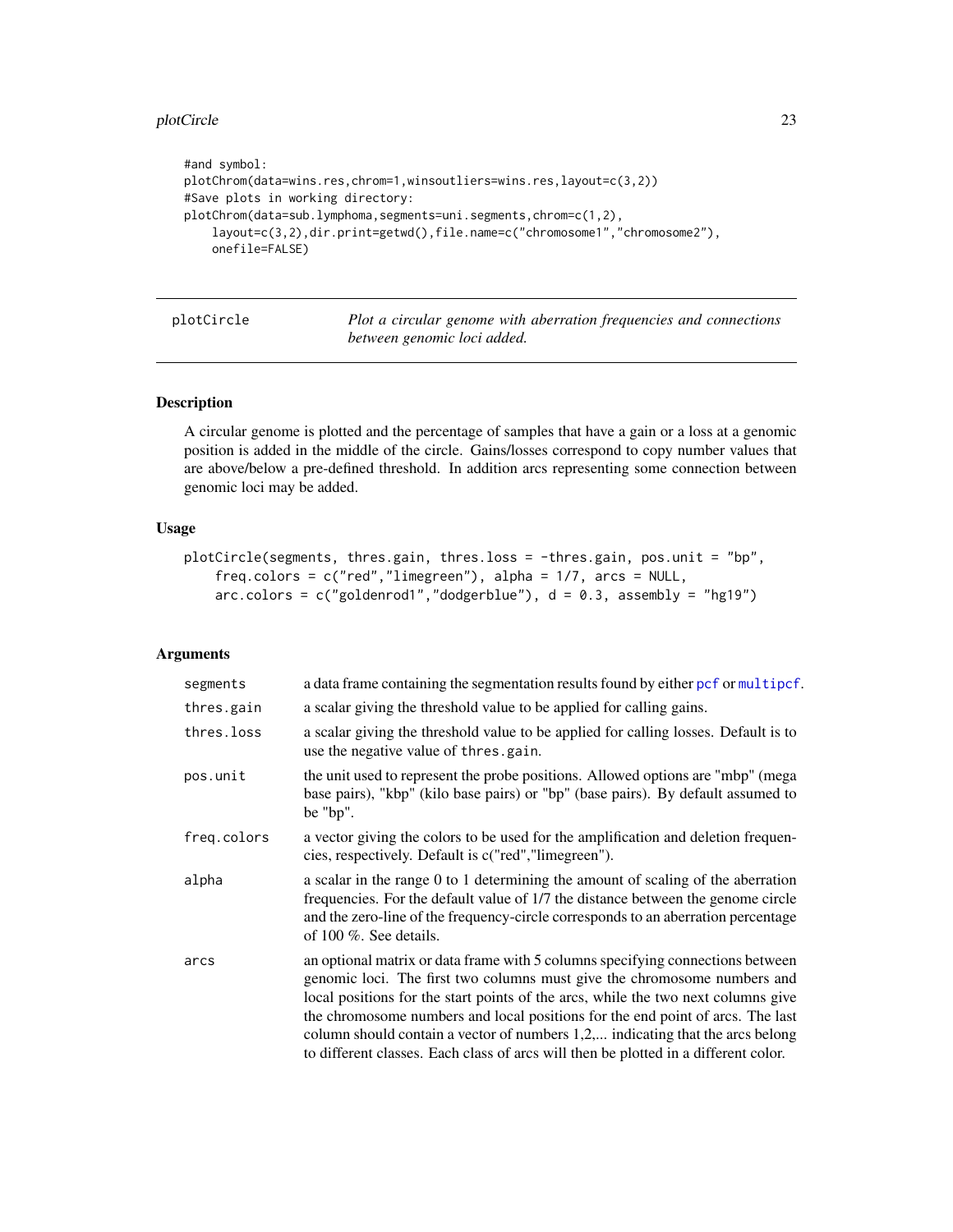#### <span id="page-22-0"></span>plotCircle 23

```
#and symbol:
plotChrom(data=wins.res,chrom=1,winsoutliers=wins.res,layout=c(3,2))
#Save plots in working directory:
plotChrom(data=sub.lymphoma,segments=uni.segments,chrom=c(1,2),
    layout=c(3,2),dir.print=getwd(),file.name=c("chromosome1","chromosome2"),
    onefile=FALSE)
```

| plotCircle |  |  |
|------------|--|--|
|            |  |  |
|            |  |  |

Plot a circular genome with aberration frequencies and connections *between genomic loci added.*

# Description

A circular genome is plotted and the percentage of samples that have a gain or a loss at a genomic position is added in the middle of the circle. Gains/losses correspond to copy number values that are above/below a pre-defined threshold. In addition arcs representing some connection between genomic loci may be added.

#### Usage

```
plotCircle(segments, thres.gain, thres.loss = -thres.gain, pos.unit = "bp",
    freq.colors = c("red","limegreen"), alpha = 1/7, arcs = NULL,
   arccolor = c("goldenrod1", "dodgerblue"), d = 0.3, assembly = "hg19")
```

| segments    | a data frame containing the segmentation results found by either pcf or multipcf.                                                                                                                                                                                                                                                                                                                                                                                                                          |
|-------------|------------------------------------------------------------------------------------------------------------------------------------------------------------------------------------------------------------------------------------------------------------------------------------------------------------------------------------------------------------------------------------------------------------------------------------------------------------------------------------------------------------|
| thres.gain  | a scalar giving the threshold value to be applied for calling gains.                                                                                                                                                                                                                                                                                                                                                                                                                                       |
| thres.loss  | a scalar giving the threshold value to be applied for calling losses. Default is to<br>use the negative value of thres.gain.                                                                                                                                                                                                                                                                                                                                                                               |
| pos.unit    | the unit used to represent the probe positions. Allowed options are "mbp" (mega<br>base pairs), "kbp" (kilo base pairs) or "bp" (base pairs). By default assumed to<br>be "bp".                                                                                                                                                                                                                                                                                                                            |
| freq.colors | a vector giving the colors to be used for the amplification and deletion frequen-<br>cies, respectively. Default is c("red", "limegreen").                                                                                                                                                                                                                                                                                                                                                                 |
| alpha       | a scalar in the range 0 to 1 determining the amount of scaling of the aberration<br>frequencies. For the default value of 1/7 the distance between the genome circle<br>and the zero-line of the frequency-circle corresponds to an aberration percentage<br>of 100 %. See details.                                                                                                                                                                                                                        |
| arcs        | an optional matrix or data frame with 5 columns specifying connections between<br>genomic loci. The first two columns must give the chromosome numbers and<br>local positions for the start points of the arcs, while the two next columns give<br>the chromosome numbers and local positions for the end point of arcs. The last<br>column should contain a vector of numbers 1,2, indicating that the arcs belong<br>to different classes. Each class of arcs will then be plotted in a different color. |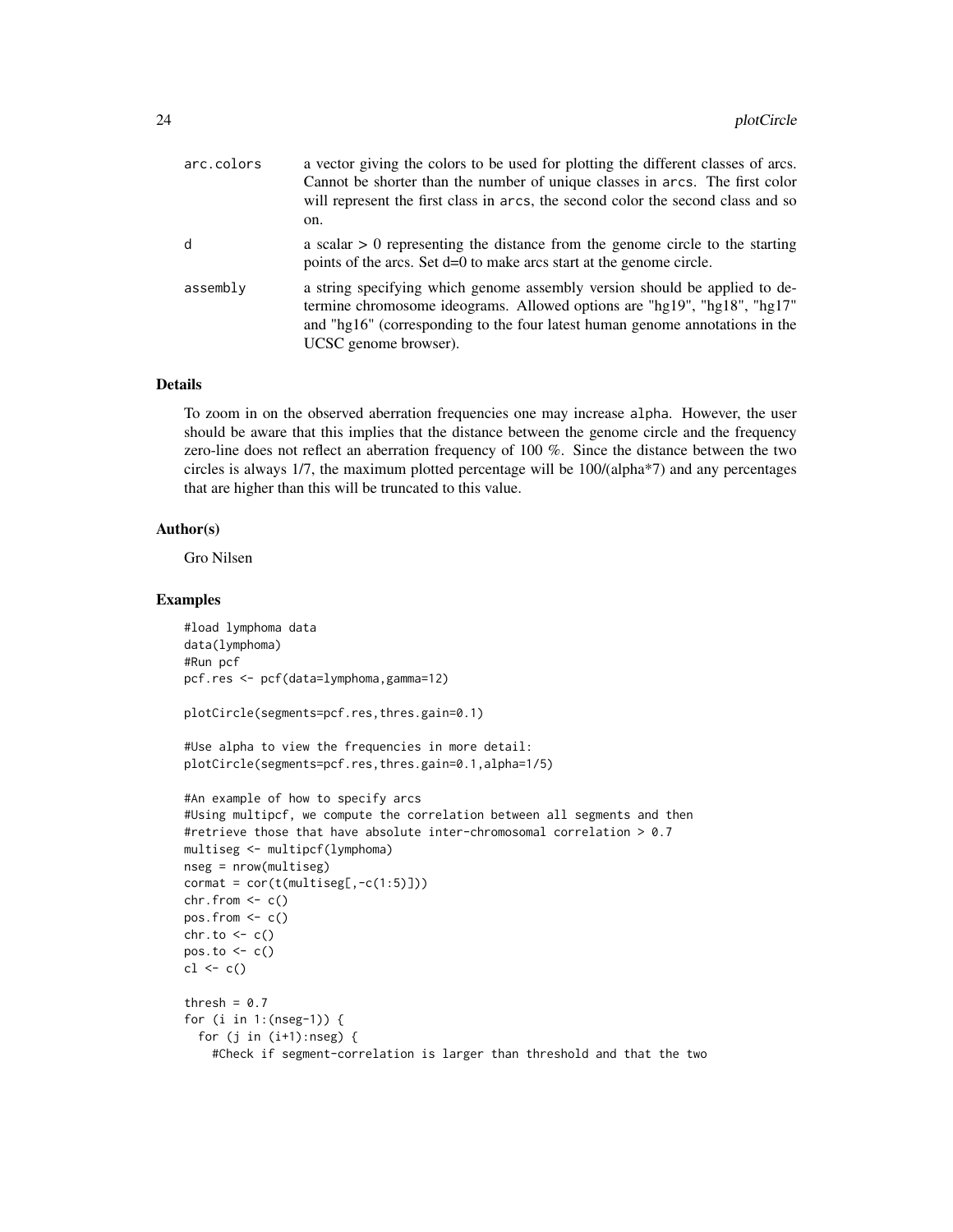| arc.colors | a vector giving the colors to be used for plotting the different classes of arcs.<br>Cannot be shorter than the number of unique classes in arcs. The first color<br>will represent the first class in arcs, the second color the second class and so<br>on.    |
|------------|-----------------------------------------------------------------------------------------------------------------------------------------------------------------------------------------------------------------------------------------------------------------|
| d          | a scalar $> 0$ representing the distance from the genome circle to the starting<br>points of the arcs. Set d=0 to make arcs start at the genome circle.                                                                                                         |
| assembly   | a string specifying which genome assembly version should be applied to de-<br>termine chromosome ideograms. Allowed options are "hg19", "hg18", "hg17"<br>and "hg16" (corresponding to the four latest human genome annotations in the<br>UCSC genome browser). |

#### Details

To zoom in on the observed aberration frequencies one may increase alpha. However, the user should be aware that this implies that the distance between the genome circle and the frequency zero-line does not reflect an aberration frequency of 100 %. Since the distance between the two circles is always 1/7, the maximum plotted percentage will be 100/(alpha\*7) and any percentages that are higher than this will be truncated to this value.

#### Author(s)

Gro Nilsen

```
#load lymphoma data
data(lymphoma)
#Run pcf
pcf.res <- pcf(data=lymphoma,gamma=12)
plotCircle(segments=pcf.res,thres.gain=0.1)
#Use alpha to view the frequencies in more detail:
plotCircle(segments=pcf.res,thres.gain=0.1,alpha=1/5)
#An example of how to specify arcs
#Using multipcf, we compute the correlation between all segments and then
#retrieve those that have absolute inter-chromosomal correlation > 0.7
multiseg <- multipcf(lymphoma)
nseg = nrow(multiseg)
\text{format} = \text{cor}(\text{t}(\text{multiseg}[\,,-\text{c}(1:5)]))chr.from \leftarrow c()pos.from \leq c()chr.to <- c()pos.to <- c()cl \leftarrow c()thresh = 0.7for (i in 1:(nseg-1)) {
  for (j in (i+1):nseg) {
    #Check if segment-correlation is larger than threshold and that the two
```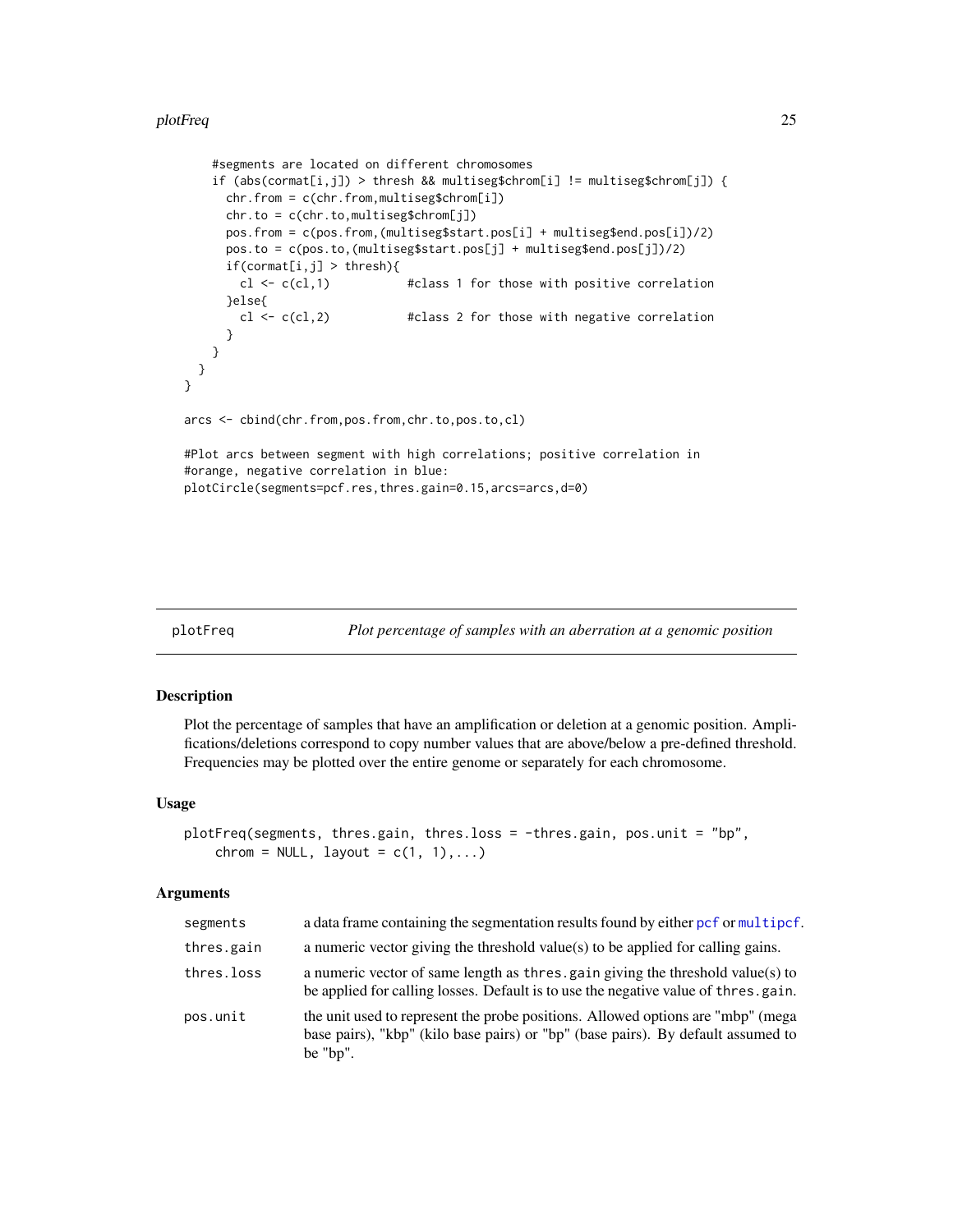```
#segments are located on different chromosomes
    if (abs(cormat[i,j]) > thresh && multiseg$chrom[i] != multiseg$chrom[j]) {
     chr.from = c(chr.from,multiseg$chrom[i])
     chr.to = c(chr.to,multiseg$chrom[j])
     pos.from = c(pos.from,(multiseg$start.pos[i] + multiseg$end.pos[i])/2)
     pos.to = c(pos.to,(multiseg$start.pos[j] + multiseg$end.pos[j])/2)
     if(cormat[i,j] > thresh){
       cl \leftarrow c(cl,1) #class 1 for those with positive correlation
     }else{
       cl \leftarrow c(cl,2) #class 2 for those with negative correlation
     }
   }
 }
}
arcs <- cbind(chr.from,pos.from,chr.to,pos.to,cl)
#Plot arcs between segment with high correlations; positive correlation in
#orange, negative correlation in blue:
plotCircle(segments=pcf.res,thres.gain=0.15,arcs=arcs,d=0)
```
plotFreq *Plot percentage of samples with an aberration at a genomic position*

#### Description

Plot the percentage of samples that have an amplification or deletion at a genomic position. Amplifications/deletions correspond to copy number values that are above/below a pre-defined threshold. Frequencies may be plotted over the entire genome or separately for each chromosome.

#### Usage

```
plotFreq(segments, thres.gain, thres.loss = -thres.gain, pos.unit = "bp",
    chrom = NULL, layout = c(1, 1), \ldots)
```

| segments   | a data frame containing the segmentation results found by either pcf or multipcf.                                                                                                   |
|------------|-------------------------------------------------------------------------------------------------------------------------------------------------------------------------------------|
| thres.gain | a numeric vector giving the threshold value(s) to be applied for calling gains.                                                                                                     |
| thres.loss | a numeric vector of same length as thres, gain giving the threshold value(s) to<br>be applied for calling losses. Default is to use the negative value of thres.gain.               |
| pos.unit   | the unit used to represent the probe positions. Allowed options are "mbp" (mega<br>base pairs), "kbp" (kilo base pairs) or "bp" (base pairs). By default assumed to<br>be " $bp$ ". |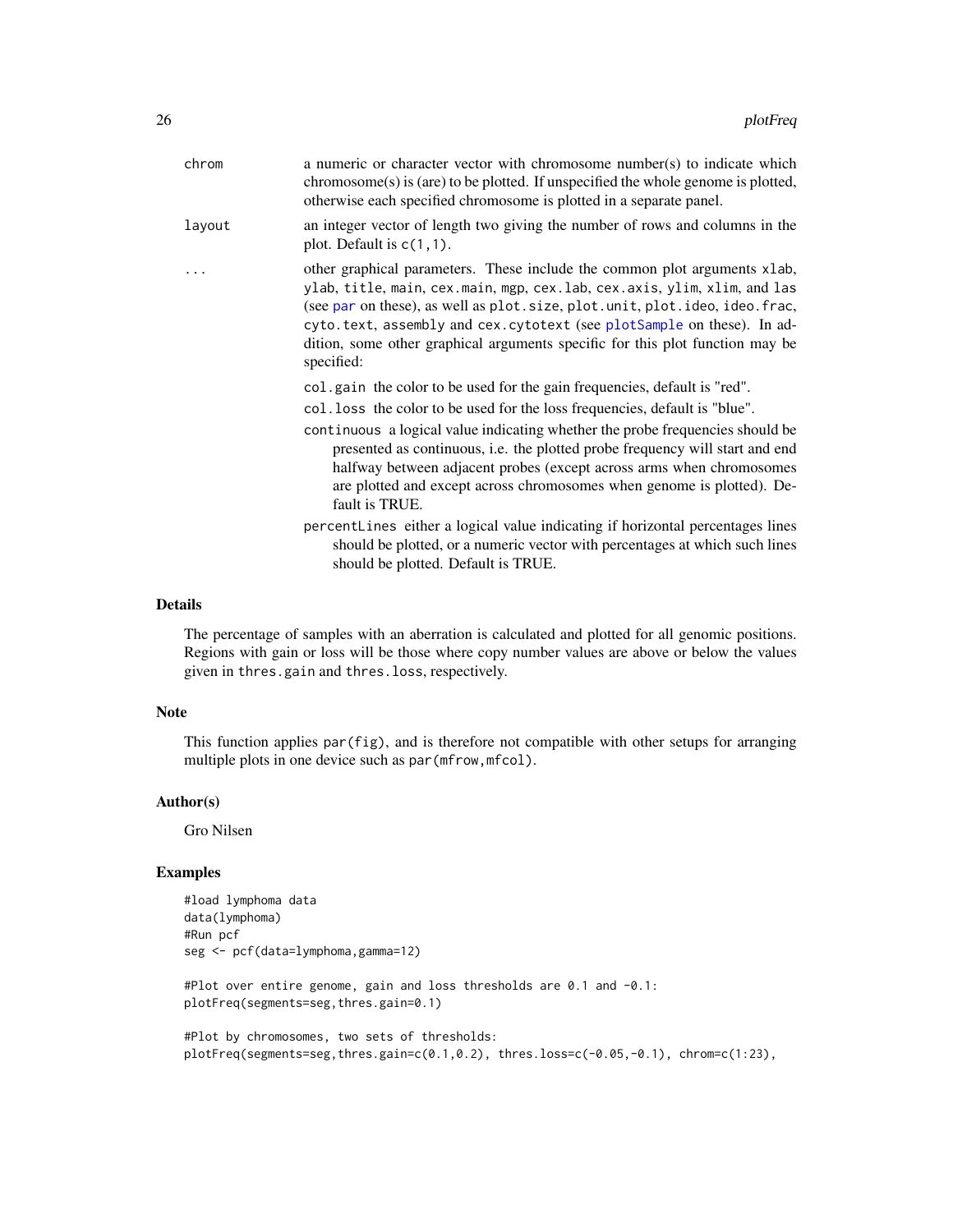<span id="page-25-0"></span>

| chrom  | a numeric or character vector with chromosome number(s) to indicate which<br>$chromosome(s)$ is (are) to be plotted. If unspecified the whole genome is plotted,<br>otherwise each specified chromosome is plotted in a separate panel.                                                                                                                                                                                                                                                                                                                                                                                                                                                                |
|--------|--------------------------------------------------------------------------------------------------------------------------------------------------------------------------------------------------------------------------------------------------------------------------------------------------------------------------------------------------------------------------------------------------------------------------------------------------------------------------------------------------------------------------------------------------------------------------------------------------------------------------------------------------------------------------------------------------------|
| layout | an integer vector of length two giving the number of rows and columns in the<br>plot. Default is $c(1,1)$ .                                                                                                                                                                                                                                                                                                                                                                                                                                                                                                                                                                                            |
| .      | other graphical parameters. These include the common plot arguments xlab,<br>ylab, title, main, cex.main, mgp, cex.lab, cex.axis, ylim, xlim, and las<br>(see par on these), as well as plot. size, plot. unit, plot. ideo, ideo. frac,<br>cyto.text, assembly and cex.cytotext (see plotSample on these). In ad-<br>dition, some other graphical arguments specific for this plot function may be<br>specified:                                                                                                                                                                                                                                                                                       |
|        | col.gain the color to be used for the gain frequencies, default is "red".<br>col. loss the color to be used for the loss frequencies, default is "blue".<br>continuous a logical value indicating whether the probe frequencies should be<br>presented as continuous, i.e. the plotted probe frequency will start and end<br>halfway between adjacent probes (except across arms when chromosomes<br>are plotted and except across chromosomes when genome is plotted). De-<br>fault is TRUE.<br>percent Lines either a logical value indicating if horizontal percentages lines<br>should be plotted, or a numeric vector with percentages at which such lines<br>should be plotted. Default is TRUE. |
|        |                                                                                                                                                                                                                                                                                                                                                                                                                                                                                                                                                                                                                                                                                                        |

# Details

The percentage of samples with an aberration is calculated and plotted for all genomic positions. Regions with gain or loss will be those where copy number values are above or below the values given in thres.gain and thres.loss, respectively.

# Note

This function applies par(fig), and is therefore not compatible with other setups for arranging multiple plots in one device such as par (mfrow, mfcol).

#### Author(s)

Gro Nilsen

```
#load lymphoma data
data(lymphoma)
#Run pcf
seg <- pcf(data=lymphoma,gamma=12)
#Plot over entire genome, gain and loss thresholds are 0.1 and -0.1:
plotFreq(segments=seg,thres.gain=0.1)
#Plot by chromosomes, two sets of thresholds:
plotFreq(segments=seg,thres.gain=c(0.1,0.2), thres.loss=c(-0.05,-0.1), chrom=c(1:23),
```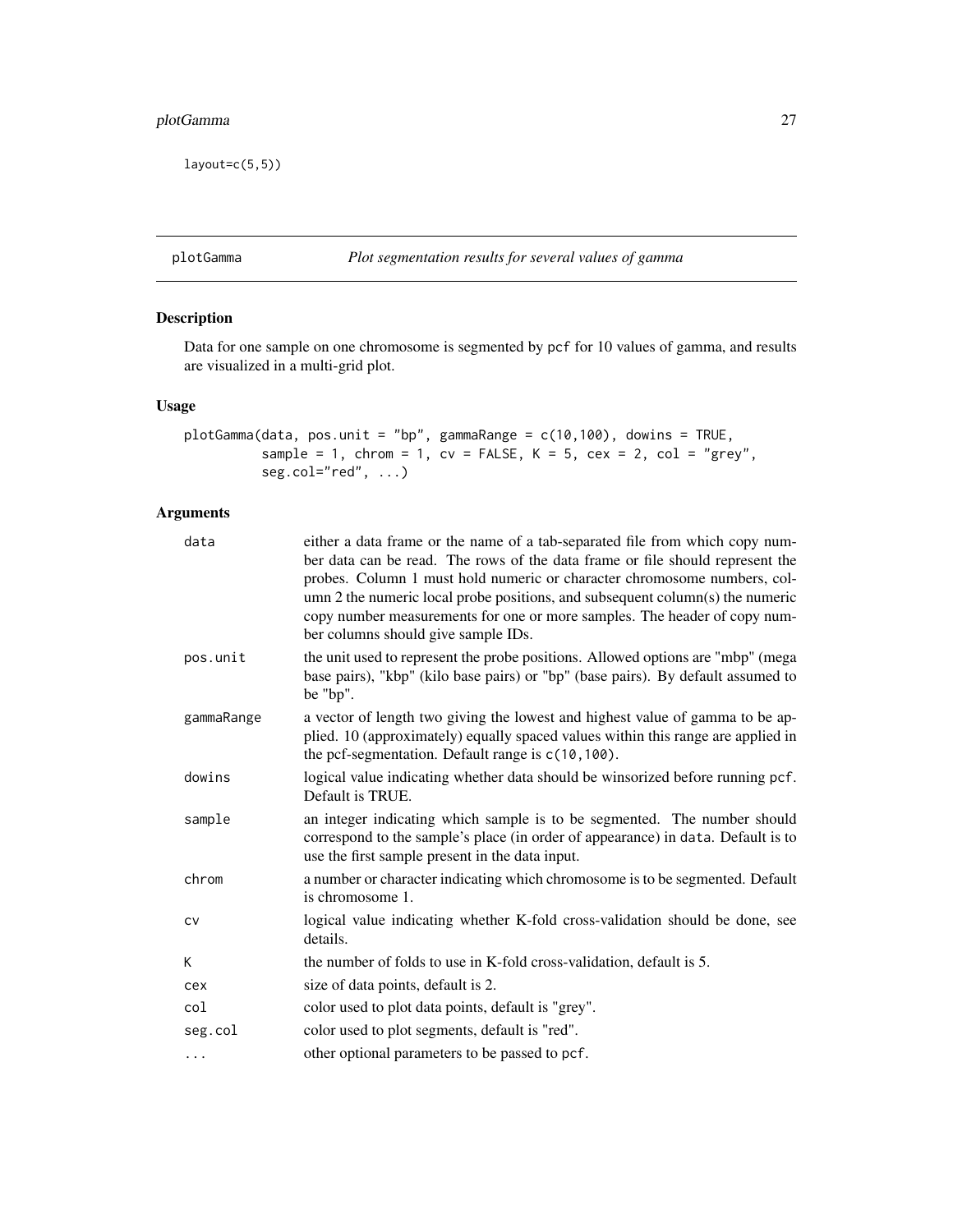# <span id="page-26-0"></span>plotGamma 27

 $l$ ayout=c $(5,5)$ )

plotGamma *Plot segmentation results for several values of gamma*

# Description

Data for one sample on one chromosome is segmented by pcf for 10 values of gamma, and results are visualized in a multi-grid plot.

# Usage

```
plotGamma(data, pos.unit = "bp", gammaRange = c(10,100), dowins = TRUE,
         sample = 1, chrom = 1, cv = FALSE, K = 5, cex = 2, col = "grey",seg.col="red", ...)
```

| data       | either a data frame or the name of a tab-separated file from which copy num-<br>ber data can be read. The rows of the data frame or file should represent the<br>probes. Column 1 must hold numeric or character chromosome numbers, col-<br>umn 2 the numeric local probe positions, and subsequent column(s) the numeric<br>copy number measurements for one or more samples. The header of copy num-<br>ber columns should give sample IDs. |
|------------|------------------------------------------------------------------------------------------------------------------------------------------------------------------------------------------------------------------------------------------------------------------------------------------------------------------------------------------------------------------------------------------------------------------------------------------------|
| pos.unit   | the unit used to represent the probe positions. Allowed options are "mbp" (mega<br>base pairs), "kbp" (kilo base pairs) or "bp" (base pairs). By default assumed to<br>be "bp".                                                                                                                                                                                                                                                                |
| gammaRange | a vector of length two giving the lowest and highest value of gamma to be ap-<br>plied. 10 (approximately) equally spaced values within this range are applied in<br>the pcf-segmentation. Default range is $c(10, 100)$ .                                                                                                                                                                                                                     |
| dowins     | logical value indicating whether data should be winsorized before running pcf.<br>Default is TRUE.                                                                                                                                                                                                                                                                                                                                             |
| sample     | an integer indicating which sample is to be segmented. The number should<br>correspond to the sample's place (in order of appearance) in data. Default is to<br>use the first sample present in the data input.                                                                                                                                                                                                                                |
| chrom      | a number or character indicating which chromosome is to be segmented. Default<br>is chromosome 1.                                                                                                                                                                                                                                                                                                                                              |
| CV         | logical value indicating whether K-fold cross-validation should be done, see<br>details.                                                                                                                                                                                                                                                                                                                                                       |
| K          | the number of folds to use in K-fold cross-validation, default is 5.                                                                                                                                                                                                                                                                                                                                                                           |
| cex        | size of data points, default is 2.                                                                                                                                                                                                                                                                                                                                                                                                             |
| col        | color used to plot data points, default is "grey".                                                                                                                                                                                                                                                                                                                                                                                             |
| seg.col    | color used to plot segments, default is "red".                                                                                                                                                                                                                                                                                                                                                                                                 |
| $\cdots$   | other optional parameters to be passed to pcf.                                                                                                                                                                                                                                                                                                                                                                                                 |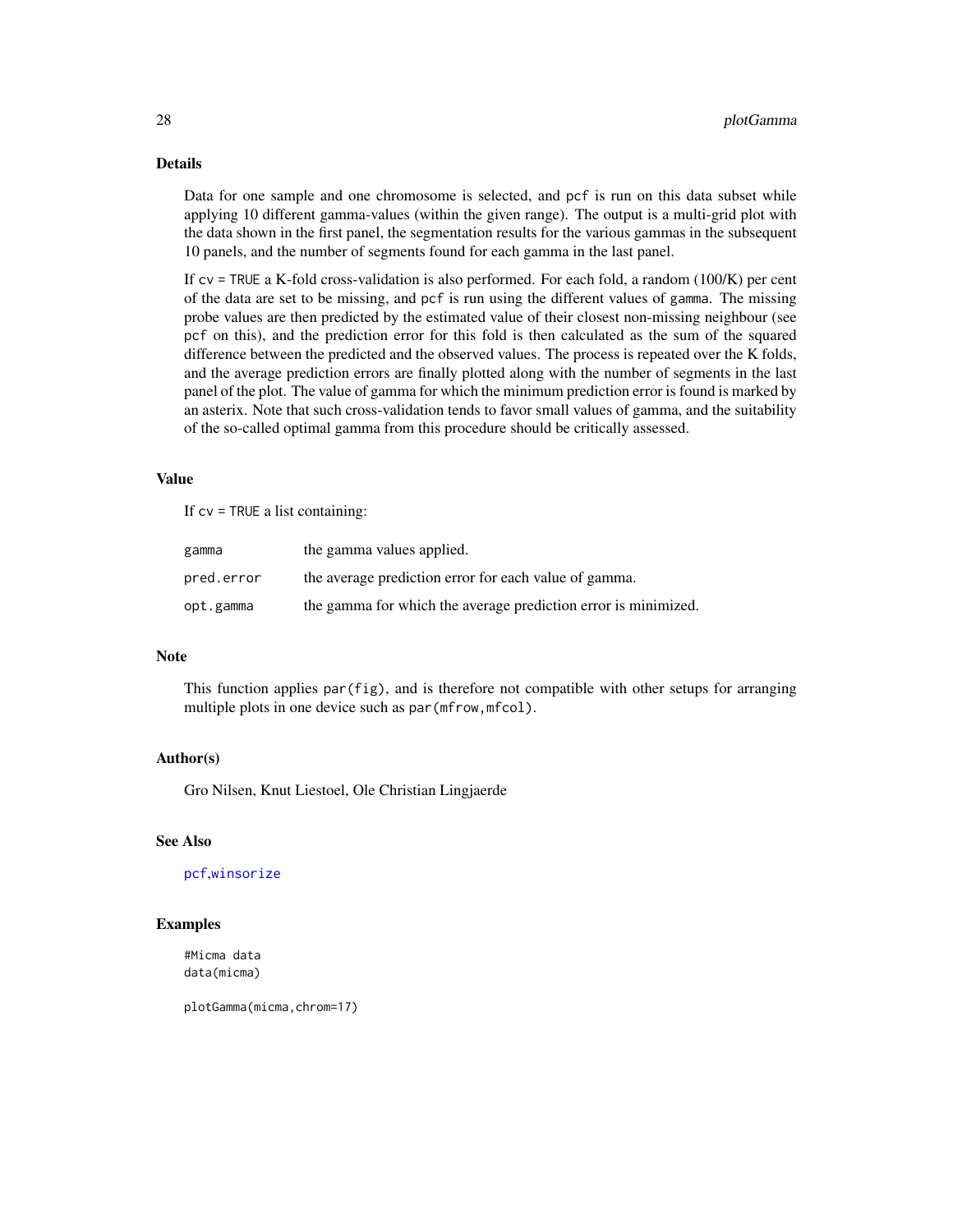# <span id="page-27-0"></span>Details

Data for one sample and one chromosome is selected, and pcf is run on this data subset while applying 10 different gamma-values (within the given range). The output is a multi-grid plot with the data shown in the first panel, the segmentation results for the various gammas in the subsequent 10 panels, and the number of segments found for each gamma in the last panel.

If  $cv = TRUE$  a K-fold cross-validation is also performed. For each fold, a random (100/K) per cent of the data are set to be missing, and pcf is run using the different values of gamma. The missing probe values are then predicted by the estimated value of their closest non-missing neighbour (see pcf on this), and the prediction error for this fold is then calculated as the sum of the squared difference between the predicted and the observed values. The process is repeated over the K folds, and the average prediction errors are finally plotted along with the number of segments in the last panel of the plot. The value of gamma for which the minimum prediction error is found is marked by an asterix. Note that such cross-validation tends to favor small values of gamma, and the suitability of the so-called optimal gamma from this procedure should be critically assessed.

# Value

If  $cv = TRUE$  a list containing:

| gamma      | the gamma values applied.                                      |
|------------|----------------------------------------------------------------|
| pred.error | the average prediction error for each value of gamma.          |
| opt.gamma  | the gamma for which the average prediction error is minimized. |

# **Note**

This function applies par(fig), and is therefore not compatible with other setups for arranging multiple plots in one device such as par (mfrow, mfcol).

#### Author(s)

Gro Nilsen, Knut Liestoel, Ole Christian Lingjaerde

#### See Also

[pcf](#page-12-1),[winsorize](#page-40-1)

# Examples

#Micma data data(micma)

plotGamma(micma,chrom=17)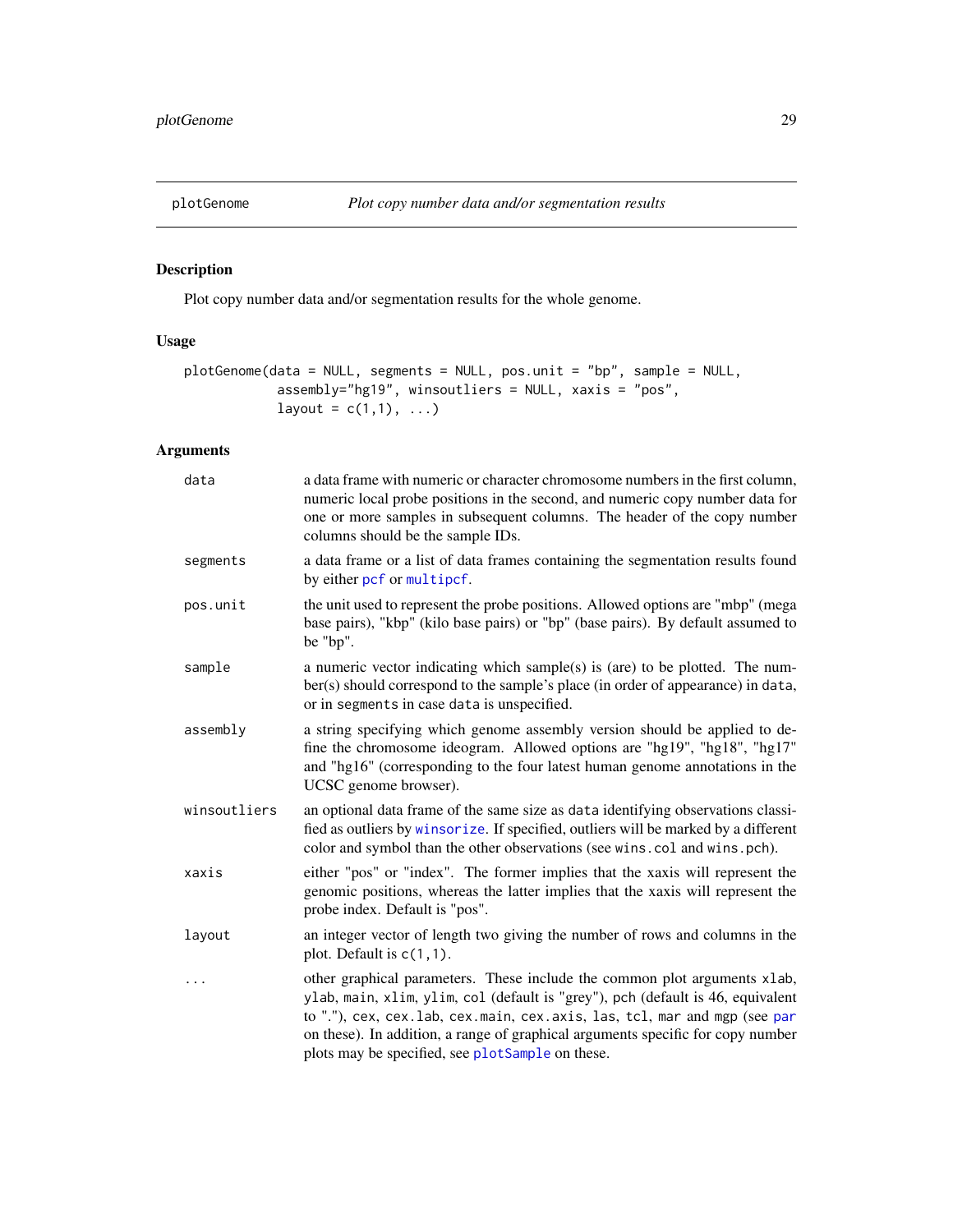<span id="page-28-1"></span><span id="page-28-0"></span>

Plot copy number data and/or segmentation results for the whole genome.

# Usage

```
plotGenome(data = NULL, segments = NULL, pos.unit = "bp", sample = NULL,
            assembly="hg19", winsoutliers = NULL, xaxis = "pos",
            layout = c(1,1), \ldots)
```

| data         | a data frame with numeric or character chromosome numbers in the first column,<br>numeric local probe positions in the second, and numeric copy number data for<br>one or more samples in subsequent columns. The header of the copy number<br>columns should be the sample IDs.                                                                                                 |
|--------------|----------------------------------------------------------------------------------------------------------------------------------------------------------------------------------------------------------------------------------------------------------------------------------------------------------------------------------------------------------------------------------|
| segments     | a data frame or a list of data frames containing the segmentation results found<br>by either pcf or multipcf.                                                                                                                                                                                                                                                                    |
| pos.unit     | the unit used to represent the probe positions. Allowed options are "mbp" (mega<br>base pairs), "kbp" (kilo base pairs) or "bp" (base pairs). By default assumed to<br>be "bp".                                                                                                                                                                                                  |
| sample       | a numeric vector indicating which sample(s) is (are) to be plotted. The num-<br>ber(s) should correspond to the sample's place (in order of appearance) in data,<br>or in segments in case data is unspecified.                                                                                                                                                                  |
| assembly     | a string specifying which genome assembly version should be applied to de-<br>fine the chromosome ideogram. Allowed options are "hg19", "hg18", "hg17"<br>and "hg16" (corresponding to the four latest human genome annotations in the<br>UCSC genome browser).                                                                                                                  |
| winsoutliers | an optional data frame of the same size as data identifying observations classi-<br>fied as outliers by winsorize. If specified, outliers will be marked by a different<br>color and symbol than the other observations (see wins.col and wins.pch).                                                                                                                             |
| xaxis        | either "pos" or "index". The former implies that the xaxis will represent the<br>genomic positions, whereas the latter implies that the xaxis will represent the<br>probe index. Default is "pos".                                                                                                                                                                               |
| layout       | an integer vector of length two giving the number of rows and columns in the<br>plot. Default is $c(1,1)$ .                                                                                                                                                                                                                                                                      |
| .            | other graphical parameters. These include the common plot arguments xlab,<br>ylab, main, xlim, ylim, col (default is "grey"), pch (default is 46, equivalent<br>to "."), cex, cex.lab, cex.main, cex.axis, las, tcl, mar and mgp (see par<br>on these). In addition, a range of graphical arguments specific for copy number<br>plots may be specified, see plotSample on these. |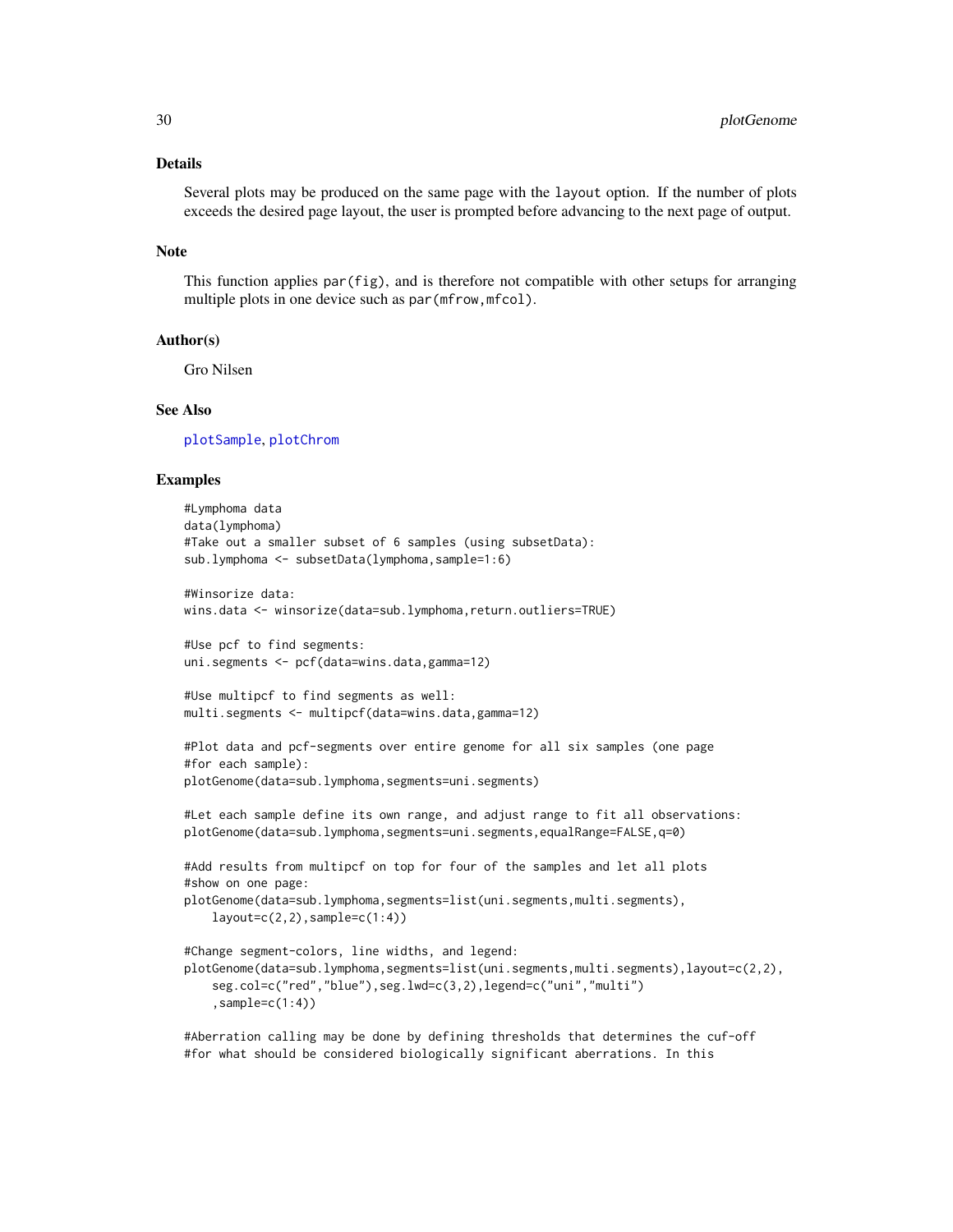# <span id="page-29-0"></span>Details

Several plots may be produced on the same page with the layout option. If the number of plots exceeds the desired page layout, the user is prompted before advancing to the next page of output.

#### **Note**

This function applies par(fig), and is therefore not compatible with other setups for arranging multiple plots in one device such as par (mfrow, mfcol).

#### Author(s)

Gro Nilsen

#### See Also

[plotSample](#page-32-1), [plotChrom](#page-20-1)

#### Examples

```
#Lymphoma data
data(lymphoma)
#Take out a smaller subset of 6 samples (using subsetData):
sub.lymphoma <- subsetData(lymphoma,sample=1:6)
#Winsorize data:
wins.data <- winsorize(data=sub.lymphoma, return.outliers=TRUE)
#Use pcf to find segments:
uni.segments <- pcf(data=wins.data,gamma=12)
#Use multipcf to find segments as well:
multi.segments <- multipcf(data=wins.data,gamma=12)
#Plot data and pcf-segments over entire genome for all six samples (one page
#for each sample):
plotGenome(data=sub.lymphoma,segments=uni.segments)
#Let each sample define its own range, and adjust range to fit all observations:
plotGenome(data=sub.lymphoma,segments=uni.segments,equalRange=FALSE,q=0)
#Add results from multipcf on top for four of the samples and let all plots
#show on one page:
plotGenome(data=sub.lymphoma,segments=list(uni.segments,multi.segments),
    layout=c(2,2),sample=c(1:4))
#Change segment-colors, line widths, and legend:
plotGenome(data=sub.lymphoma,segments=list(uni.segments,multi.segments),layout=c(2,2),
    seg.col=c("red","blue"),seg.lwd=c(3,2),legend=c("uni","multi")
    ,sample=c(1:4))
```
#Aberration calling may be done by defining thresholds that determines the cuf-off #for what should be considered biologically significant aberrations. In this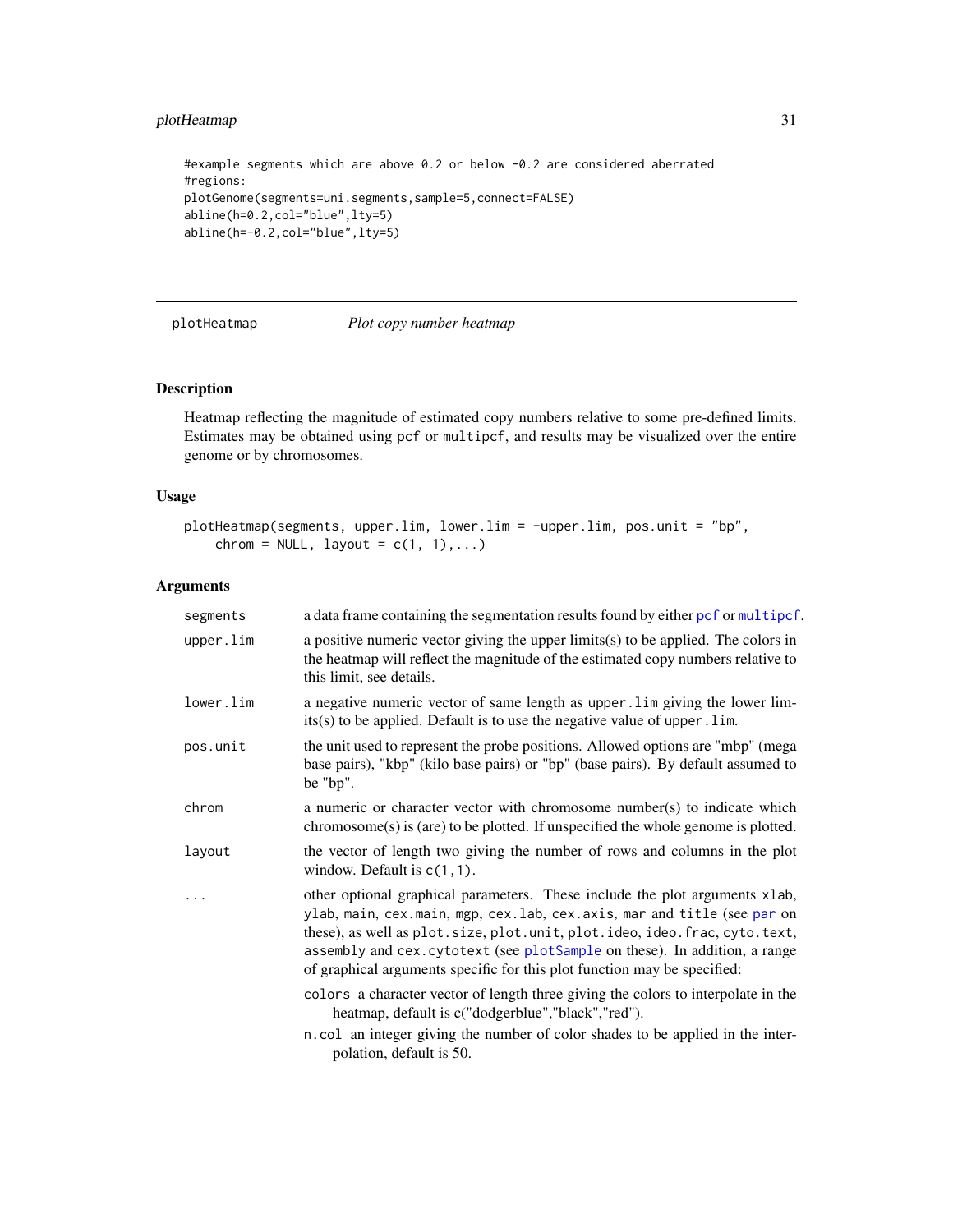# <span id="page-30-0"></span>plotHeatmap 31

#example segments which are above 0.2 or below -0.2 are considered aberrated #regions: plotGenome(segments=uni.segments,sample=5,connect=FALSE) abline(h=0.2,col="blue",lty=5) abline(h=-0.2,col="blue",lty=5)

plotHeatmap *Plot copy number heatmap*

#### Description

Heatmap reflecting the magnitude of estimated copy numbers relative to some pre-defined limits. Estimates may be obtained using pcf or multipcf, and results may be visualized over the entire genome or by chromosomes.

# Usage

```
plotHeatmap(segments, upper.lim, lower.lim = -upper.lim, pos.unit = "bp",
    chrom = NULL, layout = c(1, 1), ...
```

| segments  | a data frame containing the segmentation results found by either pcf or multipcf.                                                                                                                                                                                                                                                                                                                  |
|-----------|----------------------------------------------------------------------------------------------------------------------------------------------------------------------------------------------------------------------------------------------------------------------------------------------------------------------------------------------------------------------------------------------------|
| upper.lim | a positive numeric vector giving the upper $limits(s)$ to be applied. The colors in<br>the heatmap will reflect the magnitude of the estimated copy numbers relative to<br>this limit, see details.                                                                                                                                                                                                |
| lower.lim | a negative numeric vector of same length as upper. Lim giving the lower lim-<br>$its(s)$ to be applied. Default is to use the negative value of upper. lim.                                                                                                                                                                                                                                        |
| pos.unit  | the unit used to represent the probe positions. Allowed options are "mbp" (mega<br>base pairs), "kbp" (kilo base pairs) or "bp" (base pairs). By default assumed to<br>be "bp".                                                                                                                                                                                                                    |
| chrom     | a numeric or character vector with chromosome number(s) to indicate which<br>$chromosome(s)$ is (are) to be plotted. If unspecified the whole genome is plotted.                                                                                                                                                                                                                                   |
| layout    | the vector of length two giving the number of rows and columns in the plot<br>window. Default is $c(1,1)$ .                                                                                                                                                                                                                                                                                        |
|           | other optional graphical parameters. These include the plot arguments xlab,<br>ylab, main, cex.main, mgp, cex.lab, cex.axis, mar and title (see par on<br>these), as well as plot. size, plot. unit, plot. ideo, ideo. frac, cyto. text,<br>assembly and cex. cytotext (see plotSample on these). In addition, a range<br>of graphical arguments specific for this plot function may be specified: |
|           | colors a character vector of length three giving the colors to interpolate in the<br>heatmap, default is c("dodgerblue","black","red").                                                                                                                                                                                                                                                            |
|           | n.col an integer giving the number of color shades to be applied in the inter-<br>polation, default is 50.                                                                                                                                                                                                                                                                                         |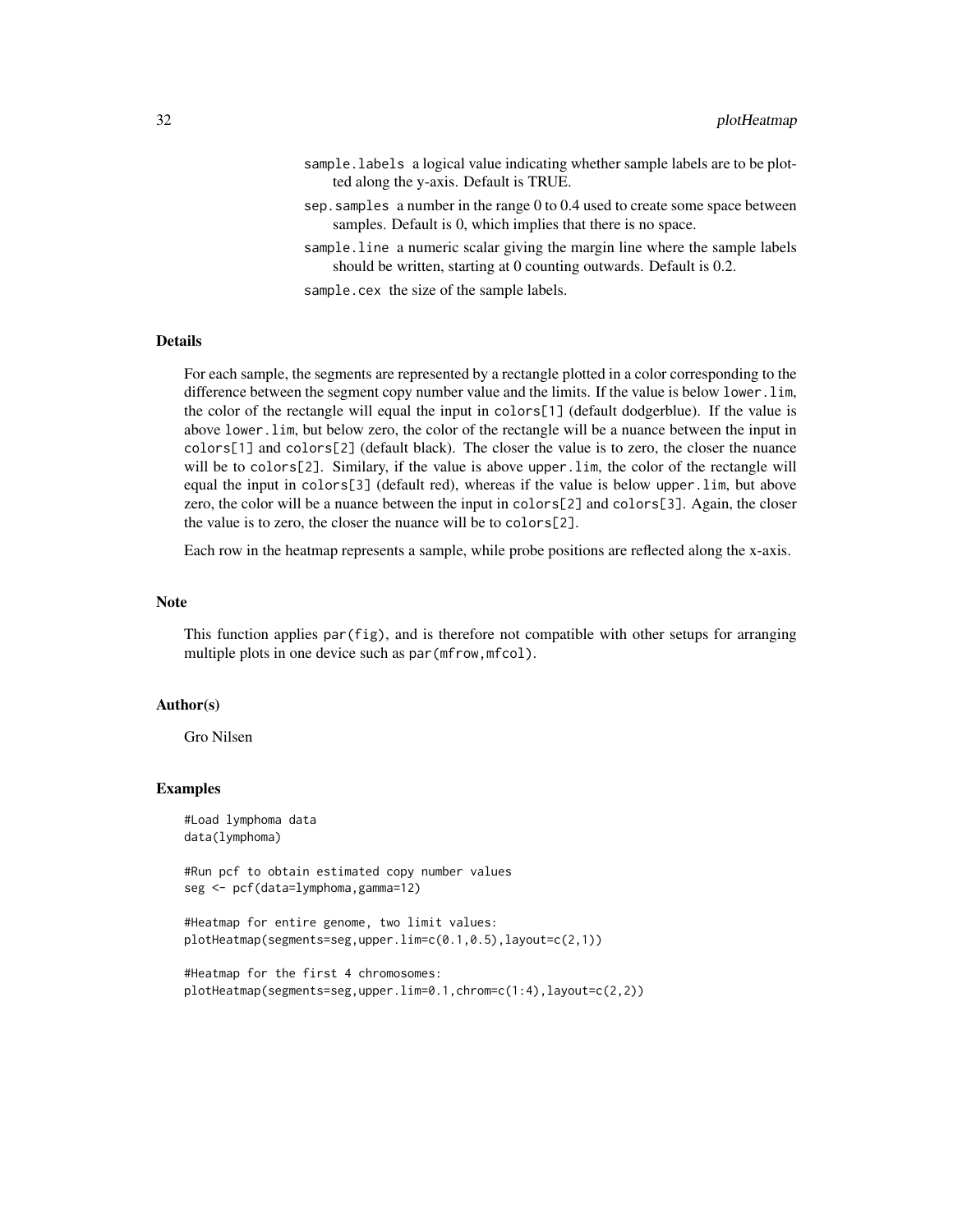- sample.labels a logical value indicating whether sample labels are to be plotted along the y-axis. Default is TRUE.
- sep.samples a number in the range 0 to 0.4 used to create some space between samples. Default is 0, which implies that there is no space.
- sample.line a numeric scalar giving the margin line where the sample labels should be written, starting at 0 counting outwards. Default is 0.2.

sample.cex the size of the sample labels.

# Details

For each sample, the segments are represented by a rectangle plotted in a color corresponding to the difference between the segment copy number value and the limits. If the value is below lower.lim, the color of the rectangle will equal the input in colors[1] (default dodgerblue). If the value is above lower.lim, but below zero, the color of the rectangle will be a nuance between the input in colors[1] and colors[2] (default black). The closer the value is to zero, the closer the nuance will be to colors[2]. Similary, if the value is above upper.lim, the color of the rectangle will equal the input in colors[3] (default red), whereas if the value is below upper.lim, but above zero, the color will be a nuance between the input in colors[2] and colors[3]. Again, the closer the value is to zero, the closer the nuance will be to colors[2].

Each row in the heatmap represents a sample, while probe positions are reflected along the x-axis.

#### Note

This function applies par(fig), and is therefore not compatible with other setups for arranging multiple plots in one device such as par (mfrow, mfcol).

#### Author(s)

Gro Nilsen

# Examples

#Load lymphoma data data(lymphoma)

#Run pcf to obtain estimated copy number values seg <- pcf(data=lymphoma,gamma=12)

#Heatmap for entire genome, two limit values: plotHeatmap(segments=seg,upper.lim=c(0.1,0.5),layout=c(2,1))

```
#Heatmap for the first 4 chromosomes:
plotHeatmap(segments=seg,upper.lim=0.1,chrom=c(1:4),layout=c(2,2))
```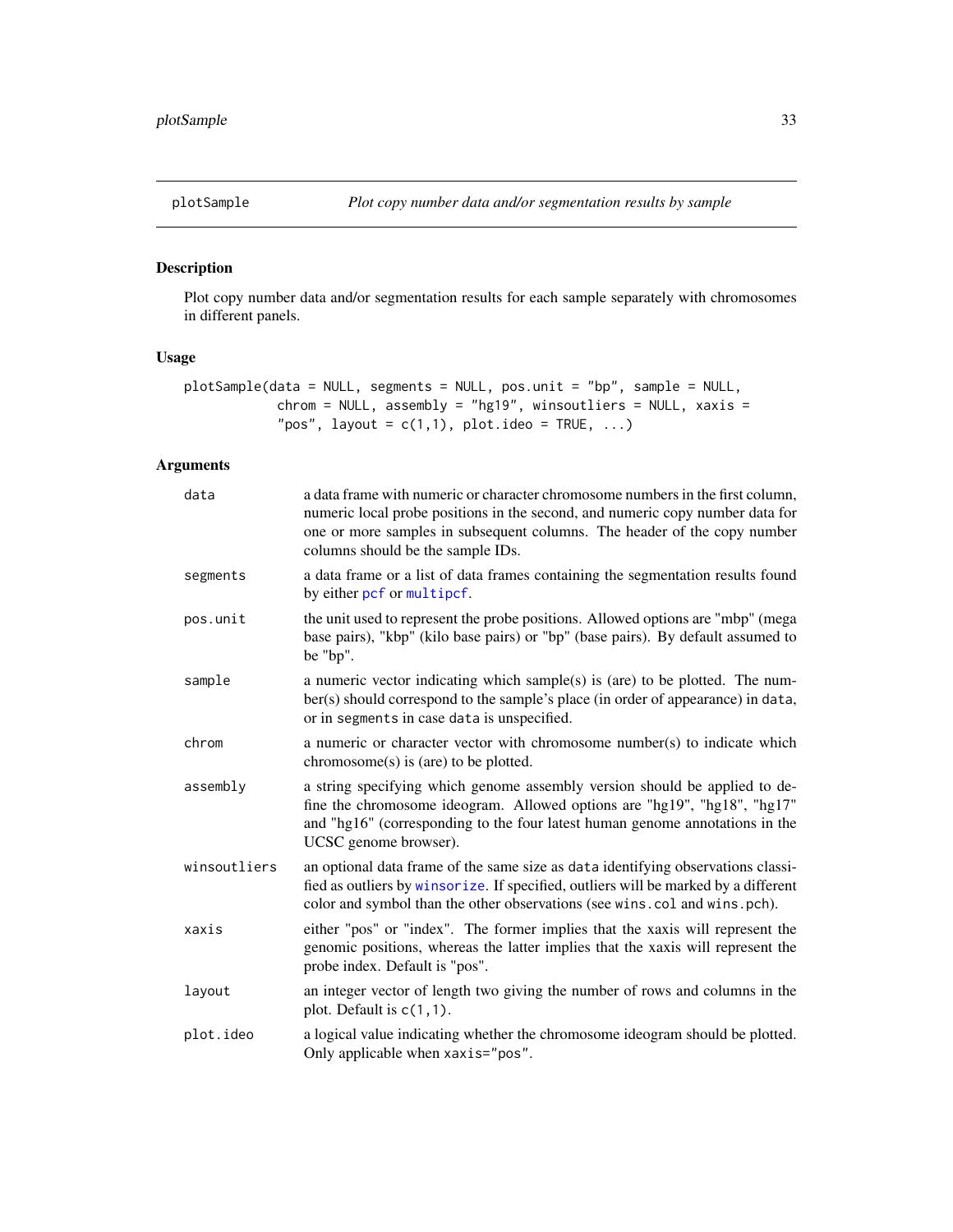<span id="page-32-1"></span><span id="page-32-0"></span>

Plot copy number data and/or segmentation results for each sample separately with chromosomes in different panels.

# Usage

```
plotSample(data = NULL, segments = NULL, pos.unit = "bp", sample = NULL,
            chrom = NULL, assembly = "hg19", winsoutliers = NULL, xaxis =
            "pos", layout = c(1,1), plot.ideo = TRUE, ...)
```

| data         | a data frame with numeric or character chromosome numbers in the first column,<br>numeric local probe positions in the second, and numeric copy number data for<br>one or more samples in subsequent columns. The header of the copy number<br>columns should be the sample IDs. |
|--------------|----------------------------------------------------------------------------------------------------------------------------------------------------------------------------------------------------------------------------------------------------------------------------------|
| segments     | a data frame or a list of data frames containing the segmentation results found<br>by either pcf or multipcf.                                                                                                                                                                    |
| pos.unit     | the unit used to represent the probe positions. Allowed options are "mbp" (mega<br>base pairs), "kbp" (kilo base pairs) or "bp" (base pairs). By default assumed to<br>be "bp".                                                                                                  |
| sample       | a numeric vector indicating which sample(s) is (are) to be plotted. The num-<br>ber(s) should correspond to the sample's place (in order of appearance) in data,<br>or in segments in case data is unspecified.                                                                  |
| chrom        | a numeric or character vector with chromosome number(s) to indicate which<br>$chromosome(s)$ is (are) to be plotted.                                                                                                                                                             |
| assembly     | a string specifying which genome assembly version should be applied to de-<br>fine the chromosome ideogram. Allowed options are "hg19", "hg18", "hg17"<br>and "hg16" (corresponding to the four latest human genome annotations in the<br>UCSC genome browser).                  |
| winsoutliers | an optional data frame of the same size as data identifying observations classi-<br>fied as outliers by winsorize. If specified, outliers will be marked by a different<br>color and symbol than the other observations (see wins.col and wins.pch).                             |
| xaxis        | either "pos" or "index". The former implies that the xaxis will represent the<br>genomic positions, whereas the latter implies that the xaxis will represent the<br>probe index. Default is "pos".                                                                               |
| layout       | an integer vector of length two giving the number of rows and columns in the<br>plot. Default is $c(1,1)$ .                                                                                                                                                                      |
| plot.ideo    | a logical value indicating whether the chromosome ideogram should be plotted.<br>Only applicable when xaxis="pos".                                                                                                                                                               |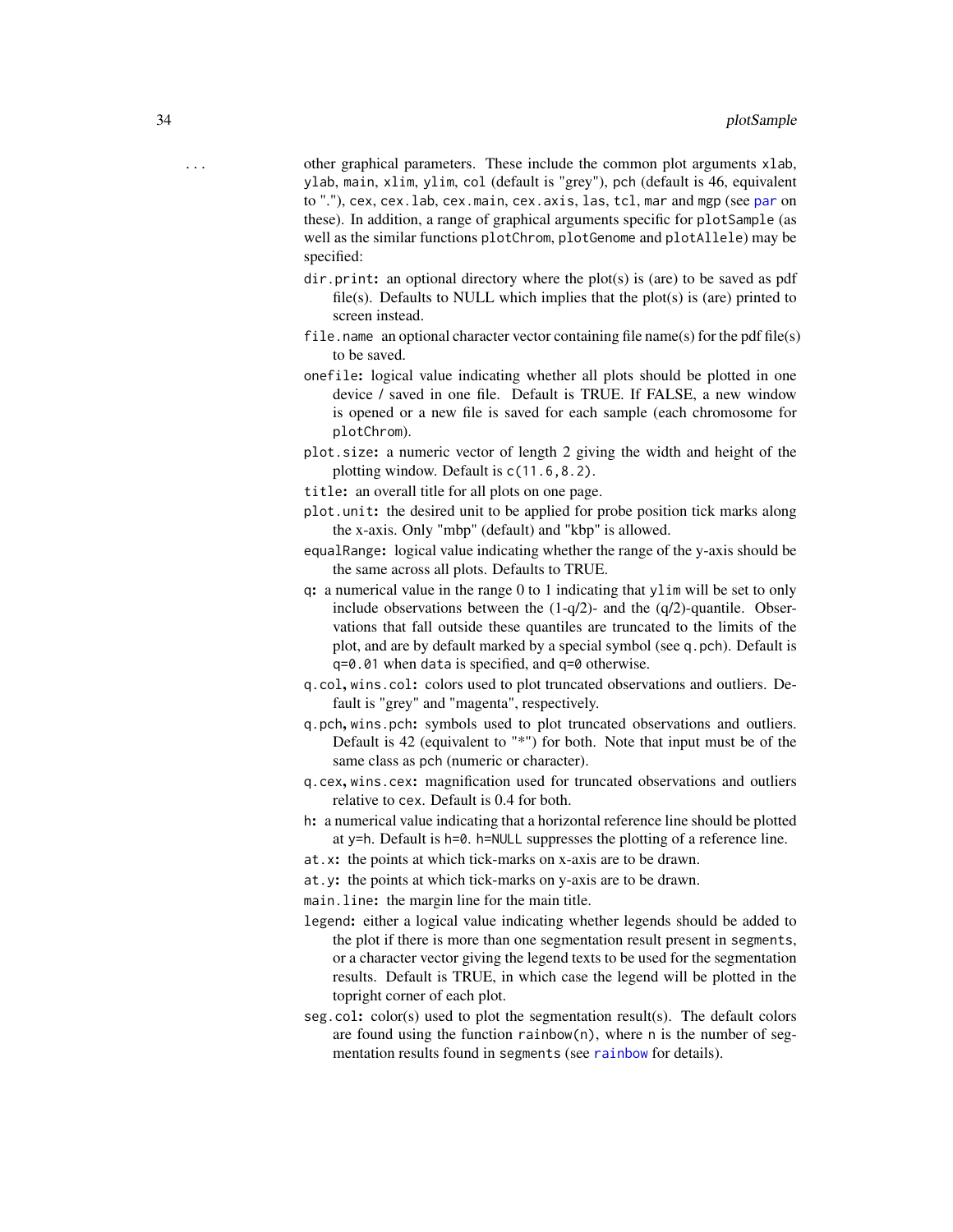- <span id="page-33-0"></span>... other graphical parameters. These include the common plot arguments xlab, ylab, main, xlim, ylim, col (default is "grey"), pch (default is 46, equivalent to "."), cex, cex.lab, cex.main, cex.axis, las, tcl, mar and mgp (see [par](#page-0-0) on these). In addition, a range of graphical arguments specific for plotSample (as well as the similar functions plotChrom, plotGenome and plotAllele) may be specified:
	- dir.print: an optional directory where the plot(s) is (are) to be saved as pdf file(s). Defaults to NULL which implies that the plot(s) is (are) printed to screen instead.
	- file.name an optional character vector containing file name(s) for the pdf file(s) to be saved.
	- onefile: logical value indicating whether all plots should be plotted in one device / saved in one file. Default is TRUE. If FALSE, a new window is opened or a new file is saved for each sample (each chromosome for plotChrom).
	- plot.size: a numeric vector of length 2 giving the width and height of the plotting window. Default is c(11.6,8.2).
	- title: an overall title for all plots on one page.
	- plot.unit: the desired unit to be applied for probe position tick marks along the x-axis. Only "mbp" (default) and "kbp" is allowed.
	- equalRange: logical value indicating whether the range of the y-axis should be the same across all plots. Defaults to TRUE.
	- q: a numerical value in the range 0 to 1 indicating that ylim will be set to only include observations between the  $(1-q/2)$ - and the  $(q/2)$ -quantile. Observations that fall outside these quantiles are truncated to the limits of the plot, and are by default marked by a special symbol (see q.pch). Default is q=0.01 when data is specified, and q=0 otherwise.
	- q.col, wins.col: colors used to plot truncated observations and outliers. Default is "grey" and "magenta", respectively.
	- q.pch, wins.pch: symbols used to plot truncated observations and outliers. Default is 42 (equivalent to "\*") for both. Note that input must be of the same class as pch (numeric or character).
	- q.cex, wins.cex: magnification used for truncated observations and outliers relative to cex. Default is 0.4 for both.
	- h: a numerical value indicating that a horizontal reference line should be plotted at y=h. Default is h=0. h=NULL suppresses the plotting of a reference line.
	- at.x: the points at which tick-marks on x-axis are to be drawn.
	- at.y: the points at which tick-marks on y-axis are to be drawn.
	- main.line: the margin line for the main title.
	- legend: either a logical value indicating whether legends should be added to the plot if there is more than one segmentation result present in segments, or a character vector giving the legend texts to be used for the segmentation results. Default is TRUE, in which case the legend will be plotted in the topright corner of each plot.
	- seg.col: color(s) used to plot the segmentation result(s). The default colors are found using the function rainbow(n), where n is the number of segmentation results found in segments (see [rainbow](#page-0-0) for details).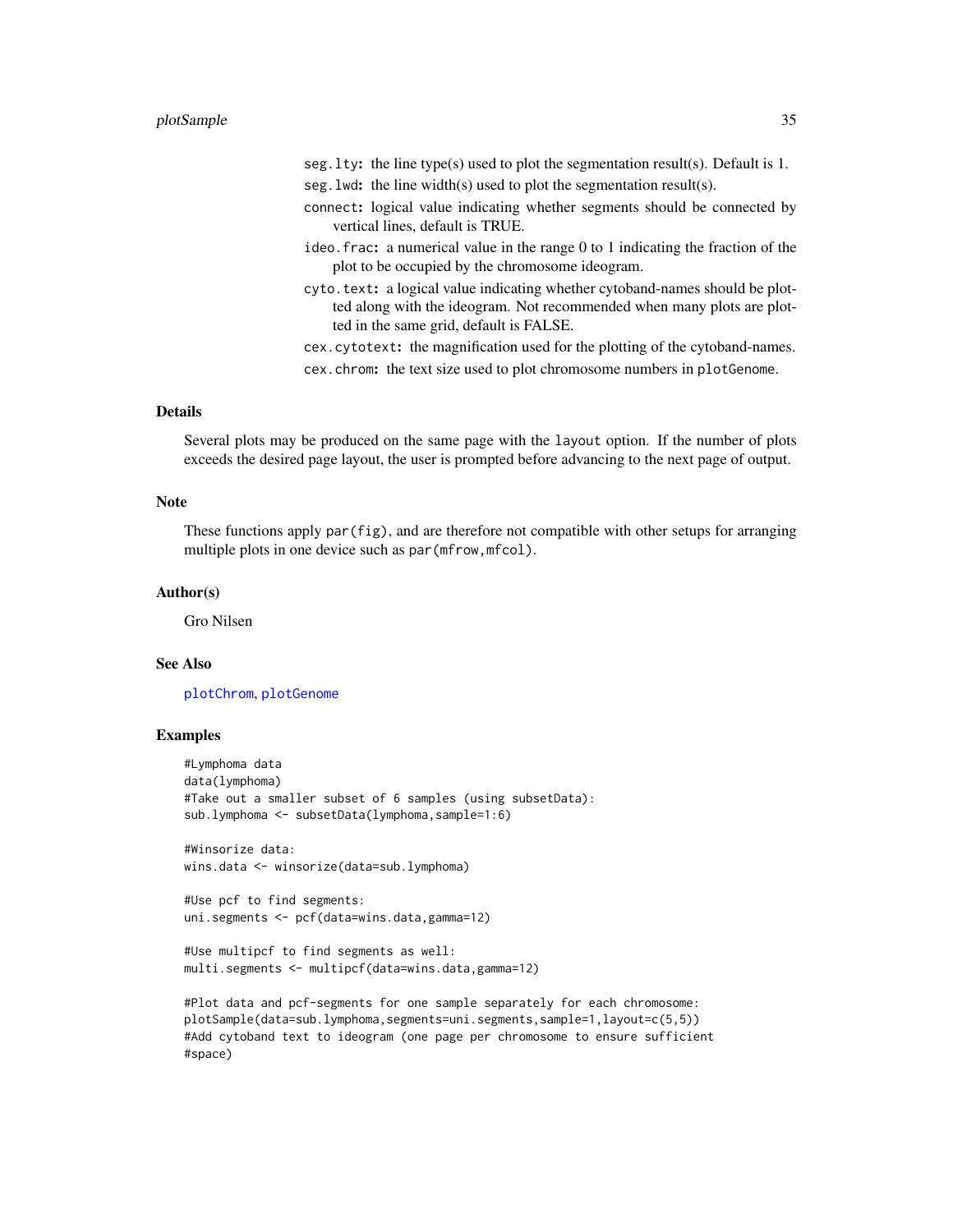#### <span id="page-34-0"></span>plotSample 35

- seg.lty: the line type(s) used to plot the segmentation result(s). Default is 1.
- seg. lwd: the line width(s) used to plot the segmentation result(s).
- connect: logical value indicating whether segments should be connected by vertical lines, default is TRUE.
- ideo.frac: a numerical value in the range 0 to 1 indicating the fraction of the plot to be occupied by the chromosome ideogram.
- cyto.text: a logical value indicating whether cytoband-names should be plotted along with the ideogram. Not recommended when many plots are plotted in the same grid, default is FALSE.

cex.cytotext: the magnification used for the plotting of the cytoband-names. cex.chrom: the text size used to plot chromosome numbers in plotGenome.

# Details

Several plots may be produced on the same page with the layout option. If the number of plots exceeds the desired page layout, the user is prompted before advancing to the next page of output.

#### **Note**

These functions apply par(fig), and are therefore not compatible with other setups for arranging multiple plots in one device such as par (mfrow, mfcol).

#### Author(s)

Gro Nilsen

# See Also

[plotChrom](#page-20-1), [plotGenome](#page-28-1)

```
#Lymphoma data
data(lymphoma)
#Take out a smaller subset of 6 samples (using subsetData):
sub.lymphoma <- subsetData(lymphoma,sample=1:6)
```

```
#Winsorize data:
wins.data <- winsorize(data=sub.lymphoma)
```

```
#Use pcf to find segments:
uni.segments <- pcf(data=wins.data,gamma=12)
```

```
#Use multipcf to find segments as well:
multi.segments <- multipcf(data=wins.data,gamma=12)
```
<sup>#</sup>Plot data and pcf-segments for one sample separately for each chromosome: plotSample(data=sub.lymphoma,segments=uni.segments,sample=1,layout=c(5,5)) #Add cytoband text to ideogram (one page per chromosome to ensure sufficient #space)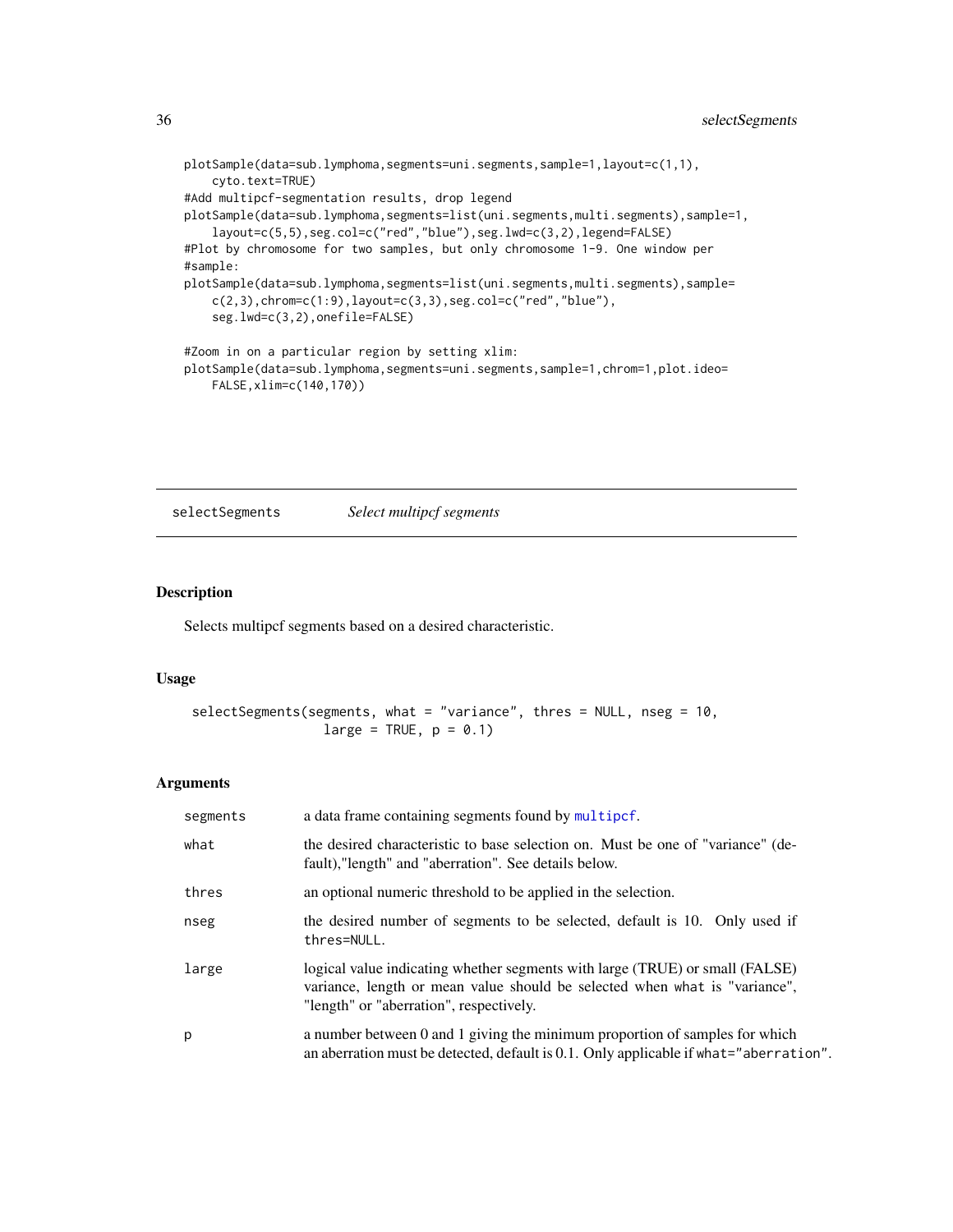```
plotSample(data=sub.lymphoma,segments=uni.segments,sample=1,layout=c(1,1),
    cyto.text=TRUE)
#Add multipcf-segmentation results, drop legend
plotSample(data=sub.lymphoma,segments=list(uni.segments,multi.segments),sample=1,
    layout=c(5,5),seg.col=c("red","blue"),seg.lwd=c(3,2),legend=FALSE)
#Plot by chromosome for two samples, but only chromosome 1-9. One window per
#sample:
plotSample(data=sub.lymphoma,segments=list(uni.segments,multi.segments),sample=
    c(2,3), chrom=c(1:9), layout=c(3,3), seg.col=c("red", "blue"),
    seg.lwd=c(3,2),onefile=FALSE)
#Zoom in on a particular region by setting xlim:
plotSample(data=sub.lymphoma,segments=uni.segments,sample=1,chrom=1,plot.ideo=
    FALSE,xlim=c(140,170))
```
selectSegments *Select multipcf segments*

#### Description

Selects multipcf segments based on a desired characteristic.

#### Usage

```
selectSegments(segments, what = "variance", thres = NULL, nseg = 10,
                 large = TRUE, p = 0.1
```

| segments | a data frame containing segments found by multipcf.                                                                                                                                                   |
|----------|-------------------------------------------------------------------------------------------------------------------------------------------------------------------------------------------------------|
| what     | the desired characteristic to base selection on. Must be one of "variance" (de-<br>fault), "length" and "aberration". See details below.                                                              |
| thres    | an optional numeric threshold to be applied in the selection.                                                                                                                                         |
| nseg     | the desired number of segments to be selected, default is 10. Only used if<br>thres=NULL.                                                                                                             |
| large    | logical value indicating whether segments with large (TRUE) or small (FALSE)<br>variance, length or mean value should be selected when what is "variance",<br>"length" or "aberration", respectively. |
| p        | a number between 0 and 1 giving the minimum proportion of samples for which<br>an aberration must be detected, default is 0.1. Only applicable if what="aberration".                                  |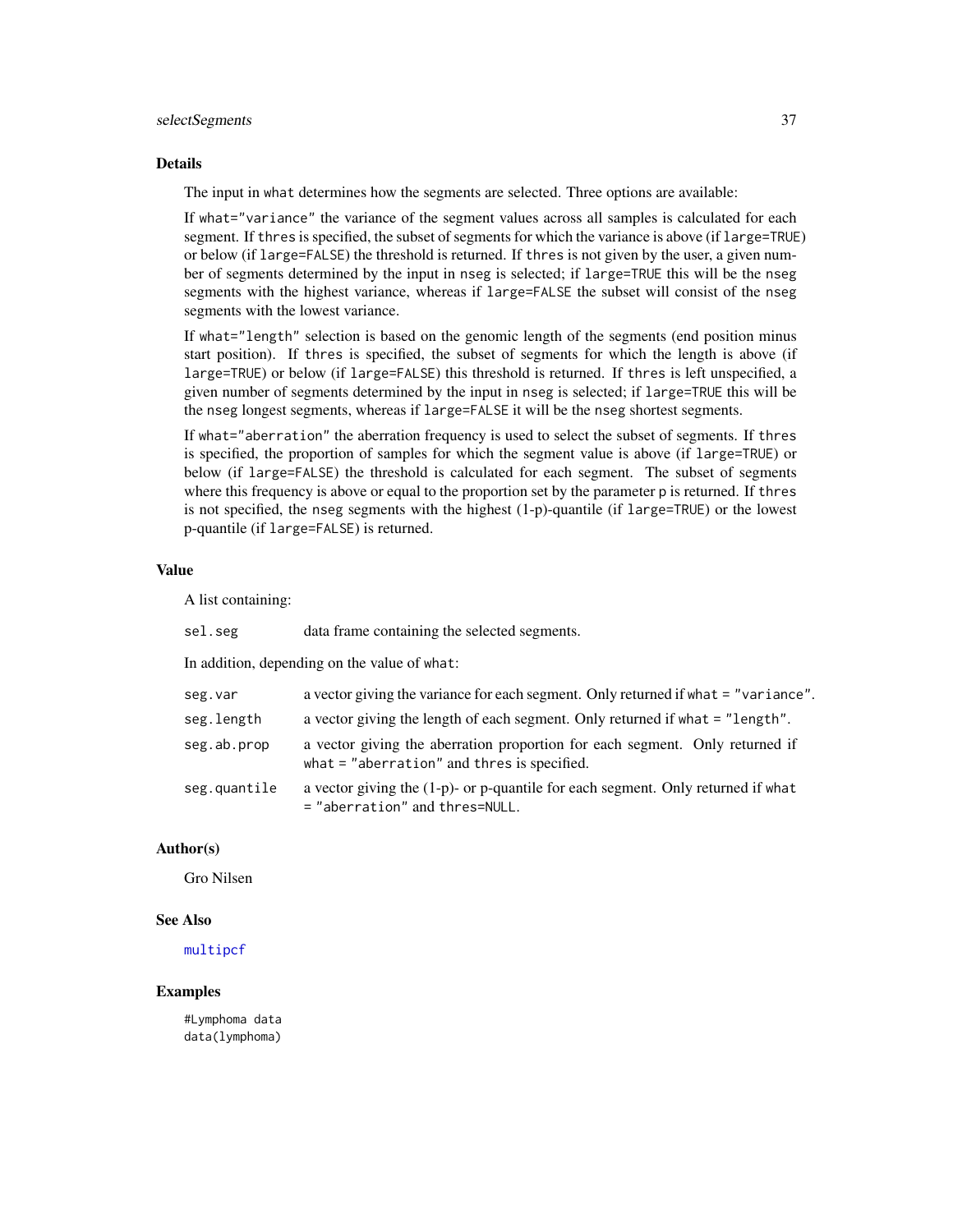# <span id="page-36-0"></span>selectSegments 37

# Details

The input in what determines how the segments are selected. Three options are available:

If what="variance" the variance of the segment values across all samples is calculated for each segment. If thres is specified, the subset of segments for which the variance is above (if large=TRUE) or below (if large=FALSE) the threshold is returned. If thres is not given by the user, a given number of segments determined by the input in nseg is selected; if large=TRUE this will be the nseg segments with the highest variance, whereas if large=FALSE the subset will consist of the nseg segments with the lowest variance.

If what="length" selection is based on the genomic length of the segments (end position minus start position). If thres is specified, the subset of segments for which the length is above (if large=TRUE) or below (if large=FALSE) this threshold is returned. If thres is left unspecified, a given number of segments determined by the input in nseg is selected; if large=TRUE this will be the nseg longest segments, whereas if large=FALSE it will be the nseg shortest segments.

If what="aberration" the aberration frequency is used to select the subset of segments. If thres is specified, the proportion of samples for which the segment value is above (if large=TRUE) or below (if large=FALSE) the threshold is calculated for each segment. The subset of segments where this frequency is above or equal to the proportion set by the parameter p is returned. If thres is not specified, the nseg segments with the highest (1-p)-quantile (if large=TRUE) or the lowest p-quantile (if large=FALSE) is returned.

#### Value

A list containing:

| sel.seg                                      | data frame containing the selected segments.                                                                                  |  |
|----------------------------------------------|-------------------------------------------------------------------------------------------------------------------------------|--|
| In addition, depending on the value of what: |                                                                                                                               |  |
| seg.var                                      | a vector giving the variance for each segment. Only returned if what = "variance".                                            |  |
| seg.length                                   | a vector giving the length of each segment. Only returned if what = "length".                                                 |  |
| seg.ab.prop                                  | a vector giving the aberration proportion for each segment. Only returned if<br>what $=$ "aberration" and thres is specified. |  |
| seg.quantile                                 | a vector giving the $(1-p)$ - or p-quantile for each segment. Only returned if what<br>= "aberration" and thres=NULL.         |  |

# Author(s)

Gro Nilsen

# See Also

[multipcf](#page-10-1)

# Examples

#Lymphoma data data(lymphoma)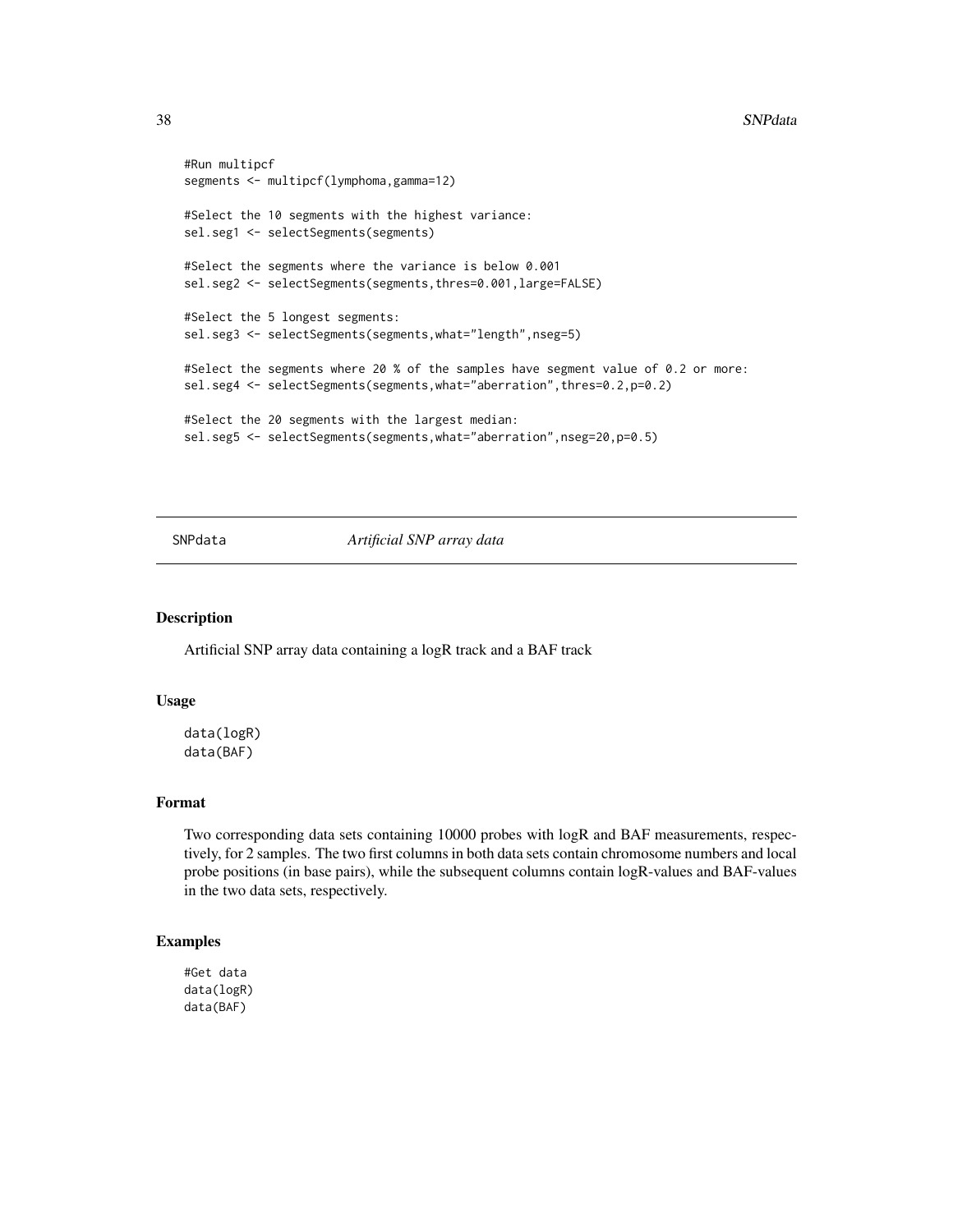```
#Run multipcf
segments <- multipcf(lymphoma,gamma=12)
#Select the 10 segments with the highest variance:
sel.seg1 <- selectSegments(segments)
#Select the segments where the variance is below 0.001
sel.seg2 <- selectSegments(segments,thres=0.001,large=FALSE)
#Select the 5 longest segments:
sel.seg3 <- selectSegments(segments,what="length",nseg=5)
#Select the segments where 20 % of the samples have segment value of 0.2 or more:
sel.seg4 <- selectSegments(segments,what="aberration",thres=0.2,p=0.2)
#Select the 20 segments with the largest median:
sel.seg5 <- selectSegments(segments,what="aberration",nseg=20,p=0.5)
```
SNPdata *Artificial SNP array data*

# Description

Artificial SNP array data containing a logR track and a BAF track

# Usage

data(logR) data(BAF)

# Format

Two corresponding data sets containing 10000 probes with logR and BAF measurements, respectively, for 2 samples. The two first columns in both data sets contain chromosome numbers and local probe positions (in base pairs), while the subsequent columns contain logR-values and BAF-values in the two data sets, respectively.

```
#Get data
data(logR)
data(BAF)
```
<span id="page-37-0"></span>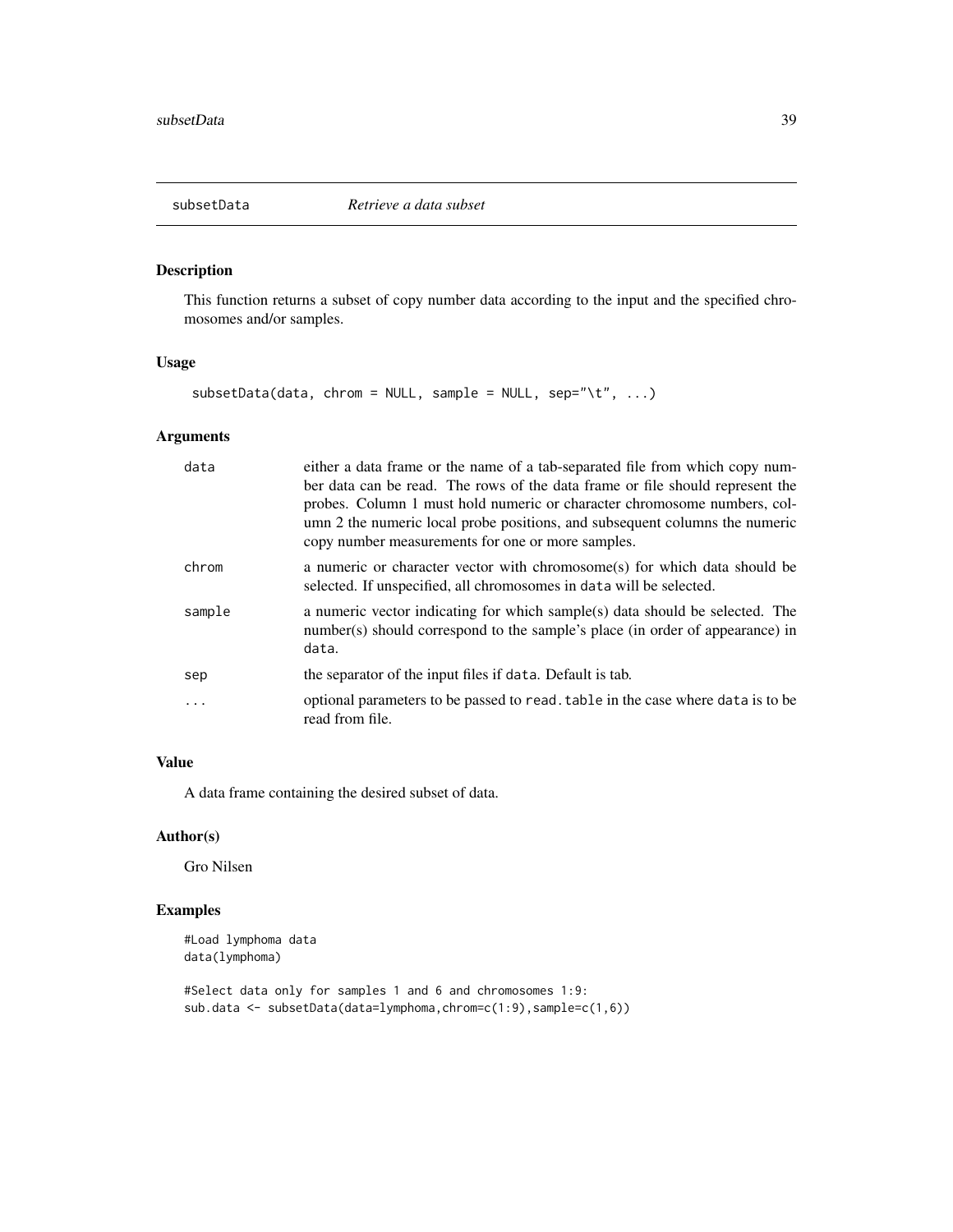<span id="page-38-0"></span>

This function returns a subset of copy number data according to the input and the specified chromosomes and/or samples.

# Usage

```
subsetData(data, chrom = NULL, sample = NULL, sep='\\'t", ...)
```
# Arguments

| data   | either a data frame or the name of a tab-separated file from which copy num-<br>ber data can be read. The rows of the data frame or file should represent the<br>probes. Column 1 must hold numeric or character chromosome numbers, col-<br>umn 2 the numeric local probe positions, and subsequent columns the numeric<br>copy number measurements for one or more samples. |
|--------|-------------------------------------------------------------------------------------------------------------------------------------------------------------------------------------------------------------------------------------------------------------------------------------------------------------------------------------------------------------------------------|
| chrom  | a numeric or character vector with chromosome(s) for which data should be<br>selected. If unspecified, all chromosomes in data will be selected.                                                                                                                                                                                                                              |
| sample | a numeric vector indicating for which sample(s) data should be selected. The<br>number(s) should correspond to the sample's place (in order of appearance) in<br>data.                                                                                                                                                                                                        |
| sep    | the separator of the input files if data. Default is tab.                                                                                                                                                                                                                                                                                                                     |
|        | optional parameters to be passed to read. table in the case where data is to be<br>read from file.                                                                                                                                                                                                                                                                            |

# Value

A data frame containing the desired subset of data.

# Author(s)

Gro Nilsen

```
#Load lymphoma data
data(lymphoma)
```

```
#Select data only for samples 1 and 6 and chromosomes 1:9:
sub.data <- subsetData(data=lymphoma,chrom=c(1:9),sample=c(1,6))
```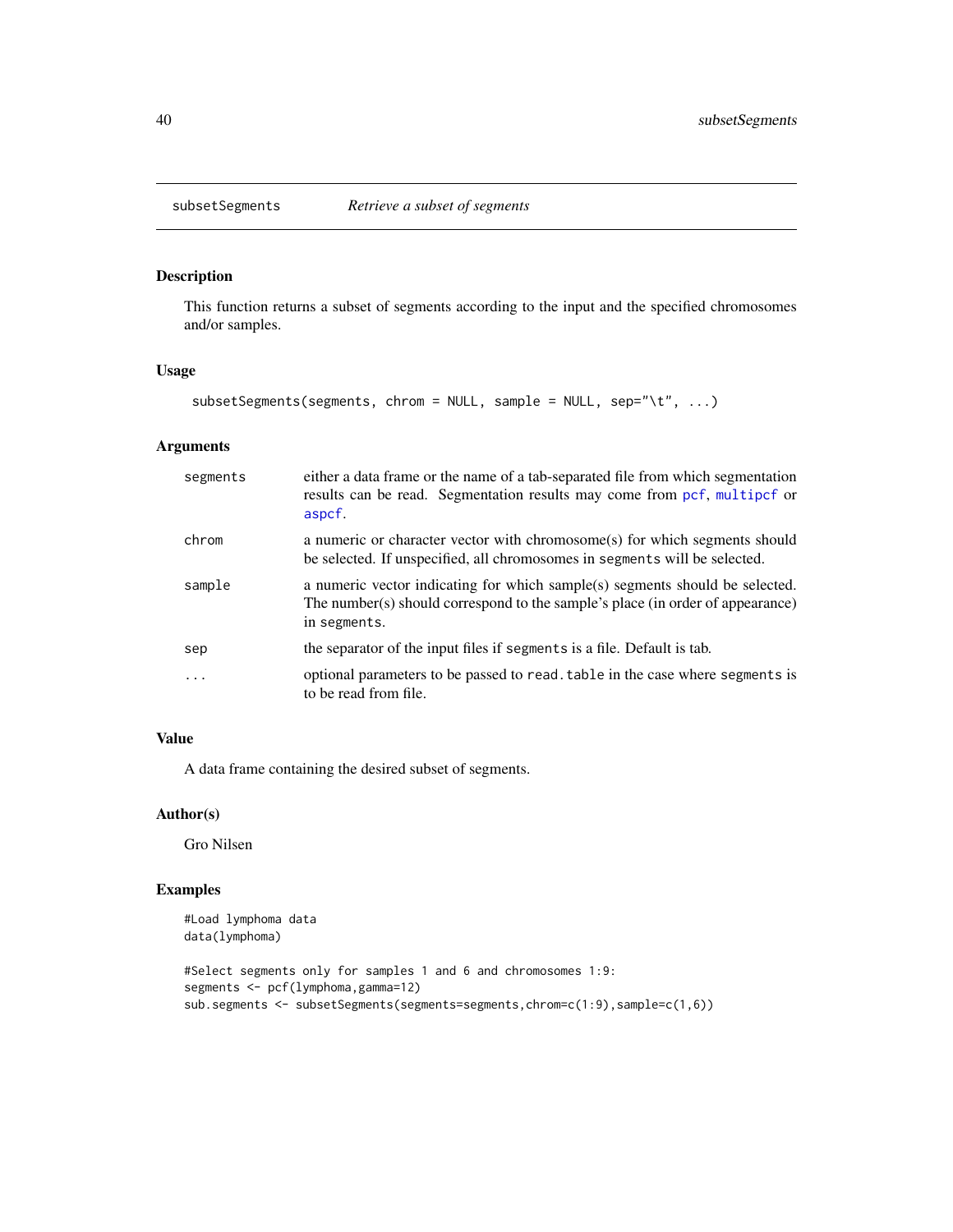<span id="page-39-0"></span>

This function returns a subset of segments according to the input and the specified chromosomes and/or samples.

# Usage

```
subsetSegments(segments, chrom = NULL, sample = NULL, sep="\t", ...)
```
# Arguments

| segments | either a data frame or the name of a tab-separated file from which segmentation<br>results can be read. Segmentation results may come from pcf, multipcf or<br>aspcf.          |
|----------|--------------------------------------------------------------------------------------------------------------------------------------------------------------------------------|
| chrom    | a numeric or character vector with chromosome(s) for which segments should<br>be selected. If unspecified, all chromosomes in segments will be selected.                       |
| sample   | a numeric vector indicating for which sample(s) segments should be selected.<br>The number(s) should correspond to the sample's place (in order of appearance)<br>in segments. |
| sep      | the separator of the input files if segments is a file. Default is tab.                                                                                                        |
| .        | optional parameters to be passed to read. table in the case where segments is<br>to be read from file.                                                                         |

# Value

A data frame containing the desired subset of segments.

# Author(s)

Gro Nilsen

```
#Load lymphoma data
data(lymphoma)
#Select segments only for samples 1 and 6 and chromosomes 1:9:
segments <- pcf(lymphoma,gamma=12)
sub.segments <- subsetSegments(segments=segments,chrom=c(1:9),sample=c(1,6))
```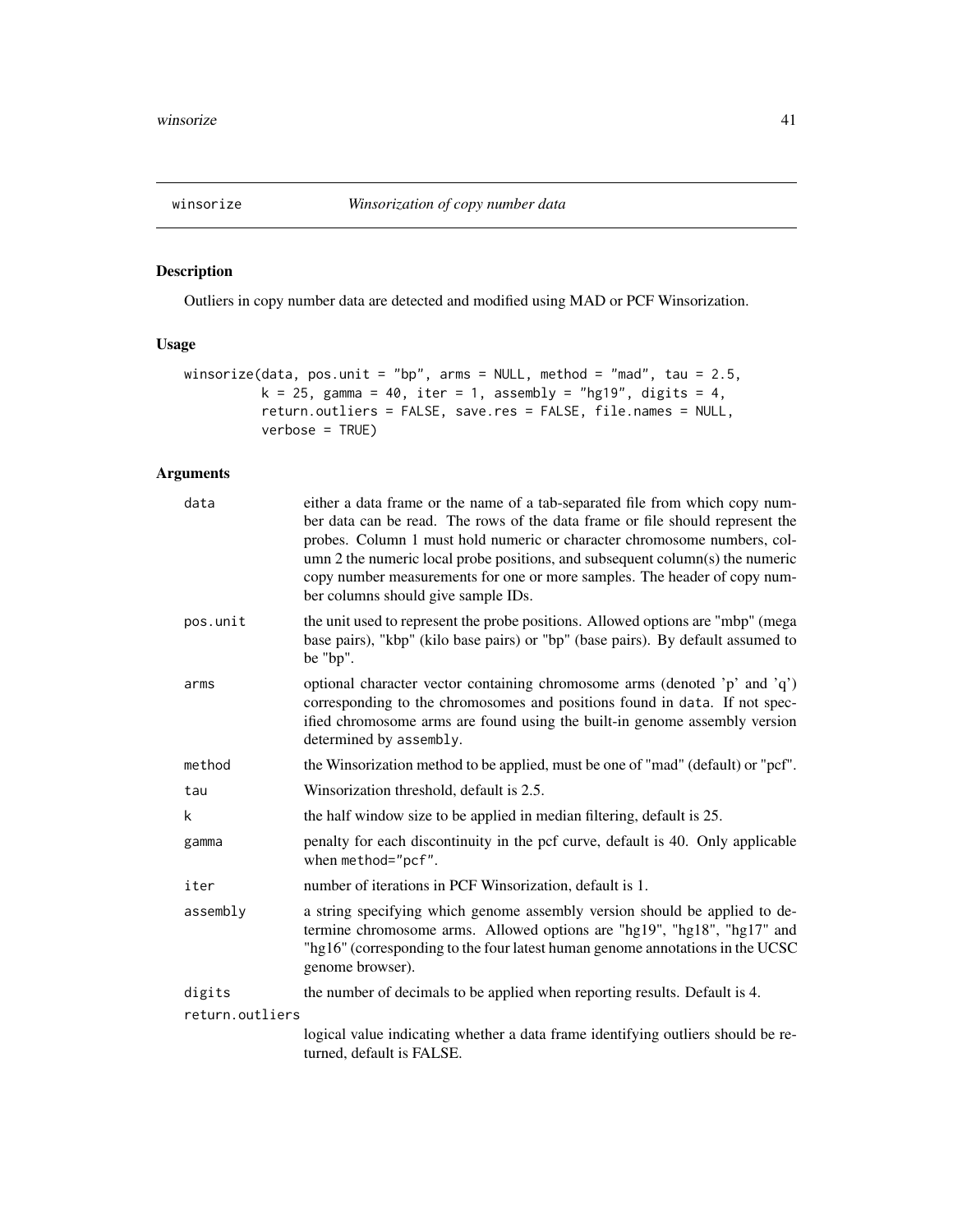<span id="page-40-1"></span><span id="page-40-0"></span>

Outliers in copy number data are detected and modified using MAD or PCF Winsorization.

# Usage

```
winsorize(data, pos.unit = "bp", arms = NULL, method = "mad", tau = 2.5,
         k = 25, gamma = 40, iter = 1, assembly = "hg19", digits = 4,
         return.outliers = FALSE, save.res = FALSE, file.names = NULL,
         verbose = TRUE)
```

| data            | either a data frame or the name of a tab-separated file from which copy num-<br>ber data can be read. The rows of the data frame or file should represent the<br>probes. Column 1 must hold numeric or character chromosome numbers, col-<br>umn 2 the numeric local probe positions, and subsequent column(s) the numeric<br>copy number measurements for one or more samples. The header of copy num-<br>ber columns should give sample IDs. |
|-----------------|------------------------------------------------------------------------------------------------------------------------------------------------------------------------------------------------------------------------------------------------------------------------------------------------------------------------------------------------------------------------------------------------------------------------------------------------|
| pos.unit        | the unit used to represent the probe positions. Allowed options are "mbp" (mega<br>base pairs), "kbp" (kilo base pairs) or "bp" (base pairs). By default assumed to<br>be "bp".                                                                                                                                                                                                                                                                |
| arms            | optional character vector containing chromosome arms (denoted 'p' and 'q')<br>corresponding to the chromosomes and positions found in data. If not spec-<br>ified chromosome arms are found using the built-in genome assembly version<br>determined by assembly.                                                                                                                                                                              |
| method          | the Winsorization method to be applied, must be one of "mad" (default) or "pcf".                                                                                                                                                                                                                                                                                                                                                               |
| tau             | Winsorization threshold, default is 2.5.                                                                                                                                                                                                                                                                                                                                                                                                       |
| k               | the half window size to be applied in median filtering, default is 25.                                                                                                                                                                                                                                                                                                                                                                         |
| gamma           | penalty for each discontinuity in the pcf curve, default is 40. Only applicable<br>when method="pcf".                                                                                                                                                                                                                                                                                                                                          |
| iter            | number of iterations in PCF Winsorization, default is 1.                                                                                                                                                                                                                                                                                                                                                                                       |
| assembly        | a string specifying which genome assembly version should be applied to de-<br>termine chromosome arms. Allowed options are "hg19", "hg18", "hg17" and<br>"hg16" (corresponding to the four latest human genome annotations in the UCSC<br>genome browser).                                                                                                                                                                                     |
| digits          | the number of decimals to be applied when reporting results. Default is 4.                                                                                                                                                                                                                                                                                                                                                                     |
| return.outliers |                                                                                                                                                                                                                                                                                                                                                                                                                                                |
|                 | logical value indicating whether a data frame identifying outliers should be re-<br>turned, default is FALSE.                                                                                                                                                                                                                                                                                                                                  |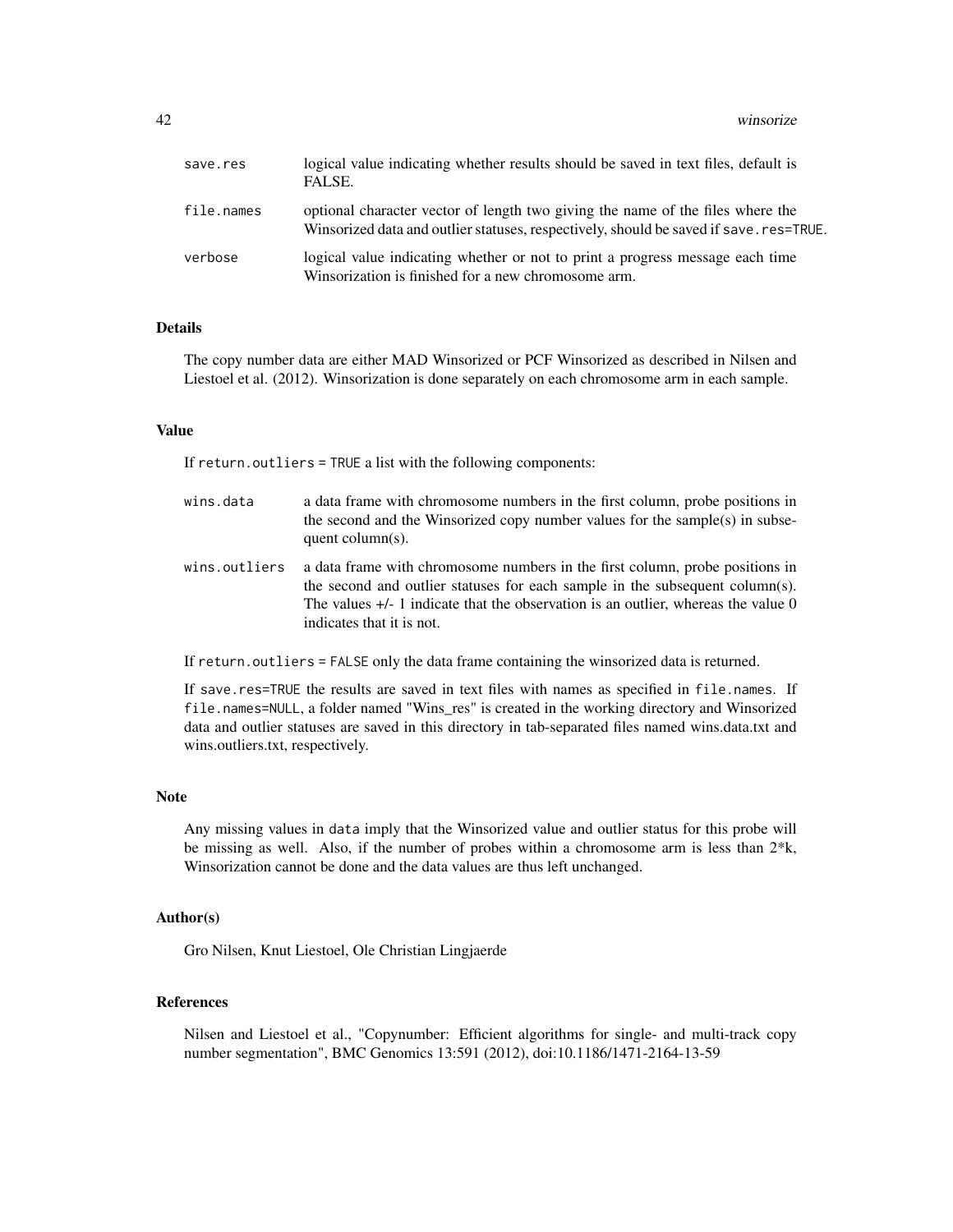42 winsorize

| save.res   | logical value indicating whether results should be saved in text files, default is<br>FALSE.                                                                             |
|------------|--------------------------------------------------------------------------------------------------------------------------------------------------------------------------|
| file.names | optional character vector of length two giving the name of the files where the<br>Winsorized data and outlier statuses, respectively, should be saved if save. res=TRUE. |
| verbose    | logical value indicating whether or not to print a progress message each time<br>Winsorization is finished for a new chromosome arm.                                     |

#### Details

The copy number data are either MAD Winsorized or PCF Winsorized as described in Nilsen and Liestoel et al. (2012). Winsorization is done separately on each chromosome arm in each sample.

#### Value

If return.outliers = TRUE a list with the following components:

- wins.data a data frame with chromosome numbers in the first column, probe positions in the second and the Winsorized copy number values for the sample(s) in subsequent column(s).
- wins.outliers a data frame with chromosome numbers in the first column, probe positions in the second and outlier statuses for each sample in the subsequent column(s). The values  $+/-1$  indicate that the observation is an outlier, whereas the value 0 indicates that it is not.

If return.outliers = FALSE only the data frame containing the winsorized data is returned.

If save.res=TRUE the results are saved in text files with names as specified in file.names. If file.names=NULL, a folder named "Wins\_res" is created in the working directory and Winsorized data and outlier statuses are saved in this directory in tab-separated files named wins.data.txt and wins.outliers.txt, respectively.

#### **Note**

Any missing values in data imply that the Winsorized value and outlier status for this probe will be missing as well. Also, if the number of probes within a chromosome arm is less than  $2*k$ , Winsorization cannot be done and the data values are thus left unchanged.

#### Author(s)

Gro Nilsen, Knut Liestoel, Ole Christian Lingjaerde

#### References

Nilsen and Liestoel et al., "Copynumber: Efficient algorithms for single- and multi-track copy number segmentation", BMC Genomics 13:591 (2012), doi:10.1186/1471-2164-13-59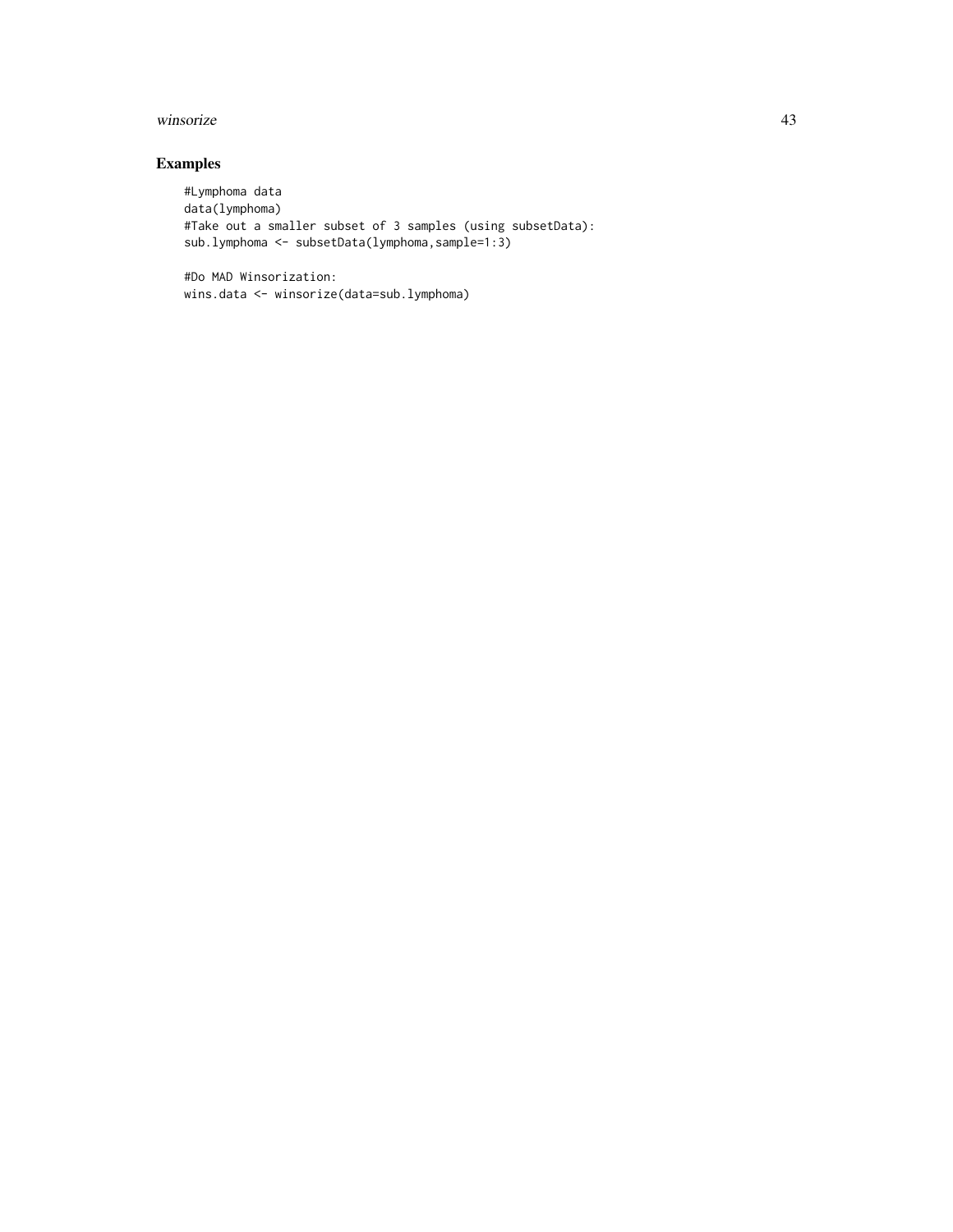#### winsorize 43

# Examples

```
#Lymphoma data
data(lymphoma)
#Take out a smaller subset of 3 samples (using subsetData):
sub.lymphoma <- subsetData(lymphoma,sample=1:3)
```
#Do MAD Winsorization: wins.data <- winsorize(data=sub.lymphoma)